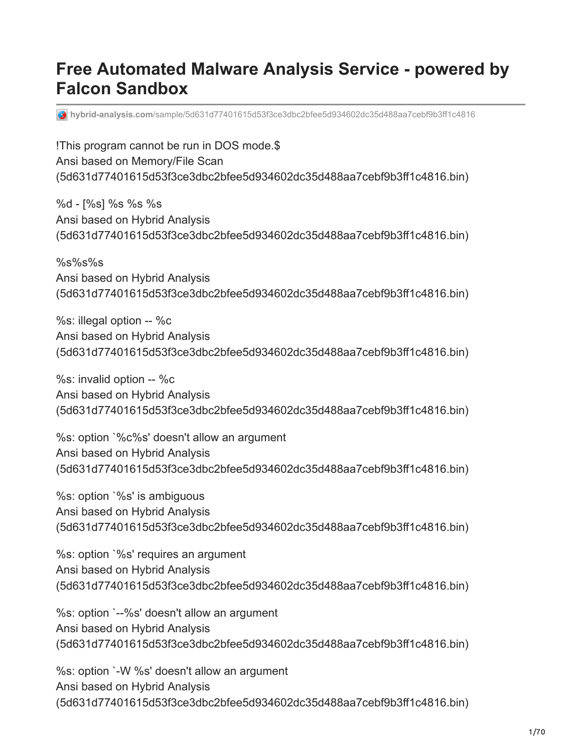# **Free Automated Malware Analysis Service - powered by Falcon Sandbox**

**hybrid-analysis.com**[/sample/5d631d77401615d53f3ce3dbc2bfee5d934602dc35d488aa7cebf9b3ff1c4816](https://www.hybrid-analysis.com/sample/5d631d77401615d53f3ce3dbc2bfee5d934602dc35d488aa7cebf9b3ff1c4816?environmentId=2)

!This program cannot be run in DOS mode.\$ Ansi based on Memory/File Scan (5d631d77401615d53f3ce3dbc2bfee5d934602dc35d488aa7cebf9b3ff1c4816.bin)

%d - [%s] %s %s %s Ansi based on Hybrid Analysis (5d631d77401615d53f3ce3dbc2bfee5d934602dc35d488aa7cebf9b3ff1c4816.bin)

%s%s%s Ansi based on Hybrid Analysis (5d631d77401615d53f3ce3dbc2bfee5d934602dc35d488aa7cebf9b3ff1c4816.bin)

%s: illegal option -- %c Ansi based on Hybrid Analysis (5d631d77401615d53f3ce3dbc2bfee5d934602dc35d488aa7cebf9b3ff1c4816.bin)

%s: invalid option -- %c Ansi based on Hybrid Analysis (5d631d77401615d53f3ce3dbc2bfee5d934602dc35d488aa7cebf9b3ff1c4816.bin)

%s: option `%c%s' doesn't allow an argument Ansi based on Hybrid Analysis (5d631d77401615d53f3ce3dbc2bfee5d934602dc35d488aa7cebf9b3ff1c4816.bin)

%s: option `%s' is ambiguous Ansi based on Hybrid Analysis (5d631d77401615d53f3ce3dbc2bfee5d934602dc35d488aa7cebf9b3ff1c4816.bin)

%s: option `%s' requires an argument Ansi based on Hybrid Analysis (5d631d77401615d53f3ce3dbc2bfee5d934602dc35d488aa7cebf9b3ff1c4816.bin)

%s: option `--%s' doesn't allow an argument Ansi based on Hybrid Analysis (5d631d77401615d53f3ce3dbc2bfee5d934602dc35d488aa7cebf9b3ff1c4816.bin)

%s: option `-W %s' doesn't allow an argument Ansi based on Hybrid Analysis (5d631d77401615d53f3ce3dbc2bfee5d934602dc35d488aa7cebf9b3ff1c4816.bin)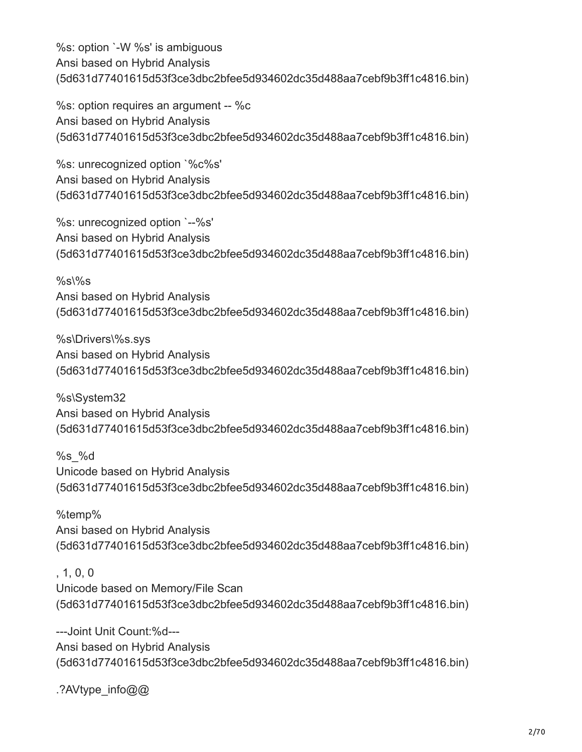%s: option `-W %s' is ambiguous Ansi based on Hybrid Analysis (5d631d77401615d53f3ce3dbc2bfee5d934602dc35d488aa7cebf9b3ff1c4816.bin)

%s: option requires an argument -- %c Ansi based on Hybrid Analysis (5d631d77401615d53f3ce3dbc2bfee5d934602dc35d488aa7cebf9b3ff1c4816.bin)

%s: unrecognized option `%c%s' Ansi based on Hybrid Analysis (5d631d77401615d53f3ce3dbc2bfee5d934602dc35d488aa7cebf9b3ff1c4816.bin)

%s: unrecognized option `--%s' Ansi based on Hybrid Analysis (5d631d77401615d53f3ce3dbc2bfee5d934602dc35d488aa7cebf9b3ff1c4816.bin)

 $%s\%s$ Ansi based on Hybrid Analysis (5d631d77401615d53f3ce3dbc2bfee5d934602dc35d488aa7cebf9b3ff1c4816.bin)

%s\Drivers\%s.sys Ansi based on Hybrid Analysis (5d631d77401615d53f3ce3dbc2bfee5d934602dc35d488aa7cebf9b3ff1c4816.bin)

%s\System32 Ansi based on Hybrid Analysis (5d631d77401615d53f3ce3dbc2bfee5d934602dc35d488aa7cebf9b3ff1c4816.bin)

%s\_%d Unicode based on Hybrid Analysis (5d631d77401615d53f3ce3dbc2bfee5d934602dc35d488aa7cebf9b3ff1c4816.bin)

%temp% Ansi based on Hybrid Analysis (5d631d77401615d53f3ce3dbc2bfee5d934602dc35d488aa7cebf9b3ff1c4816.bin)

, 1, 0, 0

Unicode based on Memory/File Scan (5d631d77401615d53f3ce3dbc2bfee5d934602dc35d488aa7cebf9b3ff1c4816.bin)

---Joint Unit Count:%d--- Ansi based on Hybrid Analysis (5d631d77401615d53f3ce3dbc2bfee5d934602dc35d488aa7cebf9b3ff1c4816.bin)

.?AVtype\_info@@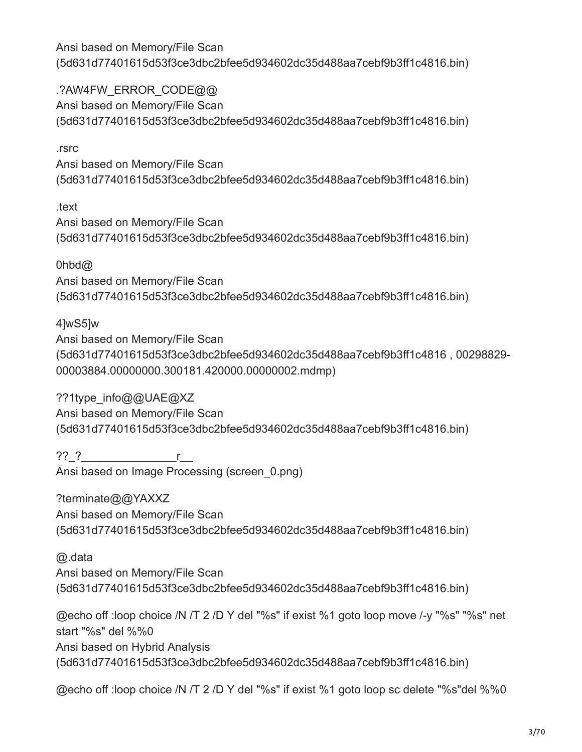.?AW4FW\_ERROR\_CODE@@ Ansi based on Memory/File Scan (5d631d77401615d53f3ce3dbc2bfee5d934602dc35d488aa7cebf9b3ff1c4816.bin)

#### .rsrc

Ansi based on Memory/File Scan (5d631d77401615d53f3ce3dbc2bfee5d934602dc35d488aa7cebf9b3ff1c4816.bin)

.text

Ansi based on Memory/File Scan (5d631d77401615d53f3ce3dbc2bfee5d934602dc35d488aa7cebf9b3ff1c4816.bin)

0hbd@

Ansi based on Memory/File Scan (5d631d77401615d53f3ce3dbc2bfee5d934602dc35d488aa7cebf9b3ff1c4816.bin)

# 4]wS5]w

Ansi based on Memory/File Scan (5d631d77401615d53f3ce3dbc2bfee5d934602dc35d488aa7cebf9b3ff1c4816 , 00298829- 00003884.00000000.300181.420000.00000002.mdmp)

??1type\_info@@UAE@XZ Ansi based on Memory/File Scan (5d631d77401615d53f3ce3dbc2bfee5d934602dc35d488aa7cebf9b3ff1c4816.bin)

??\_?\_\_\_\_\_\_\_\_\_\_\_\_\_\_\_r\_\_ Ansi based on Image Processing (screen\_0.png)

?terminate@@YAXXZ Ansi based on Memory/File Scan (5d631d77401615d53f3ce3dbc2bfee5d934602dc35d488aa7cebf9b3ff1c4816.bin)

@.data Ansi based on Memory/File Scan (5d631d77401615d53f3ce3dbc2bfee5d934602dc35d488aa7cebf9b3ff1c4816.bin)

@echo off :loop choice /N /T 2 /D Y del "%s" if exist %1 goto loop move /-y "%s" "%s" net start "%s" del %%0 Ansi based on Hybrid Analysis (5d631d77401615d53f3ce3dbc2bfee5d934602dc35d488aa7cebf9b3ff1c4816.bin)

@echo off :loop choice /N /T 2 /D Y del "%s" if exist %1 goto loop sc delete "%s"del %%0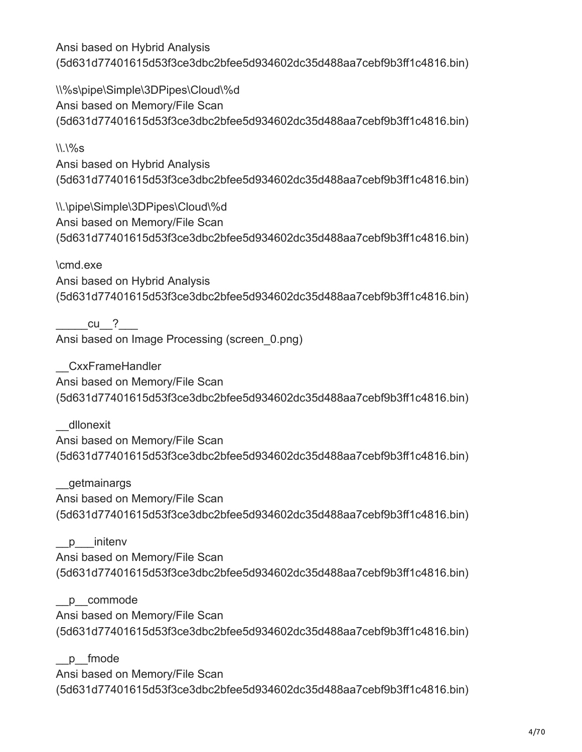\\%s\pipe\Simple\3DPipes\Cloud\%d Ansi based on Memory/File Scan (5d631d77401615d53f3ce3dbc2bfee5d934602dc35d488aa7cebf9b3ff1c4816.bin)

 $\frac{11}{96}$ 

Ansi based on Hybrid Analysis (5d631d77401615d53f3ce3dbc2bfee5d934602dc35d488aa7cebf9b3ff1c4816.bin)

\\.\pipe\Simple\3DPipes\Cloud\%d Ansi based on Memory/File Scan (5d631d77401615d53f3ce3dbc2bfee5d934602dc35d488aa7cebf9b3ff1c4816.bin)

\cmd.exe Ansi based on Hybrid Analysis (5d631d77401615d53f3ce3dbc2bfee5d934602dc35d488aa7cebf9b3ff1c4816.bin)

cu<sub>2</sub> Ansi based on Image Processing (screen\_0.png)

\_\_CxxFrameHandler Ansi based on Memory/File Scan (5d631d77401615d53f3ce3dbc2bfee5d934602dc35d488aa7cebf9b3ff1c4816.bin)

\_\_dllonexit Ansi based on Memory/File Scan (5d631d77401615d53f3ce3dbc2bfee5d934602dc35d488aa7cebf9b3ff1c4816.bin)

\_\_getmainargs Ansi based on Memory/File Scan (5d631d77401615d53f3ce3dbc2bfee5d934602dc35d488aa7cebf9b3ff1c4816.bin)

p initenv Ansi based on Memory/File Scan (5d631d77401615d53f3ce3dbc2bfee5d934602dc35d488aa7cebf9b3ff1c4816.bin)

\_\_p\_\_commode

Ansi based on Memory/File Scan (5d631d77401615d53f3ce3dbc2bfee5d934602dc35d488aa7cebf9b3ff1c4816.bin)

\_\_p\_\_fmode Ansi based on Memory/File Scan (5d631d77401615d53f3ce3dbc2bfee5d934602dc35d488aa7cebf9b3ff1c4816.bin)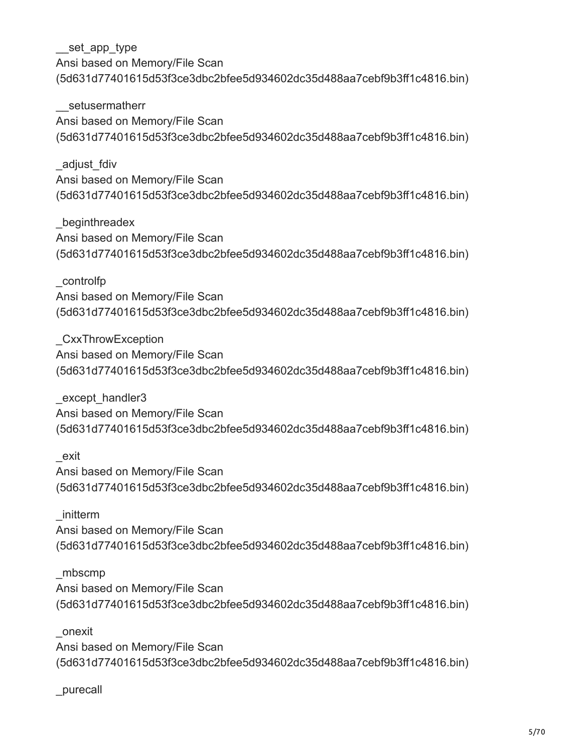setusermatherr Ansi based on Memory/File Scan (5d631d77401615d53f3ce3dbc2bfee5d934602dc35d488aa7cebf9b3ff1c4816.bin)

\_adjust\_fdiv Ansi based on Memory/File Scan (5d631d77401615d53f3ce3dbc2bfee5d934602dc35d488aa7cebf9b3ff1c4816.bin)

\_beginthreadex Ansi based on Memory/File Scan (5d631d77401615d53f3ce3dbc2bfee5d934602dc35d488aa7cebf9b3ff1c4816.bin)

\_controlfp Ansi based on Memory/File Scan (5d631d77401615d53f3ce3dbc2bfee5d934602dc35d488aa7cebf9b3ff1c4816.bin)

\_CxxThrowException Ansi based on Memory/File Scan (5d631d77401615d53f3ce3dbc2bfee5d934602dc35d488aa7cebf9b3ff1c4816.bin)

except handler3 Ansi based on Memory/File Scan (5d631d77401615d53f3ce3dbc2bfee5d934602dc35d488aa7cebf9b3ff1c4816.bin)

\_exit Ansi based on Memory/File Scan (5d631d77401615d53f3ce3dbc2bfee5d934602dc35d488aa7cebf9b3ff1c4816.bin)

\_initterm Ansi based on Memory/File Scan (5d631d77401615d53f3ce3dbc2bfee5d934602dc35d488aa7cebf9b3ff1c4816.bin)

\_mbscmp Ansi based on Memory/File Scan (5d631d77401615d53f3ce3dbc2bfee5d934602dc35d488aa7cebf9b3ff1c4816.bin)

\_onexit Ansi based on Memory/File Scan (5d631d77401615d53f3ce3dbc2bfee5d934602dc35d488aa7cebf9b3ff1c4816.bin)

\_purecall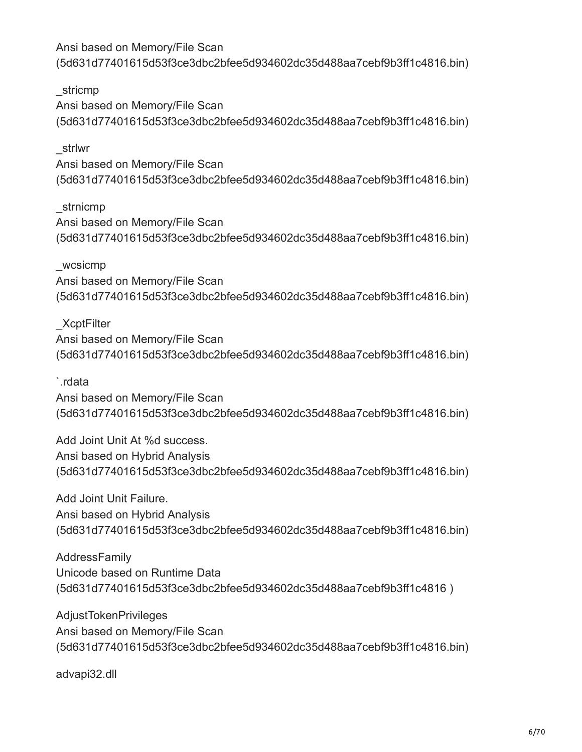\_stricmp Ansi based on Memory/File Scan (5d631d77401615d53f3ce3dbc2bfee5d934602dc35d488aa7cebf9b3ff1c4816.bin)

\_strlwr Ansi based on Memory/File Scan (5d631d77401615d53f3ce3dbc2bfee5d934602dc35d488aa7cebf9b3ff1c4816.bin)

\_strnicmp Ansi based on Memory/File Scan (5d631d77401615d53f3ce3dbc2bfee5d934602dc35d488aa7cebf9b3ff1c4816.bin)

\_wcsicmp Ansi based on Memory/File Scan (5d631d77401615d53f3ce3dbc2bfee5d934602dc35d488aa7cebf9b3ff1c4816.bin)

\_XcptFilter Ansi based on Memory/File Scan (5d631d77401615d53f3ce3dbc2bfee5d934602dc35d488aa7cebf9b3ff1c4816.bin)

`.rdata

Ansi based on Memory/File Scan (5d631d77401615d53f3ce3dbc2bfee5d934602dc35d488aa7cebf9b3ff1c4816.bin)

Add Joint Unit At %d success. Ansi based on Hybrid Analysis (5d631d77401615d53f3ce3dbc2bfee5d934602dc35d488aa7cebf9b3ff1c4816.bin)

Add Joint Unit Failure. Ansi based on Hybrid Analysis (5d631d77401615d53f3ce3dbc2bfee5d934602dc35d488aa7cebf9b3ff1c4816.bin)

AddressFamily Unicode based on Runtime Data (5d631d77401615d53f3ce3dbc2bfee5d934602dc35d488aa7cebf9b3ff1c4816 )

AdjustTokenPrivileges Ansi based on Memory/File Scan (5d631d77401615d53f3ce3dbc2bfee5d934602dc35d488aa7cebf9b3ff1c4816.bin)

advapi32.dll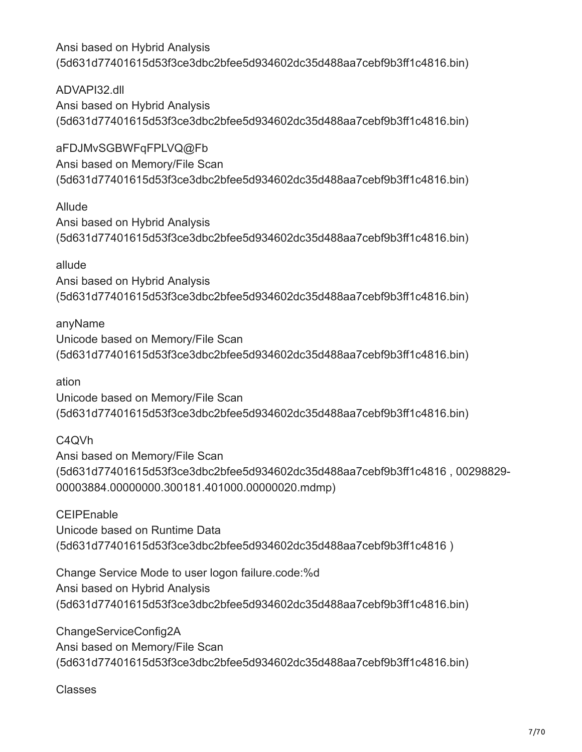ADVAPI32.dll Ansi based on Hybrid Analysis (5d631d77401615d53f3ce3dbc2bfee5d934602dc35d488aa7cebf9b3ff1c4816.bin)

aFDJMvSGBWFqFPLVQ@Fb Ansi based on Memory/File Scan (5d631d77401615d53f3ce3dbc2bfee5d934602dc35d488aa7cebf9b3ff1c4816.bin)

Allude Ansi based on Hybrid Analysis (5d631d77401615d53f3ce3dbc2bfee5d934602dc35d488aa7cebf9b3ff1c4816.bin)

allude Ansi based on Hybrid Analysis (5d631d77401615d53f3ce3dbc2bfee5d934602dc35d488aa7cebf9b3ff1c4816.bin)

anyName Unicode based on Memory/File Scan (5d631d77401615d53f3ce3dbc2bfee5d934602dc35d488aa7cebf9b3ff1c4816.bin)

ation Unicode based on Memory/File Scan (5d631d77401615d53f3ce3dbc2bfee5d934602dc35d488aa7cebf9b3ff1c4816.bin)

C4QVh Ansi based on Memory/File Scan (5d631d77401615d53f3ce3dbc2bfee5d934602dc35d488aa7cebf9b3ff1c4816 , 00298829- 00003884.00000000.300181.401000.00000020.mdmp)

**CEIPEnable** Unicode based on Runtime Data (5d631d77401615d53f3ce3dbc2bfee5d934602dc35d488aa7cebf9b3ff1c4816 )

Change Service Mode to user logon failure.code:%d Ansi based on Hybrid Analysis (5d631d77401615d53f3ce3dbc2bfee5d934602dc35d488aa7cebf9b3ff1c4816.bin)

ChangeServiceConfig2A Ansi based on Memory/File Scan (5d631d77401615d53f3ce3dbc2bfee5d934602dc35d488aa7cebf9b3ff1c4816.bin)

Classes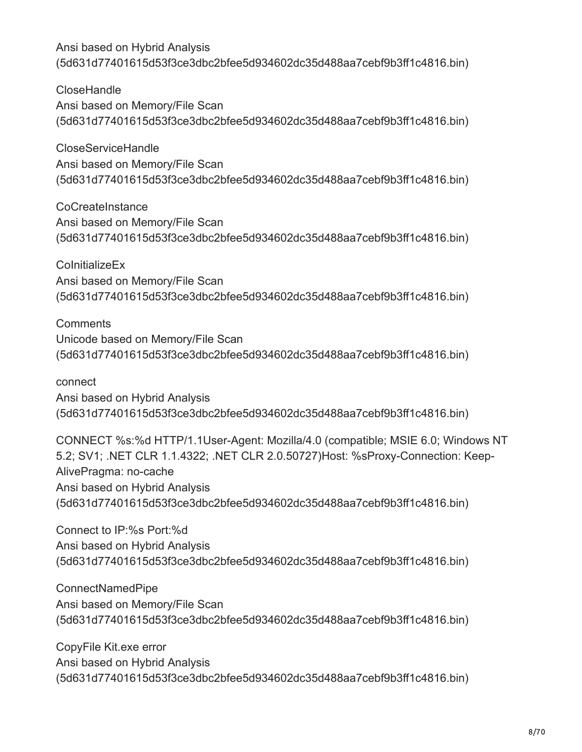**CloseHandle** Ansi based on Memory/File Scan (5d631d77401615d53f3ce3dbc2bfee5d934602dc35d488aa7cebf9b3ff1c4816.bin)

CloseServiceHandle Ansi based on Memory/File Scan (5d631d77401615d53f3ce3dbc2bfee5d934602dc35d488aa7cebf9b3ff1c4816.bin)

**CoCreateInstance** Ansi based on Memory/File Scan (5d631d77401615d53f3ce3dbc2bfee5d934602dc35d488aa7cebf9b3ff1c4816.bin)

**ColnitializeEx** Ansi based on Memory/File Scan (5d631d77401615d53f3ce3dbc2bfee5d934602dc35d488aa7cebf9b3ff1c4816.bin)

**Comments** Unicode based on Memory/File Scan (5d631d77401615d53f3ce3dbc2bfee5d934602dc35d488aa7cebf9b3ff1c4816.bin)

connect Ansi based on Hybrid Analysis (5d631d77401615d53f3ce3dbc2bfee5d934602dc35d488aa7cebf9b3ff1c4816.bin)

CONNECT %s:%d HTTP/1.1User-Agent: Mozilla/4.0 (compatible; MSIE 6.0; Windows NT 5.2; SV1; .NET CLR 1.1.4322; .NET CLR 2.0.50727)Host: %sProxy-Connection: Keep-AlivePragma: no-cache Ansi based on Hybrid Analysis (5d631d77401615d53f3ce3dbc2bfee5d934602dc35d488aa7cebf9b3ff1c4816.bin)

Connect to IP:%s Port:%d Ansi based on Hybrid Analysis (5d631d77401615d53f3ce3dbc2bfee5d934602dc35d488aa7cebf9b3ff1c4816.bin)

ConnectNamedPipe Ansi based on Memory/File Scan (5d631d77401615d53f3ce3dbc2bfee5d934602dc35d488aa7cebf9b3ff1c4816.bin)

CopyFile Kit.exe error Ansi based on Hybrid Analysis (5d631d77401615d53f3ce3dbc2bfee5d934602dc35d488aa7cebf9b3ff1c4816.bin)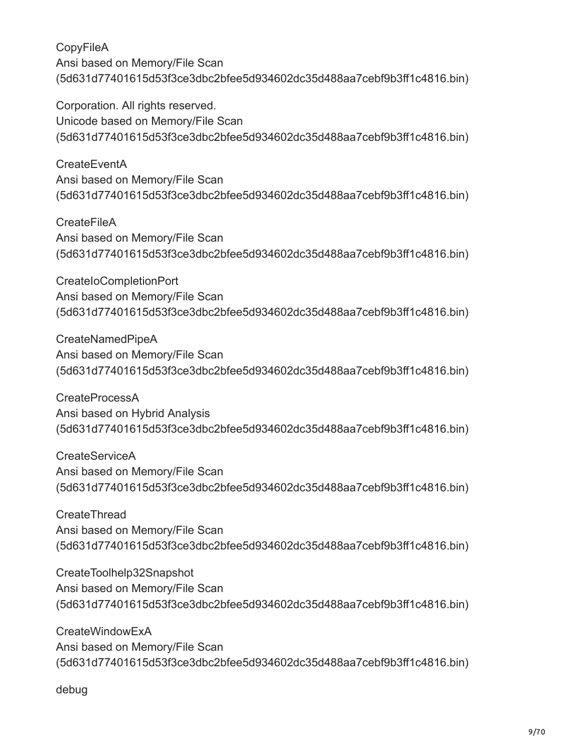Corporation. All rights reserved. Unicode based on Memory/File Scan (5d631d77401615d53f3ce3dbc2bfee5d934602dc35d488aa7cebf9b3ff1c4816.bin)

**CreateEventA** Ansi based on Memory/File Scan (5d631d77401615d53f3ce3dbc2bfee5d934602dc35d488aa7cebf9b3ff1c4816.bin)

**CreateFileA** Ansi based on Memory/File Scan (5d631d77401615d53f3ce3dbc2bfee5d934602dc35d488aa7cebf9b3ff1c4816.bin)

CreateIoCompletionPort Ansi based on Memory/File Scan (5d631d77401615d53f3ce3dbc2bfee5d934602dc35d488aa7cebf9b3ff1c4816.bin)

CreateNamedPipeA Ansi based on Memory/File Scan (5d631d77401615d53f3ce3dbc2bfee5d934602dc35d488aa7cebf9b3ff1c4816.bin)

CreateProcessA Ansi based on Hybrid Analysis (5d631d77401615d53f3ce3dbc2bfee5d934602dc35d488aa7cebf9b3ff1c4816.bin)

CreateServiceA Ansi based on Memory/File Scan (5d631d77401615d53f3ce3dbc2bfee5d934602dc35d488aa7cebf9b3ff1c4816.bin)

**CreateThread** Ansi based on Memory/File Scan (5d631d77401615d53f3ce3dbc2bfee5d934602dc35d488aa7cebf9b3ff1c4816.bin)

CreateToolhelp32Snapshot Ansi based on Memory/File Scan (5d631d77401615d53f3ce3dbc2bfee5d934602dc35d488aa7cebf9b3ff1c4816.bin)

CreateWindowExA Ansi based on Memory/File Scan (5d631d77401615d53f3ce3dbc2bfee5d934602dc35d488aa7cebf9b3ff1c4816.bin)

debug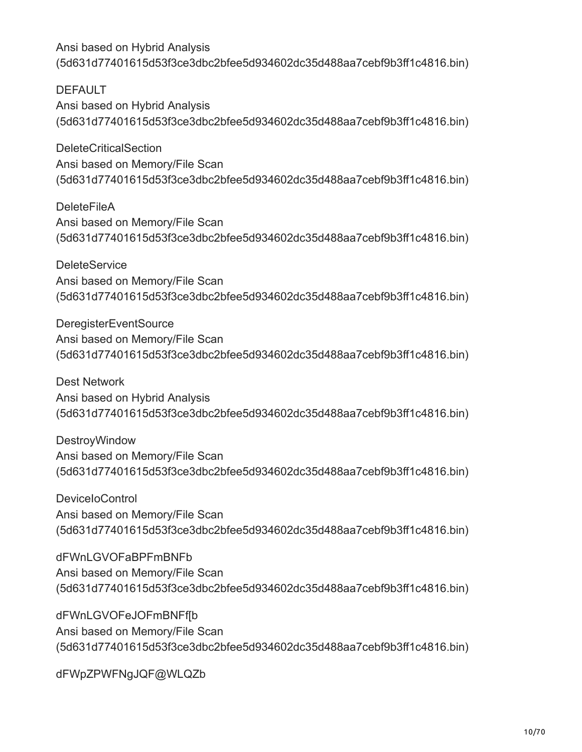DEFAULT Ansi based on Hybrid Analysis (5d631d77401615d53f3ce3dbc2bfee5d934602dc35d488aa7cebf9b3ff1c4816.bin)

DeleteCriticalSection Ansi based on Memory/File Scan (5d631d77401615d53f3ce3dbc2bfee5d934602dc35d488aa7cebf9b3ff1c4816.bin)

**DeleteFileA** Ansi based on Memory/File Scan (5d631d77401615d53f3ce3dbc2bfee5d934602dc35d488aa7cebf9b3ff1c4816.bin)

**DeleteService** Ansi based on Memory/File Scan (5d631d77401615d53f3ce3dbc2bfee5d934602dc35d488aa7cebf9b3ff1c4816.bin)

DeregisterEventSource Ansi based on Memory/File Scan (5d631d77401615d53f3ce3dbc2bfee5d934602dc35d488aa7cebf9b3ff1c4816.bin)

Dest Network Ansi based on Hybrid Analysis (5d631d77401615d53f3ce3dbc2bfee5d934602dc35d488aa7cebf9b3ff1c4816.bin)

DestroyWindow Ansi based on Memory/File Scan (5d631d77401615d53f3ce3dbc2bfee5d934602dc35d488aa7cebf9b3ff1c4816.bin)

DeviceIoControl Ansi based on Memory/File Scan (5d631d77401615d53f3ce3dbc2bfee5d934602dc35d488aa7cebf9b3ff1c4816.bin)

dFWnLGVOFaBPFmBNFb Ansi based on Memory/File Scan (5d631d77401615d53f3ce3dbc2bfee5d934602dc35d488aa7cebf9b3ff1c4816.bin)

dFWnLGVOFeJOFmBNFf[b Ansi based on Memory/File Scan (5d631d77401615d53f3ce3dbc2bfee5d934602dc35d488aa7cebf9b3ff1c4816.bin)

dFWpZPWFNgJQF@WLQZb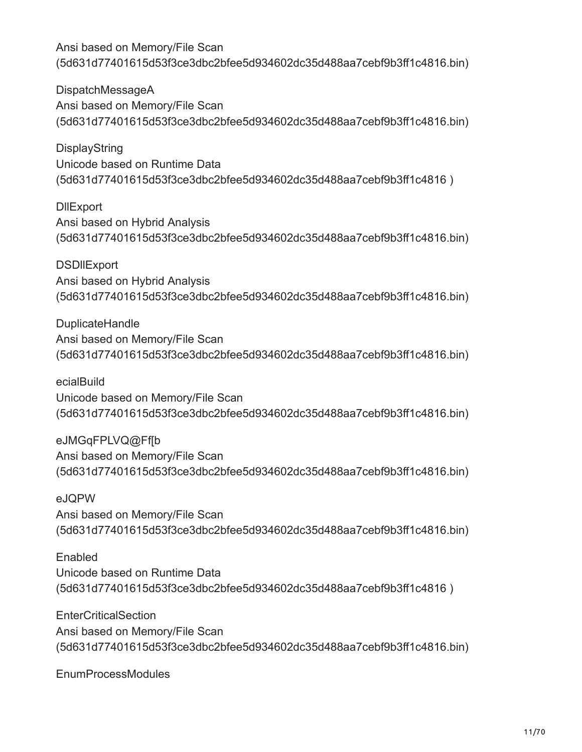DispatchMessageA Ansi based on Memory/File Scan (5d631d77401615d53f3ce3dbc2bfee5d934602dc35d488aa7cebf9b3ff1c4816.bin)

DisplayString Unicode based on Runtime Data (5d631d77401615d53f3ce3dbc2bfee5d934602dc35d488aa7cebf9b3ff1c4816 )

**DIIExport** Ansi based on Hybrid Analysis (5d631d77401615d53f3ce3dbc2bfee5d934602dc35d488aa7cebf9b3ff1c4816.bin)

**DSDIIExport** Ansi based on Hybrid Analysis (5d631d77401615d53f3ce3dbc2bfee5d934602dc35d488aa7cebf9b3ff1c4816.bin)

DuplicateHandle Ansi based on Memory/File Scan (5d631d77401615d53f3ce3dbc2bfee5d934602dc35d488aa7cebf9b3ff1c4816.bin)

ecialBuild Unicode based on Memory/File Scan (5d631d77401615d53f3ce3dbc2bfee5d934602dc35d488aa7cebf9b3ff1c4816.bin)

eJMGqFPLVQ@Ff[b Ansi based on Memory/File Scan (5d631d77401615d53f3ce3dbc2bfee5d934602dc35d488aa7cebf9b3ff1c4816.bin)

eJQPW Ansi based on Memory/File Scan (5d631d77401615d53f3ce3dbc2bfee5d934602dc35d488aa7cebf9b3ff1c4816.bin)

Enabled Unicode based on Runtime Data (5d631d77401615d53f3ce3dbc2bfee5d934602dc35d488aa7cebf9b3ff1c4816 )

**EnterCriticalSection** Ansi based on Memory/File Scan (5d631d77401615d53f3ce3dbc2bfee5d934602dc35d488aa7cebf9b3ff1c4816.bin)

EnumProcessModules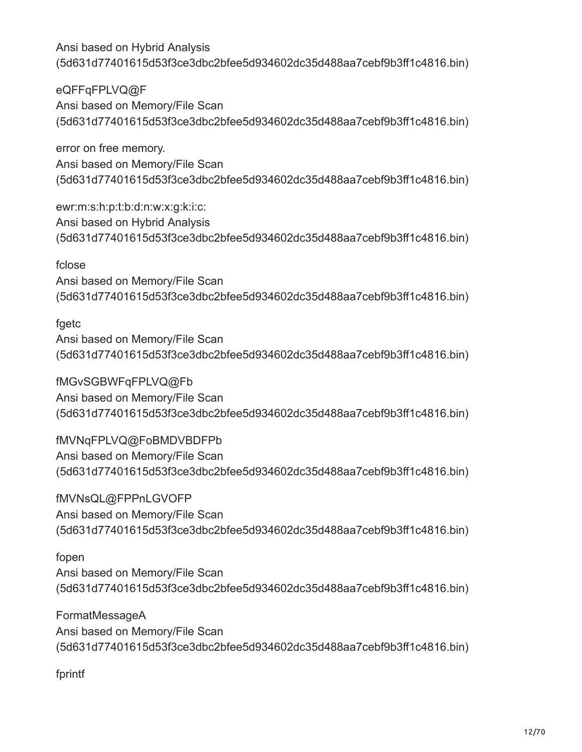eQFFqFPLVQ@F Ansi based on Memory/File Scan (5d631d77401615d53f3ce3dbc2bfee5d934602dc35d488aa7cebf9b3ff1c4816.bin)

error on free memory. Ansi based on Memory/File Scan (5d631d77401615d53f3ce3dbc2bfee5d934602dc35d488aa7cebf9b3ff1c4816.bin)

ewr:m:s:h:p:t:b:d:n:w:x:g:k:i:c: Ansi based on Hybrid Analysis (5d631d77401615d53f3ce3dbc2bfee5d934602dc35d488aa7cebf9b3ff1c4816.bin)

## fclose

Ansi based on Memory/File Scan (5d631d77401615d53f3ce3dbc2bfee5d934602dc35d488aa7cebf9b3ff1c4816.bin)

# fgetc

Ansi based on Memory/File Scan (5d631d77401615d53f3ce3dbc2bfee5d934602dc35d488aa7cebf9b3ff1c4816.bin)

fMGvSGBWFqFPLVQ@Fb Ansi based on Memory/File Scan (5d631d77401615d53f3ce3dbc2bfee5d934602dc35d488aa7cebf9b3ff1c4816.bin)

fMVNqFPLVQ@FoBMDVBDFPb Ansi based on Memory/File Scan (5d631d77401615d53f3ce3dbc2bfee5d934602dc35d488aa7cebf9b3ff1c4816.bin)

fMVNsQL@FPPnLGVOFP Ansi based on Memory/File Scan (5d631d77401615d53f3ce3dbc2bfee5d934602dc35d488aa7cebf9b3ff1c4816.bin)

# fopen

Ansi based on Memory/File Scan (5d631d77401615d53f3ce3dbc2bfee5d934602dc35d488aa7cebf9b3ff1c4816.bin)

FormatMessageA Ansi based on Memory/File Scan (5d631d77401615d53f3ce3dbc2bfee5d934602dc35d488aa7cebf9b3ff1c4816.bin)

fprintf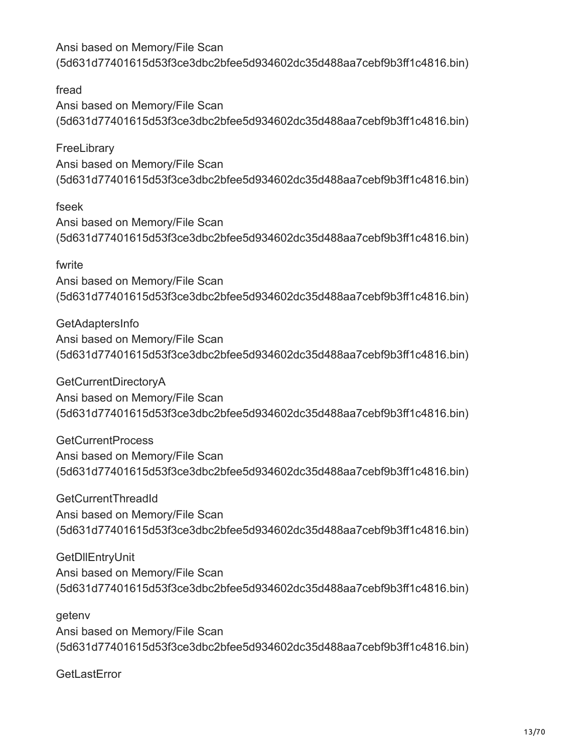fread Ansi based on Memory/File Scan (5d631d77401615d53f3ce3dbc2bfee5d934602dc35d488aa7cebf9b3ff1c4816.bin)

**FreeLibrary** Ansi based on Memory/File Scan (5d631d77401615d53f3ce3dbc2bfee5d934602dc35d488aa7cebf9b3ff1c4816.bin)

fseek Ansi based on Memory/File Scan (5d631d77401615d53f3ce3dbc2bfee5d934602dc35d488aa7cebf9b3ff1c4816.bin)

## fwrite

Ansi based on Memory/File Scan (5d631d77401615d53f3ce3dbc2bfee5d934602dc35d488aa7cebf9b3ff1c4816.bin)

GetAdaptersInfo Ansi based on Memory/File Scan (5d631d77401615d53f3ce3dbc2bfee5d934602dc35d488aa7cebf9b3ff1c4816.bin)

GetCurrentDirectoryA Ansi based on Memory/File Scan (5d631d77401615d53f3ce3dbc2bfee5d934602dc35d488aa7cebf9b3ff1c4816.bin)

GetCurrentProcess Ansi based on Memory/File Scan (5d631d77401615d53f3ce3dbc2bfee5d934602dc35d488aa7cebf9b3ff1c4816.bin)

GetCurrentThreadId Ansi based on Memory/File Scan (5d631d77401615d53f3ce3dbc2bfee5d934602dc35d488aa7cebf9b3ff1c4816.bin)

GetDllEntryUnit Ansi based on Memory/File Scan (5d631d77401615d53f3ce3dbc2bfee5d934602dc35d488aa7cebf9b3ff1c4816.bin)

getenv Ansi based on Memory/File Scan (5d631d77401615d53f3ce3dbc2bfee5d934602dc35d488aa7cebf9b3ff1c4816.bin)

**GetLastError**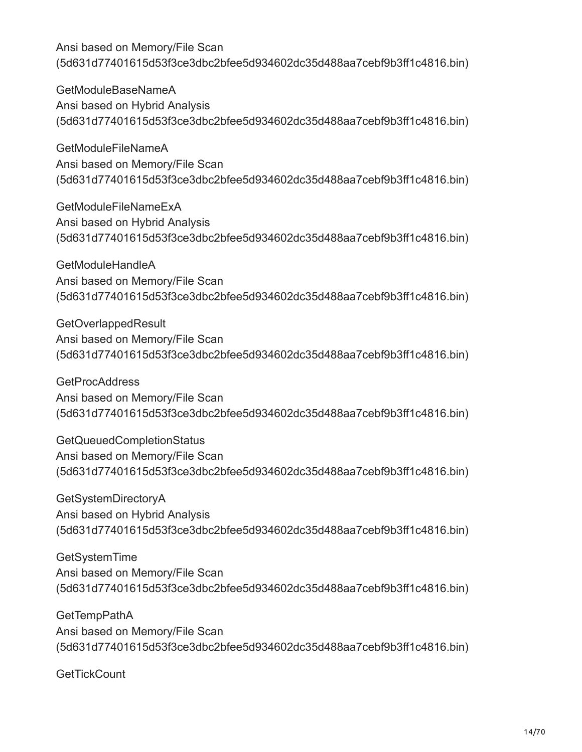GetModuleBaseNameA Ansi based on Hybrid Analysis (5d631d77401615d53f3ce3dbc2bfee5d934602dc35d488aa7cebf9b3ff1c4816.bin)

GetModuleFileNameA Ansi based on Memory/File Scan (5d631d77401615d53f3ce3dbc2bfee5d934602dc35d488aa7cebf9b3ff1c4816.bin)

GetModuleFileNameExA Ansi based on Hybrid Analysis (5d631d77401615d53f3ce3dbc2bfee5d934602dc35d488aa7cebf9b3ff1c4816.bin)

GetModuleHandleA Ansi based on Memory/File Scan (5d631d77401615d53f3ce3dbc2bfee5d934602dc35d488aa7cebf9b3ff1c4816.bin)

GetOverlappedResult Ansi based on Memory/File Scan (5d631d77401615d53f3ce3dbc2bfee5d934602dc35d488aa7cebf9b3ff1c4816.bin)

**GetProcAddress** Ansi based on Memory/File Scan (5d631d77401615d53f3ce3dbc2bfee5d934602dc35d488aa7cebf9b3ff1c4816.bin)

GetQueuedCompletionStatus Ansi based on Memory/File Scan (5d631d77401615d53f3ce3dbc2bfee5d934602dc35d488aa7cebf9b3ff1c4816.bin)

GetSystemDirectoryA Ansi based on Hybrid Analysis (5d631d77401615d53f3ce3dbc2bfee5d934602dc35d488aa7cebf9b3ff1c4816.bin)

GetSystemTime Ansi based on Memory/File Scan (5d631d77401615d53f3ce3dbc2bfee5d934602dc35d488aa7cebf9b3ff1c4816.bin)

**GetTempPathA** Ansi based on Memory/File Scan (5d631d77401615d53f3ce3dbc2bfee5d934602dc35d488aa7cebf9b3ff1c4816.bin)

**GetTickCount**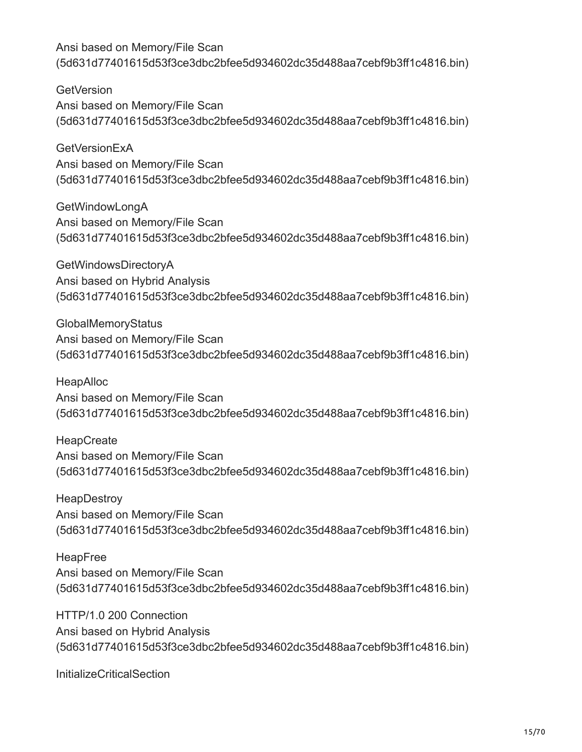**GetVersion** Ansi based on Memory/File Scan (5d631d77401615d53f3ce3dbc2bfee5d934602dc35d488aa7cebf9b3ff1c4816.bin)

**GetVersionExA** Ansi based on Memory/File Scan (5d631d77401615d53f3ce3dbc2bfee5d934602dc35d488aa7cebf9b3ff1c4816.bin)

GetWindowLongA Ansi based on Memory/File Scan (5d631d77401615d53f3ce3dbc2bfee5d934602dc35d488aa7cebf9b3ff1c4816.bin)

GetWindowsDirectoryA Ansi based on Hybrid Analysis (5d631d77401615d53f3ce3dbc2bfee5d934602dc35d488aa7cebf9b3ff1c4816.bin)

GlobalMemoryStatus Ansi based on Memory/File Scan (5d631d77401615d53f3ce3dbc2bfee5d934602dc35d488aa7cebf9b3ff1c4816.bin)

HeapAlloc Ansi based on Memory/File Scan (5d631d77401615d53f3ce3dbc2bfee5d934602dc35d488aa7cebf9b3ff1c4816.bin)

**HeapCreate** Ansi based on Memory/File Scan (5d631d77401615d53f3ce3dbc2bfee5d934602dc35d488aa7cebf9b3ff1c4816.bin)

**HeapDestroy** Ansi based on Memory/File Scan (5d631d77401615d53f3ce3dbc2bfee5d934602dc35d488aa7cebf9b3ff1c4816.bin)

HeapFree Ansi based on Memory/File Scan (5d631d77401615d53f3ce3dbc2bfee5d934602dc35d488aa7cebf9b3ff1c4816.bin)

HTTP/1.0 200 Connection Ansi based on Hybrid Analysis (5d631d77401615d53f3ce3dbc2bfee5d934602dc35d488aa7cebf9b3ff1c4816.bin)

InitializeCriticalSection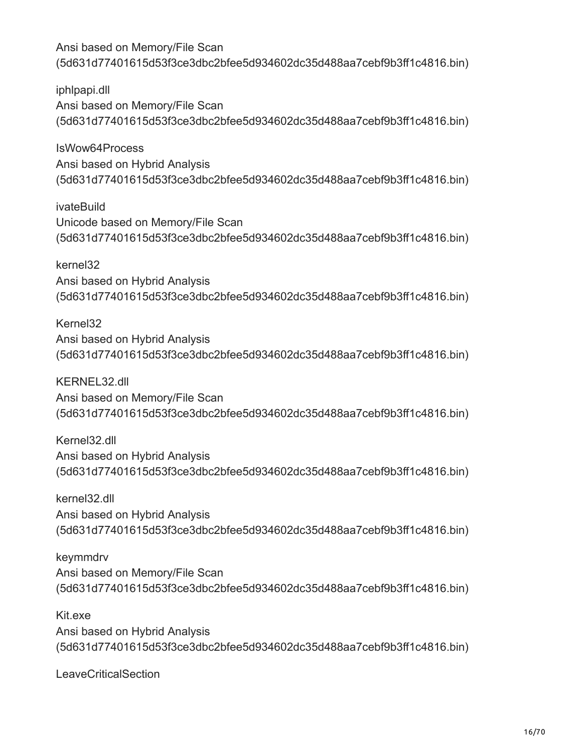iphlpapi.dll Ansi based on Memory/File Scan (5d631d77401615d53f3ce3dbc2bfee5d934602dc35d488aa7cebf9b3ff1c4816.bin)

IsWow64Process Ansi based on Hybrid Analysis (5d631d77401615d53f3ce3dbc2bfee5d934602dc35d488aa7cebf9b3ff1c4816.bin)

ivateBuild Unicode based on Memory/File Scan (5d631d77401615d53f3ce3dbc2bfee5d934602dc35d488aa7cebf9b3ff1c4816.bin)

kernel32 Ansi based on Hybrid Analysis (5d631d77401615d53f3ce3dbc2bfee5d934602dc35d488aa7cebf9b3ff1c4816.bin)

Kernel32 Ansi based on Hybrid Analysis (5d631d77401615d53f3ce3dbc2bfee5d934602dc35d488aa7cebf9b3ff1c4816.bin)

KERNEL32.dll Ansi based on Memory/File Scan (5d631d77401615d53f3ce3dbc2bfee5d934602dc35d488aa7cebf9b3ff1c4816.bin)

Kernel32.dll Ansi based on Hybrid Analysis (5d631d77401615d53f3ce3dbc2bfee5d934602dc35d488aa7cebf9b3ff1c4816.bin)

kernel32.dll Ansi based on Hybrid Analysis (5d631d77401615d53f3ce3dbc2bfee5d934602dc35d488aa7cebf9b3ff1c4816.bin)

keymmdrv Ansi based on Memory/File Scan (5d631d77401615d53f3ce3dbc2bfee5d934602dc35d488aa7cebf9b3ff1c4816.bin)

Kit.exe Ansi based on Hybrid Analysis (5d631d77401615d53f3ce3dbc2bfee5d934602dc35d488aa7cebf9b3ff1c4816.bin)

**LeaveCriticalSection**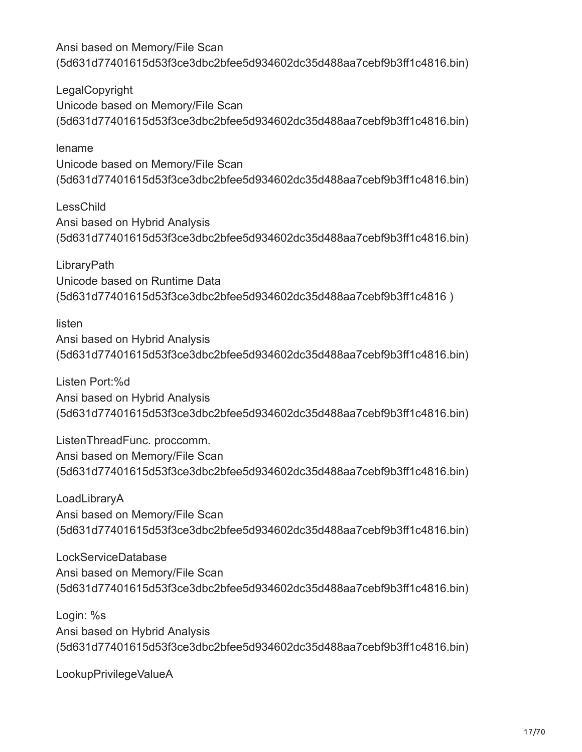LegalCopyright Unicode based on Memory/File Scan (5d631d77401615d53f3ce3dbc2bfee5d934602dc35d488aa7cebf9b3ff1c4816.bin)

lename Unicode based on Memory/File Scan (5d631d77401615d53f3ce3dbc2bfee5d934602dc35d488aa7cebf9b3ff1c4816.bin)

LessChild Ansi based on Hybrid Analysis (5d631d77401615d53f3ce3dbc2bfee5d934602dc35d488aa7cebf9b3ff1c4816.bin)

**LibraryPath** Unicode based on Runtime Data (5d631d77401615d53f3ce3dbc2bfee5d934602dc35d488aa7cebf9b3ff1c4816 )

listen Ansi based on Hybrid Analysis (5d631d77401615d53f3ce3dbc2bfee5d934602dc35d488aa7cebf9b3ff1c4816.bin)

Listen Port:%d Ansi based on Hybrid Analysis (5d631d77401615d53f3ce3dbc2bfee5d934602dc35d488aa7cebf9b3ff1c4816.bin)

ListenThreadFunc. proccomm. Ansi based on Memory/File Scan (5d631d77401615d53f3ce3dbc2bfee5d934602dc35d488aa7cebf9b3ff1c4816.bin)

LoadLibraryA Ansi based on Memory/File Scan (5d631d77401615d53f3ce3dbc2bfee5d934602dc35d488aa7cebf9b3ff1c4816.bin)

LockServiceDatabase Ansi based on Memory/File Scan (5d631d77401615d53f3ce3dbc2bfee5d934602dc35d488aa7cebf9b3ff1c4816.bin)

Login: %s Ansi based on Hybrid Analysis (5d631d77401615d53f3ce3dbc2bfee5d934602dc35d488aa7cebf9b3ff1c4816.bin)

LookupPrivilegeValueA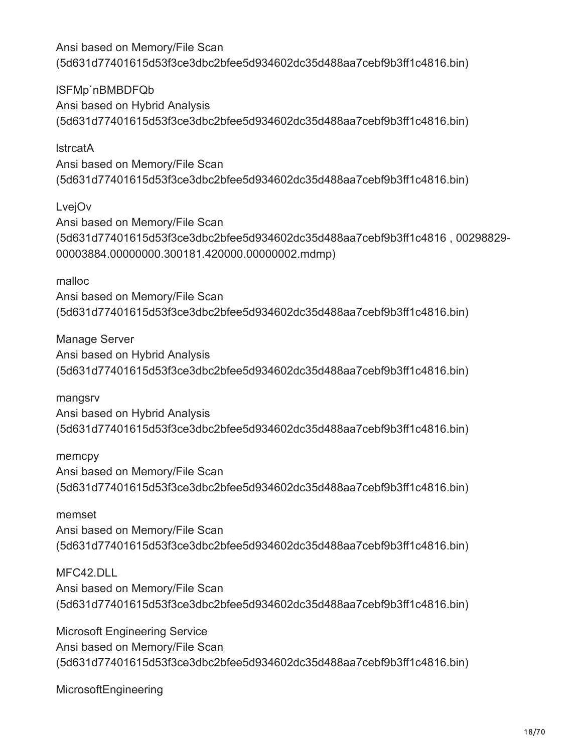lSFMp`nBMBDFQb Ansi based on Hybrid Analysis (5d631d77401615d53f3ce3dbc2bfee5d934602dc35d488aa7cebf9b3ff1c4816.bin)

**lstrcatA** Ansi based on Memory/File Scan (5d631d77401615d53f3ce3dbc2bfee5d934602dc35d488aa7cebf9b3ff1c4816.bin)

LvejOv Ansi based on Memory/File Scan (5d631d77401615d53f3ce3dbc2bfee5d934602dc35d488aa7cebf9b3ff1c4816 , 00298829- 00003884.00000000.300181.420000.00000002.mdmp)

malloc Ansi based on Memory/File Scan (5d631d77401615d53f3ce3dbc2bfee5d934602dc35d488aa7cebf9b3ff1c4816.bin)

Manage Server Ansi based on Hybrid Analysis (5d631d77401615d53f3ce3dbc2bfee5d934602dc35d488aa7cebf9b3ff1c4816.bin)

mangsrv Ansi based on Hybrid Analysis (5d631d77401615d53f3ce3dbc2bfee5d934602dc35d488aa7cebf9b3ff1c4816.bin)

memcpy Ansi based on Memory/File Scan (5d631d77401615d53f3ce3dbc2bfee5d934602dc35d488aa7cebf9b3ff1c4816.bin)

memset Ansi based on Memory/File Scan (5d631d77401615d53f3ce3dbc2bfee5d934602dc35d488aa7cebf9b3ff1c4816.bin)

MFC42.DLL Ansi based on Memory/File Scan (5d631d77401615d53f3ce3dbc2bfee5d934602dc35d488aa7cebf9b3ff1c4816.bin)

Microsoft Engineering Service Ansi based on Memory/File Scan (5d631d77401615d53f3ce3dbc2bfee5d934602dc35d488aa7cebf9b3ff1c4816.bin)

MicrosoftEngineering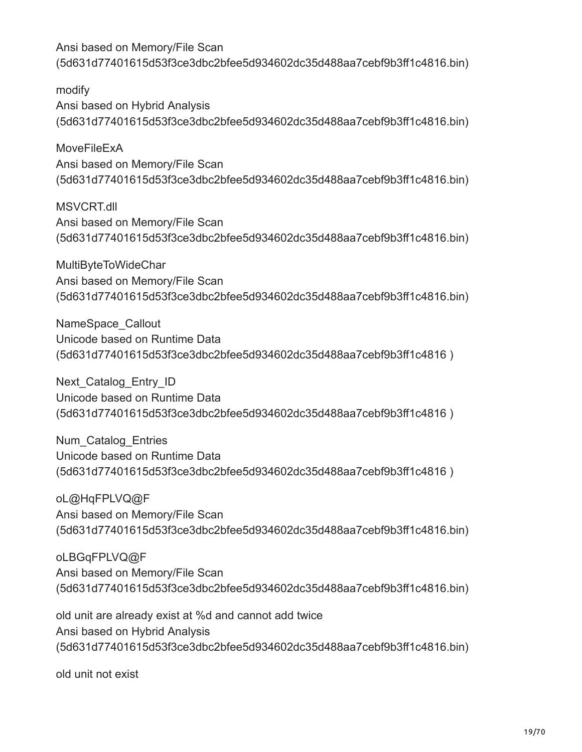modify Ansi based on Hybrid Analysis (5d631d77401615d53f3ce3dbc2bfee5d934602dc35d488aa7cebf9b3ff1c4816.bin)

MoveFileExA Ansi based on Memory/File Scan (5d631d77401615d53f3ce3dbc2bfee5d934602dc35d488aa7cebf9b3ff1c4816.bin)

MSVCRT.dll Ansi based on Memory/File Scan (5d631d77401615d53f3ce3dbc2bfee5d934602dc35d488aa7cebf9b3ff1c4816.bin)

MultiByteToWideChar Ansi based on Memory/File Scan (5d631d77401615d53f3ce3dbc2bfee5d934602dc35d488aa7cebf9b3ff1c4816.bin)

NameSpace\_Callout Unicode based on Runtime Data (5d631d77401615d53f3ce3dbc2bfee5d934602dc35d488aa7cebf9b3ff1c4816 )

Next Catalog Entry ID Unicode based on Runtime Data (5d631d77401615d53f3ce3dbc2bfee5d934602dc35d488aa7cebf9b3ff1c4816 )

Num\_Catalog\_Entries Unicode based on Runtime Data (5d631d77401615d53f3ce3dbc2bfee5d934602dc35d488aa7cebf9b3ff1c4816 )

oL@HqFPLVQ@F Ansi based on Memory/File Scan (5d631d77401615d53f3ce3dbc2bfee5d934602dc35d488aa7cebf9b3ff1c4816.bin)

oLBGqFPLVQ@F Ansi based on Memory/File Scan (5d631d77401615d53f3ce3dbc2bfee5d934602dc35d488aa7cebf9b3ff1c4816.bin)

old unit are already exist at %d and cannot add twice Ansi based on Hybrid Analysis (5d631d77401615d53f3ce3dbc2bfee5d934602dc35d488aa7cebf9b3ff1c4816.bin)

old unit not exist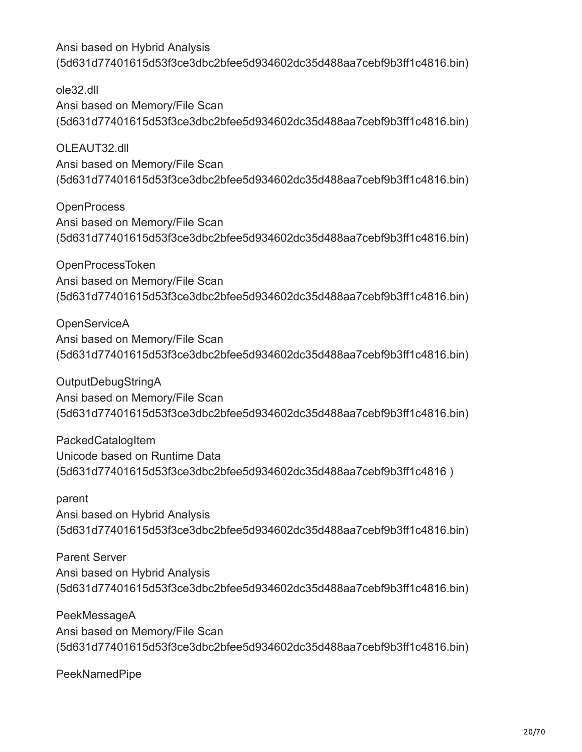ole32.dll Ansi based on Memory/File Scan (5d631d77401615d53f3ce3dbc2bfee5d934602dc35d488aa7cebf9b3ff1c4816.bin)

OLEAUT32.dll Ansi based on Memory/File Scan (5d631d77401615d53f3ce3dbc2bfee5d934602dc35d488aa7cebf9b3ff1c4816.bin)

**OpenProcess** Ansi based on Memory/File Scan (5d631d77401615d53f3ce3dbc2bfee5d934602dc35d488aa7cebf9b3ff1c4816.bin)

OpenProcessToken Ansi based on Memory/File Scan (5d631d77401615d53f3ce3dbc2bfee5d934602dc35d488aa7cebf9b3ff1c4816.bin)

**OpenServiceA** Ansi based on Memory/File Scan (5d631d77401615d53f3ce3dbc2bfee5d934602dc35d488aa7cebf9b3ff1c4816.bin)

OutputDebugStringA Ansi based on Memory/File Scan (5d631d77401615d53f3ce3dbc2bfee5d934602dc35d488aa7cebf9b3ff1c4816.bin)

PackedCatalogItem Unicode based on Runtime Data (5d631d77401615d53f3ce3dbc2bfee5d934602dc35d488aa7cebf9b3ff1c4816 )

parent Ansi based on Hybrid Analysis (5d631d77401615d53f3ce3dbc2bfee5d934602dc35d488aa7cebf9b3ff1c4816.bin)

Parent Server Ansi based on Hybrid Analysis (5d631d77401615d53f3ce3dbc2bfee5d934602dc35d488aa7cebf9b3ff1c4816.bin)

PeekMessageA Ansi based on Memory/File Scan (5d631d77401615d53f3ce3dbc2bfee5d934602dc35d488aa7cebf9b3ff1c4816.bin)

PeekNamedPipe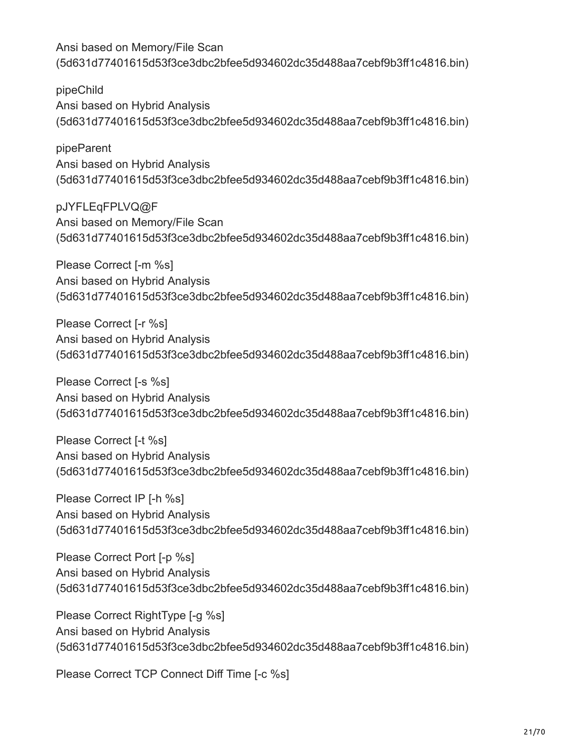pipeChild Ansi based on Hybrid Analysis (5d631d77401615d53f3ce3dbc2bfee5d934602dc35d488aa7cebf9b3ff1c4816.bin)

pipeParent Ansi based on Hybrid Analysis (5d631d77401615d53f3ce3dbc2bfee5d934602dc35d488aa7cebf9b3ff1c4816.bin)

pJYFLEqFPLVQ@F Ansi based on Memory/File Scan (5d631d77401615d53f3ce3dbc2bfee5d934602dc35d488aa7cebf9b3ff1c4816.bin)

Please Correct [-m %s] Ansi based on Hybrid Analysis (5d631d77401615d53f3ce3dbc2bfee5d934602dc35d488aa7cebf9b3ff1c4816.bin)

Please Correct [-r %s] Ansi based on Hybrid Analysis (5d631d77401615d53f3ce3dbc2bfee5d934602dc35d488aa7cebf9b3ff1c4816.bin)

Please Correct [-s %s] Ansi based on Hybrid Analysis (5d631d77401615d53f3ce3dbc2bfee5d934602dc35d488aa7cebf9b3ff1c4816.bin)

Please Correct [-t %s] Ansi based on Hybrid Analysis (5d631d77401615d53f3ce3dbc2bfee5d934602dc35d488aa7cebf9b3ff1c4816.bin)

Please Correct IP [-h %s] Ansi based on Hybrid Analysis (5d631d77401615d53f3ce3dbc2bfee5d934602dc35d488aa7cebf9b3ff1c4816.bin)

Please Correct Port [-p %s] Ansi based on Hybrid Analysis (5d631d77401615d53f3ce3dbc2bfee5d934602dc35d488aa7cebf9b3ff1c4816.bin)

Please Correct RightType [-g %s] Ansi based on Hybrid Analysis (5d631d77401615d53f3ce3dbc2bfee5d934602dc35d488aa7cebf9b3ff1c4816.bin)

Please Correct TCP Connect Diff Time [-c %s]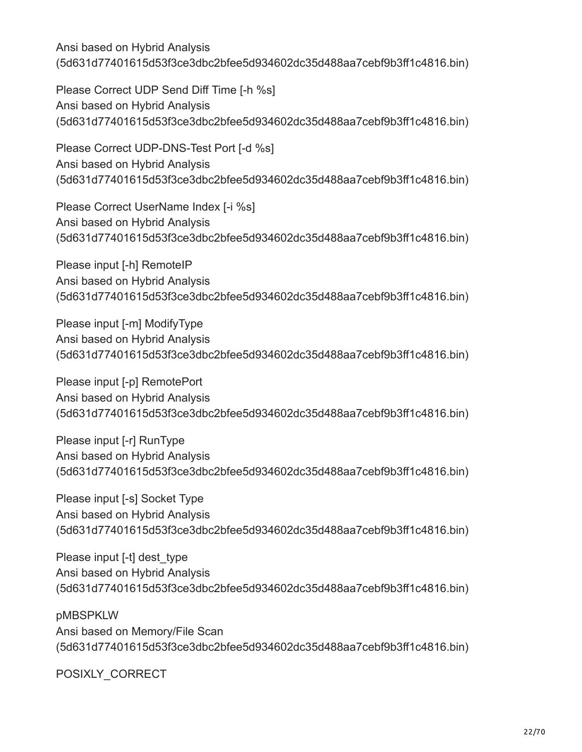Please Correct UDP Send Diff Time [-h %s] Ansi based on Hybrid Analysis (5d631d77401615d53f3ce3dbc2bfee5d934602dc35d488aa7cebf9b3ff1c4816.bin)

Please Correct UDP-DNS-Test Port [-d %s] Ansi based on Hybrid Analysis (5d631d77401615d53f3ce3dbc2bfee5d934602dc35d488aa7cebf9b3ff1c4816.bin)

Please Correct UserName Index [-i %s] Ansi based on Hybrid Analysis (5d631d77401615d53f3ce3dbc2bfee5d934602dc35d488aa7cebf9b3ff1c4816.bin)

Please input [-h] RemoteIP Ansi based on Hybrid Analysis (5d631d77401615d53f3ce3dbc2bfee5d934602dc35d488aa7cebf9b3ff1c4816.bin)

Please input [-m] ModifyType Ansi based on Hybrid Analysis (5d631d77401615d53f3ce3dbc2bfee5d934602dc35d488aa7cebf9b3ff1c4816.bin)

Please input [-p] RemotePort Ansi based on Hybrid Analysis (5d631d77401615d53f3ce3dbc2bfee5d934602dc35d488aa7cebf9b3ff1c4816.bin)

Please input [-r] RunType Ansi based on Hybrid Analysis (5d631d77401615d53f3ce3dbc2bfee5d934602dc35d488aa7cebf9b3ff1c4816.bin)

Please input [-s] Socket Type Ansi based on Hybrid Analysis (5d631d77401615d53f3ce3dbc2bfee5d934602dc35d488aa7cebf9b3ff1c4816.bin)

Please input [-t] dest type Ansi based on Hybrid Analysis (5d631d77401615d53f3ce3dbc2bfee5d934602dc35d488aa7cebf9b3ff1c4816.bin)

pMBSPKLW Ansi based on Memory/File Scan (5d631d77401615d53f3ce3dbc2bfee5d934602dc35d488aa7cebf9b3ff1c4816.bin)

POSIXLY\_CORRECT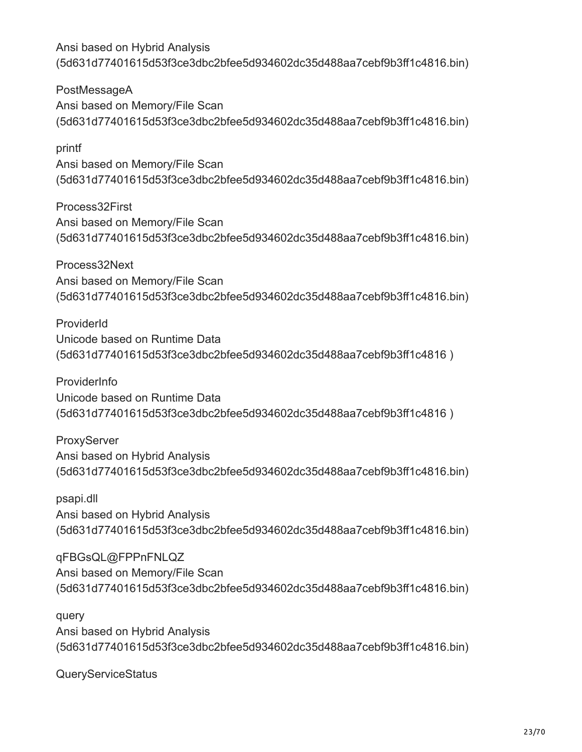PostMessageA Ansi based on Memory/File Scan (5d631d77401615d53f3ce3dbc2bfee5d934602dc35d488aa7cebf9b3ff1c4816.bin)

printf Ansi based on Memory/File Scan (5d631d77401615d53f3ce3dbc2bfee5d934602dc35d488aa7cebf9b3ff1c4816.bin)

Process32First Ansi based on Memory/File Scan (5d631d77401615d53f3ce3dbc2bfee5d934602dc35d488aa7cebf9b3ff1c4816.bin)

Process32Next Ansi based on Memory/File Scan (5d631d77401615d53f3ce3dbc2bfee5d934602dc35d488aa7cebf9b3ff1c4816.bin)

ProviderId Unicode based on Runtime Data (5d631d77401615d53f3ce3dbc2bfee5d934602dc35d488aa7cebf9b3ff1c4816 )

ProviderInfo Unicode based on Runtime Data (5d631d77401615d53f3ce3dbc2bfee5d934602dc35d488aa7cebf9b3ff1c4816 )

**ProxyServer** Ansi based on Hybrid Analysis (5d631d77401615d53f3ce3dbc2bfee5d934602dc35d488aa7cebf9b3ff1c4816.bin)

psapi.dll Ansi based on Hybrid Analysis (5d631d77401615d53f3ce3dbc2bfee5d934602dc35d488aa7cebf9b3ff1c4816.bin)

qFBGsQL@FPPnFNLQZ Ansi based on Memory/File Scan (5d631d77401615d53f3ce3dbc2bfee5d934602dc35d488aa7cebf9b3ff1c4816.bin)

query Ansi based on Hybrid Analysis (5d631d77401615d53f3ce3dbc2bfee5d934602dc35d488aa7cebf9b3ff1c4816.bin)

QueryServiceStatus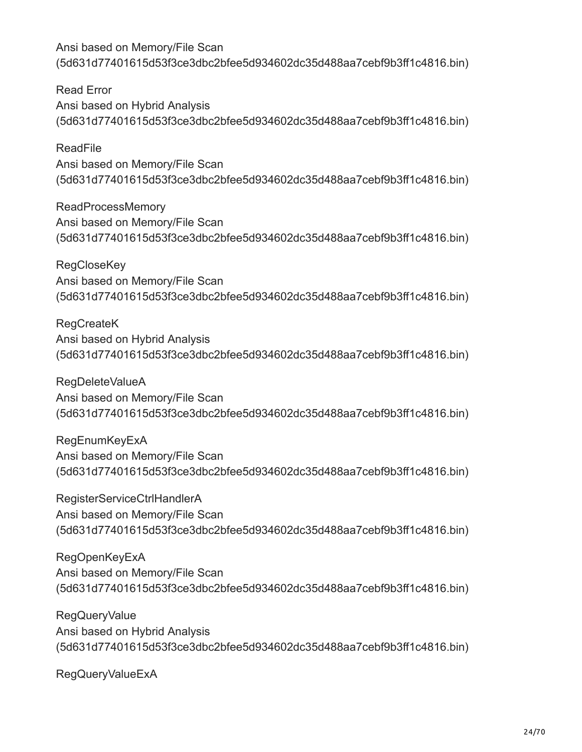Read Error Ansi based on Hybrid Analysis (5d631d77401615d53f3ce3dbc2bfee5d934602dc35d488aa7cebf9b3ff1c4816.bin)

ReadFile Ansi based on Memory/File Scan (5d631d77401615d53f3ce3dbc2bfee5d934602dc35d488aa7cebf9b3ff1c4816.bin)

ReadProcessMemory Ansi based on Memory/File Scan (5d631d77401615d53f3ce3dbc2bfee5d934602dc35d488aa7cebf9b3ff1c4816.bin)

**RegCloseKey** Ansi based on Memory/File Scan (5d631d77401615d53f3ce3dbc2bfee5d934602dc35d488aa7cebf9b3ff1c4816.bin)

RegCreateK Ansi based on Hybrid Analysis (5d631d77401615d53f3ce3dbc2bfee5d934602dc35d488aa7cebf9b3ff1c4816.bin)

RegDeleteValueA Ansi based on Memory/File Scan (5d631d77401615d53f3ce3dbc2bfee5d934602dc35d488aa7cebf9b3ff1c4816.bin)

**RegEnumKeyExA** Ansi based on Memory/File Scan (5d631d77401615d53f3ce3dbc2bfee5d934602dc35d488aa7cebf9b3ff1c4816.bin)

RegisterServiceCtrlHandlerA Ansi based on Memory/File Scan (5d631d77401615d53f3ce3dbc2bfee5d934602dc35d488aa7cebf9b3ff1c4816.bin)

RegOpenKeyExA Ansi based on Memory/File Scan (5d631d77401615d53f3ce3dbc2bfee5d934602dc35d488aa7cebf9b3ff1c4816.bin)

RegQueryValue Ansi based on Hybrid Analysis (5d631d77401615d53f3ce3dbc2bfee5d934602dc35d488aa7cebf9b3ff1c4816.bin)

RegQueryValueExA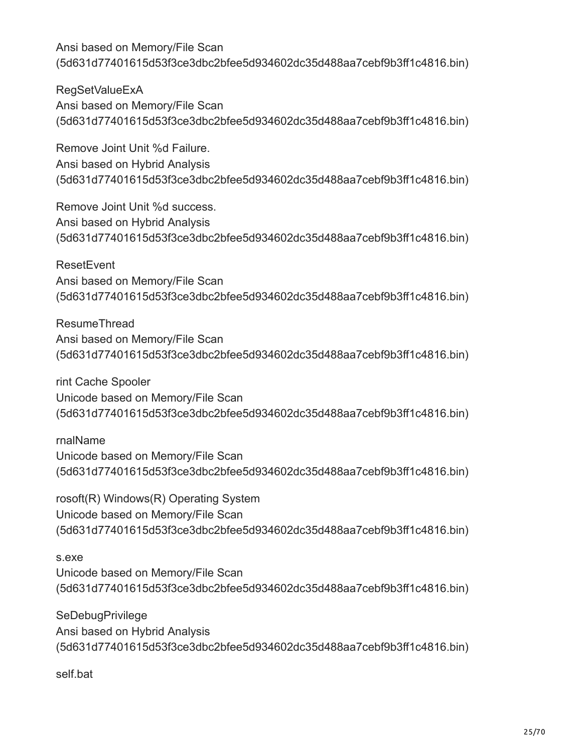RegSetValueExA Ansi based on Memory/File Scan (5d631d77401615d53f3ce3dbc2bfee5d934602dc35d488aa7cebf9b3ff1c4816.bin)

Remove Joint Unit %d Failure. Ansi based on Hybrid Analysis (5d631d77401615d53f3ce3dbc2bfee5d934602dc35d488aa7cebf9b3ff1c4816.bin)

Remove Joint Unit %d success. Ansi based on Hybrid Analysis (5d631d77401615d53f3ce3dbc2bfee5d934602dc35d488aa7cebf9b3ff1c4816.bin)

**ResetEvent** Ansi based on Memory/File Scan (5d631d77401615d53f3ce3dbc2bfee5d934602dc35d488aa7cebf9b3ff1c4816.bin)

ResumeThread Ansi based on Memory/File Scan (5d631d77401615d53f3ce3dbc2bfee5d934602dc35d488aa7cebf9b3ff1c4816.bin)

rint Cache Spooler Unicode based on Memory/File Scan (5d631d77401615d53f3ce3dbc2bfee5d934602dc35d488aa7cebf9b3ff1c4816.bin)

rnalName Unicode based on Memory/File Scan (5d631d77401615d53f3ce3dbc2bfee5d934602dc35d488aa7cebf9b3ff1c4816.bin)

rosoft(R) Windows(R) Operating System Unicode based on Memory/File Scan (5d631d77401615d53f3ce3dbc2bfee5d934602dc35d488aa7cebf9b3ff1c4816.bin)

s.exe Unicode based on Memory/File Scan (5d631d77401615d53f3ce3dbc2bfee5d934602dc35d488aa7cebf9b3ff1c4816.bin)

**SeDebugPrivilege** Ansi based on Hybrid Analysis (5d631d77401615d53f3ce3dbc2bfee5d934602dc35d488aa7cebf9b3ff1c4816.bin)

self.bat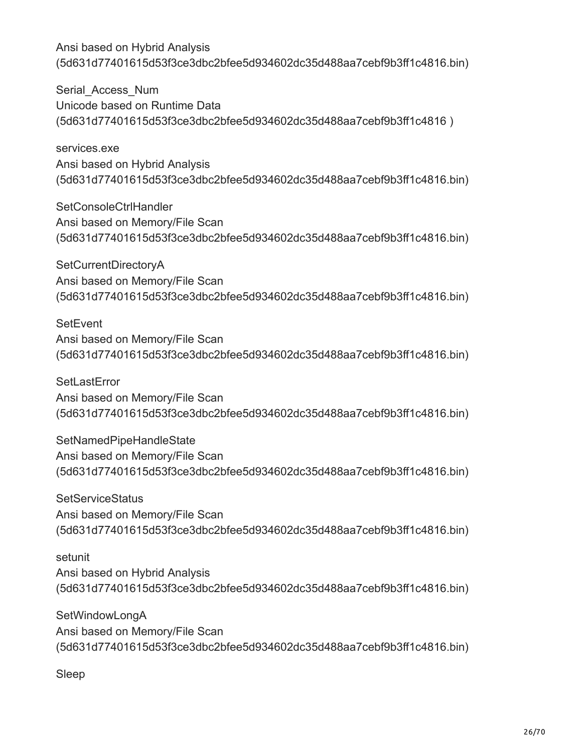Serial Access Num Unicode based on Runtime Data (5d631d77401615d53f3ce3dbc2bfee5d934602dc35d488aa7cebf9b3ff1c4816 )

services.exe Ansi based on Hybrid Analysis (5d631d77401615d53f3ce3dbc2bfee5d934602dc35d488aa7cebf9b3ff1c4816.bin)

SetConsoleCtrlHandler Ansi based on Memory/File Scan (5d631d77401615d53f3ce3dbc2bfee5d934602dc35d488aa7cebf9b3ff1c4816.bin)

SetCurrentDirectoryA Ansi based on Memory/File Scan (5d631d77401615d53f3ce3dbc2bfee5d934602dc35d488aa7cebf9b3ff1c4816.bin)

**SetEvent** Ansi based on Memory/File Scan (5d631d77401615d53f3ce3dbc2bfee5d934602dc35d488aa7cebf9b3ff1c4816.bin)

**SetLastError** Ansi based on Memory/File Scan (5d631d77401615d53f3ce3dbc2bfee5d934602dc35d488aa7cebf9b3ff1c4816.bin)

SetNamedPipeHandleState Ansi based on Memory/File Scan (5d631d77401615d53f3ce3dbc2bfee5d934602dc35d488aa7cebf9b3ff1c4816.bin)

**SetServiceStatus** Ansi based on Memory/File Scan (5d631d77401615d53f3ce3dbc2bfee5d934602dc35d488aa7cebf9b3ff1c4816.bin)

setunit Ansi based on Hybrid Analysis (5d631d77401615d53f3ce3dbc2bfee5d934602dc35d488aa7cebf9b3ff1c4816.bin)

SetWindowLongA Ansi based on Memory/File Scan (5d631d77401615d53f3ce3dbc2bfee5d934602dc35d488aa7cebf9b3ff1c4816.bin)

Sleep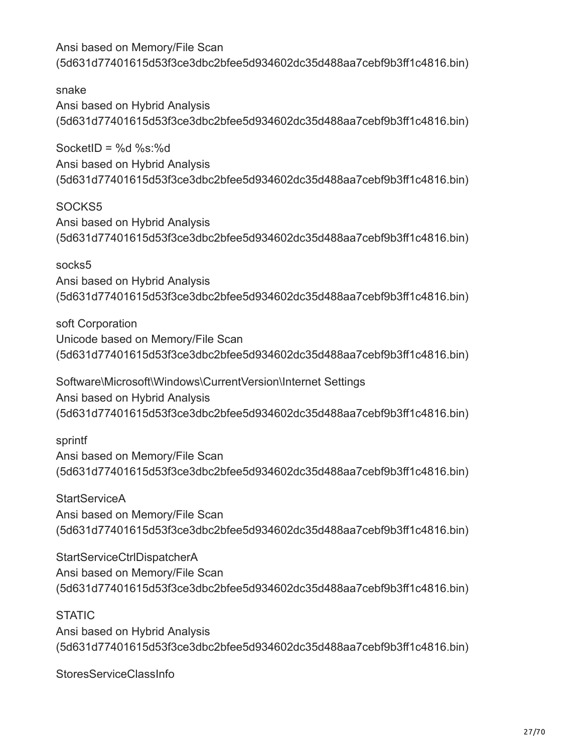snake Ansi based on Hybrid Analysis (5d631d77401615d53f3ce3dbc2bfee5d934602dc35d488aa7cebf9b3ff1c4816.bin)

SocketID =  $%d$  %s: $%d$ Ansi based on Hybrid Analysis (5d631d77401615d53f3ce3dbc2bfee5d934602dc35d488aa7cebf9b3ff1c4816.bin)

SOCKS5 Ansi based on Hybrid Analysis (5d631d77401615d53f3ce3dbc2bfee5d934602dc35d488aa7cebf9b3ff1c4816.bin)

socks5 Ansi based on Hybrid Analysis (5d631d77401615d53f3ce3dbc2bfee5d934602dc35d488aa7cebf9b3ff1c4816.bin)

soft Corporation Unicode based on Memory/File Scan (5d631d77401615d53f3ce3dbc2bfee5d934602dc35d488aa7cebf9b3ff1c4816.bin)

Software\Microsoft\Windows\CurrentVersion\Internet Settings Ansi based on Hybrid Analysis (5d631d77401615d53f3ce3dbc2bfee5d934602dc35d488aa7cebf9b3ff1c4816.bin)

sprintf Ansi based on Memory/File Scan (5d631d77401615d53f3ce3dbc2bfee5d934602dc35d488aa7cebf9b3ff1c4816.bin)

**StartServiceA** Ansi based on Memory/File Scan (5d631d77401615d53f3ce3dbc2bfee5d934602dc35d488aa7cebf9b3ff1c4816.bin)

StartServiceCtrlDispatcherA Ansi based on Memory/File Scan (5d631d77401615d53f3ce3dbc2bfee5d934602dc35d488aa7cebf9b3ff1c4816.bin)

**STATIC** 

Ansi based on Hybrid Analysis (5d631d77401615d53f3ce3dbc2bfee5d934602dc35d488aa7cebf9b3ff1c4816.bin)

StoresServiceClassInfo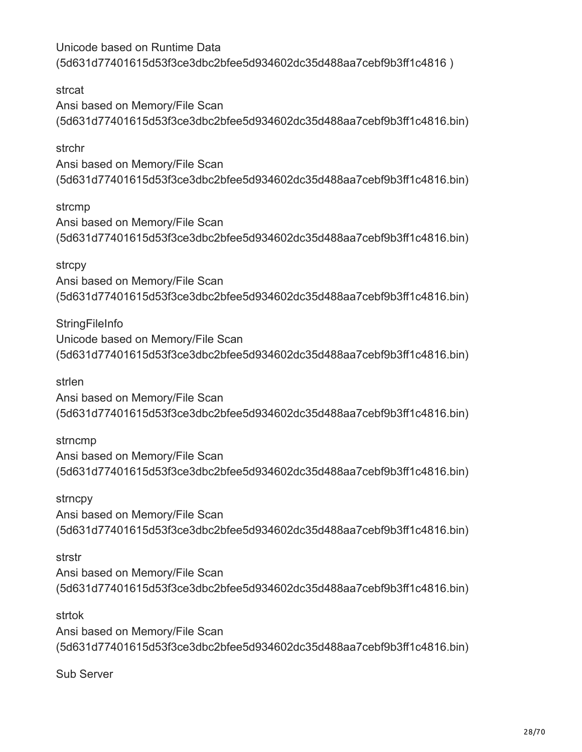Unicode based on Runtime Data (5d631d77401615d53f3ce3dbc2bfee5d934602dc35d488aa7cebf9b3ff1c4816 )

strcat Ansi based on Memory/File Scan (5d631d77401615d53f3ce3dbc2bfee5d934602dc35d488aa7cebf9b3ff1c4816.bin)

strchr Ansi based on Memory/File Scan (5d631d77401615d53f3ce3dbc2bfee5d934602dc35d488aa7cebf9b3ff1c4816.bin)

strcmp Ansi based on Memory/File Scan (5d631d77401615d53f3ce3dbc2bfee5d934602dc35d488aa7cebf9b3ff1c4816.bin)

strcpy Ansi based on Memory/File Scan (5d631d77401615d53f3ce3dbc2bfee5d934602dc35d488aa7cebf9b3ff1c4816.bin)

**StringFileInfo** Unicode based on Memory/File Scan (5d631d77401615d53f3ce3dbc2bfee5d934602dc35d488aa7cebf9b3ff1c4816.bin)

strlen

Ansi based on Memory/File Scan (5d631d77401615d53f3ce3dbc2bfee5d934602dc35d488aa7cebf9b3ff1c4816.bin)

strncmp Ansi based on Memory/File Scan (5d631d77401615d53f3ce3dbc2bfee5d934602dc35d488aa7cebf9b3ff1c4816.bin)

strncpy Ansi based on Memory/File Scan (5d631d77401615d53f3ce3dbc2bfee5d934602dc35d488aa7cebf9b3ff1c4816.bin)

strstr

Ansi based on Memory/File Scan (5d631d77401615d53f3ce3dbc2bfee5d934602dc35d488aa7cebf9b3ff1c4816.bin)

strtok Ansi based on Memory/File Scan (5d631d77401615d53f3ce3dbc2bfee5d934602dc35d488aa7cebf9b3ff1c4816.bin)

Sub Server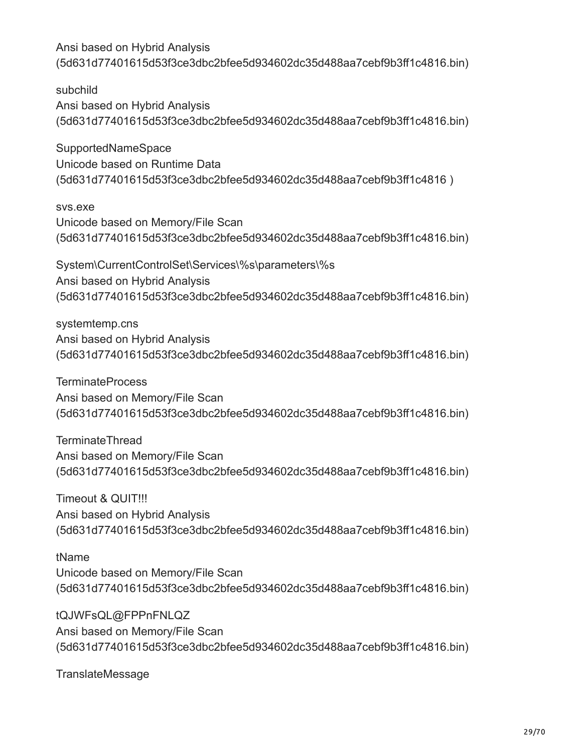subchild Ansi based on Hybrid Analysis (5d631d77401615d53f3ce3dbc2bfee5d934602dc35d488aa7cebf9b3ff1c4816.bin)

SupportedNameSpace Unicode based on Runtime Data (5d631d77401615d53f3ce3dbc2bfee5d934602dc35d488aa7cebf9b3ff1c4816 )

svs.exe Unicode based on Memory/File Scan (5d631d77401615d53f3ce3dbc2bfee5d934602dc35d488aa7cebf9b3ff1c4816.bin)

System\CurrentControlSet\Services\%s\parameters\%s Ansi based on Hybrid Analysis (5d631d77401615d53f3ce3dbc2bfee5d934602dc35d488aa7cebf9b3ff1c4816.bin)

systemtemp.cns Ansi based on Hybrid Analysis (5d631d77401615d53f3ce3dbc2bfee5d934602dc35d488aa7cebf9b3ff1c4816.bin)

**TerminateProcess** Ansi based on Memory/File Scan (5d631d77401615d53f3ce3dbc2bfee5d934602dc35d488aa7cebf9b3ff1c4816.bin)

TerminateThread Ansi based on Memory/File Scan (5d631d77401615d53f3ce3dbc2bfee5d934602dc35d488aa7cebf9b3ff1c4816.bin)

Timeout & QUIT!!! Ansi based on Hybrid Analysis (5d631d77401615d53f3ce3dbc2bfee5d934602dc35d488aa7cebf9b3ff1c4816.bin)

tName Unicode based on Memory/File Scan (5d631d77401615d53f3ce3dbc2bfee5d934602dc35d488aa7cebf9b3ff1c4816.bin)

tQJWFsQL@FPPnFNLQZ Ansi based on Memory/File Scan (5d631d77401615d53f3ce3dbc2bfee5d934602dc35d488aa7cebf9b3ff1c4816.bin)

TranslateMessage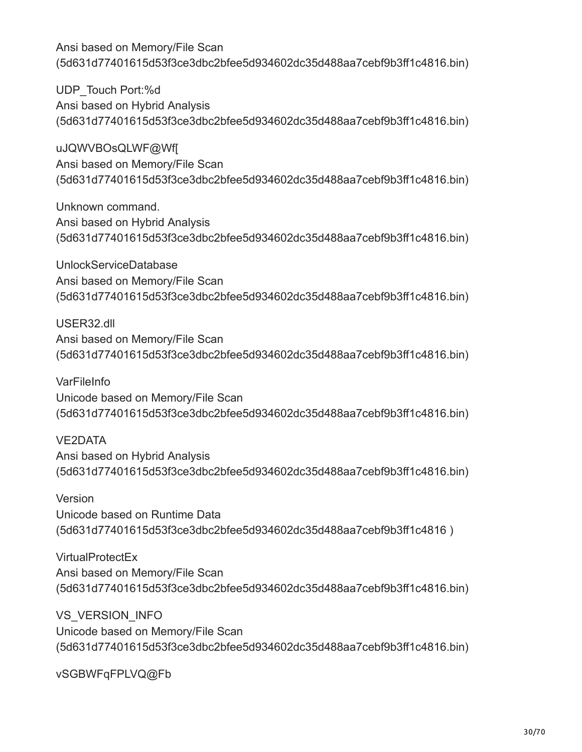UDP\_Touch Port:%d Ansi based on Hybrid Analysis (5d631d77401615d53f3ce3dbc2bfee5d934602dc35d488aa7cebf9b3ff1c4816.bin)

uJQWVBOsQLWF@Wf[ Ansi based on Memory/File Scan (5d631d77401615d53f3ce3dbc2bfee5d934602dc35d488aa7cebf9b3ff1c4816.bin)

Unknown command. Ansi based on Hybrid Analysis (5d631d77401615d53f3ce3dbc2bfee5d934602dc35d488aa7cebf9b3ff1c4816.bin)

UnlockServiceDatabase Ansi based on Memory/File Scan (5d631d77401615d53f3ce3dbc2bfee5d934602dc35d488aa7cebf9b3ff1c4816.bin)

USER32.dll Ansi based on Memory/File Scan (5d631d77401615d53f3ce3dbc2bfee5d934602dc35d488aa7cebf9b3ff1c4816.bin)

**VarFileInfo** Unicode based on Memory/File Scan (5d631d77401615d53f3ce3dbc2bfee5d934602dc35d488aa7cebf9b3ff1c4816.bin)

VE2DATA Ansi based on Hybrid Analysis (5d631d77401615d53f3ce3dbc2bfee5d934602dc35d488aa7cebf9b3ff1c4816.bin)

Version Unicode based on Runtime Data (5d631d77401615d53f3ce3dbc2bfee5d934602dc35d488aa7cebf9b3ff1c4816 )

VirtualProtectEx Ansi based on Memory/File Scan (5d631d77401615d53f3ce3dbc2bfee5d934602dc35d488aa7cebf9b3ff1c4816.bin)

VS\_VERSION\_INFO Unicode based on Memory/File Scan (5d631d77401615d53f3ce3dbc2bfee5d934602dc35d488aa7cebf9b3ff1c4816.bin)

vSGBWFqFPLVQ@Fb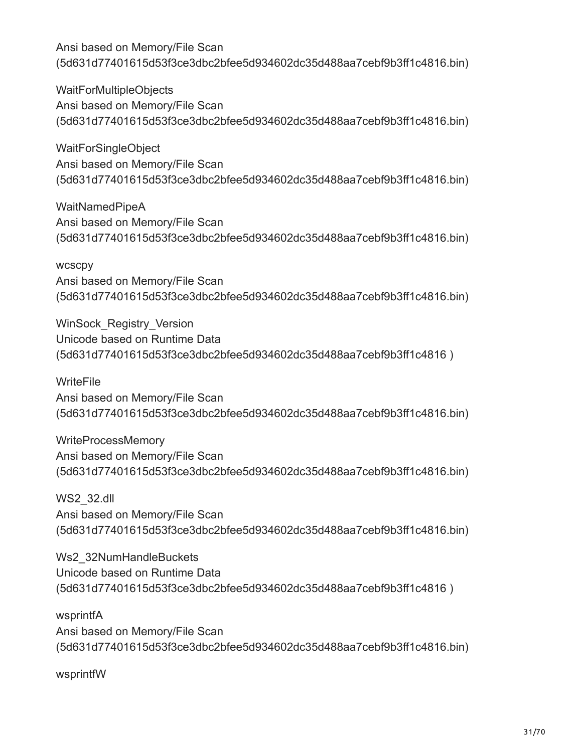WaitForMultipleObjects Ansi based on Memory/File Scan (5d631d77401615d53f3ce3dbc2bfee5d934602dc35d488aa7cebf9b3ff1c4816.bin)

WaitForSingleObject Ansi based on Memory/File Scan (5d631d77401615d53f3ce3dbc2bfee5d934602dc35d488aa7cebf9b3ff1c4816.bin)

WaitNamedPipeA Ansi based on Memory/File Scan (5d631d77401615d53f3ce3dbc2bfee5d934602dc35d488aa7cebf9b3ff1c4816.bin)

**wcscpy** Ansi based on Memory/File Scan (5d631d77401615d53f3ce3dbc2bfee5d934602dc35d488aa7cebf9b3ff1c4816.bin)

WinSock Registry Version Unicode based on Runtime Data (5d631d77401615d53f3ce3dbc2bfee5d934602dc35d488aa7cebf9b3ff1c4816 )

**WriteFile** Ansi based on Memory/File Scan (5d631d77401615d53f3ce3dbc2bfee5d934602dc35d488aa7cebf9b3ff1c4816.bin)

WriteProcessMemory Ansi based on Memory/File Scan (5d631d77401615d53f3ce3dbc2bfee5d934602dc35d488aa7cebf9b3ff1c4816.bin)

WS2\_32.dll Ansi based on Memory/File Scan (5d631d77401615d53f3ce3dbc2bfee5d934602dc35d488aa7cebf9b3ff1c4816.bin)

Ws2\_32NumHandleBuckets Unicode based on Runtime Data (5d631d77401615d53f3ce3dbc2bfee5d934602dc35d488aa7cebf9b3ff1c4816 )

wsprintfA Ansi based on Memory/File Scan (5d631d77401615d53f3ce3dbc2bfee5d934602dc35d488aa7cebf9b3ff1c4816.bin)

wsprintfW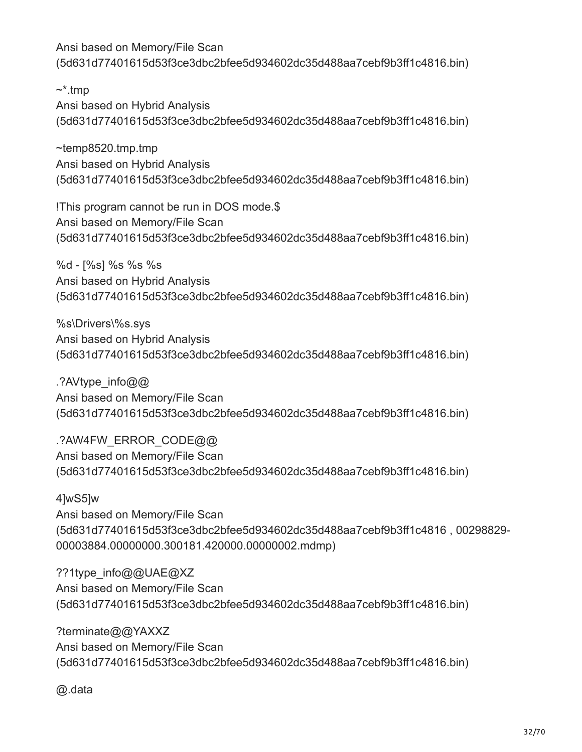$\sim^*$ .tmp Ansi based on Hybrid Analysis (5d631d77401615d53f3ce3dbc2bfee5d934602dc35d488aa7cebf9b3ff1c4816.bin)

~temp8520.tmp.tmp Ansi based on Hybrid Analysis (5d631d77401615d53f3ce3dbc2bfee5d934602dc35d488aa7cebf9b3ff1c4816.bin)

!This program cannot be run in DOS mode.\$ Ansi based on Memory/File Scan (5d631d77401615d53f3ce3dbc2bfee5d934602dc35d488aa7cebf9b3ff1c4816.bin)

%d - [%s] %s %s %s Ansi based on Hybrid Analysis (5d631d77401615d53f3ce3dbc2bfee5d934602dc35d488aa7cebf9b3ff1c4816.bin)

%s\Drivers\%s.sys Ansi based on Hybrid Analysis (5d631d77401615d53f3ce3dbc2bfee5d934602dc35d488aa7cebf9b3ff1c4816.bin)

.?AVtype\_info@@ Ansi based on Memory/File Scan (5d631d77401615d53f3ce3dbc2bfee5d934602dc35d488aa7cebf9b3ff1c4816.bin)

.?AW4FW\_ERROR\_CODE@@ Ansi based on Memory/File Scan (5d631d77401615d53f3ce3dbc2bfee5d934602dc35d488aa7cebf9b3ff1c4816.bin)

4]wS5]w Ansi based on Memory/File Scan (5d631d77401615d53f3ce3dbc2bfee5d934602dc35d488aa7cebf9b3ff1c4816 , 00298829- 00003884.00000000.300181.420000.00000002.mdmp)

??1type\_info@@UAE@XZ Ansi based on Memory/File Scan (5d631d77401615d53f3ce3dbc2bfee5d934602dc35d488aa7cebf9b3ff1c4816.bin)

?terminate@@YAXXZ Ansi based on Memory/File Scan (5d631d77401615d53f3ce3dbc2bfee5d934602dc35d488aa7cebf9b3ff1c4816.bin)

@.data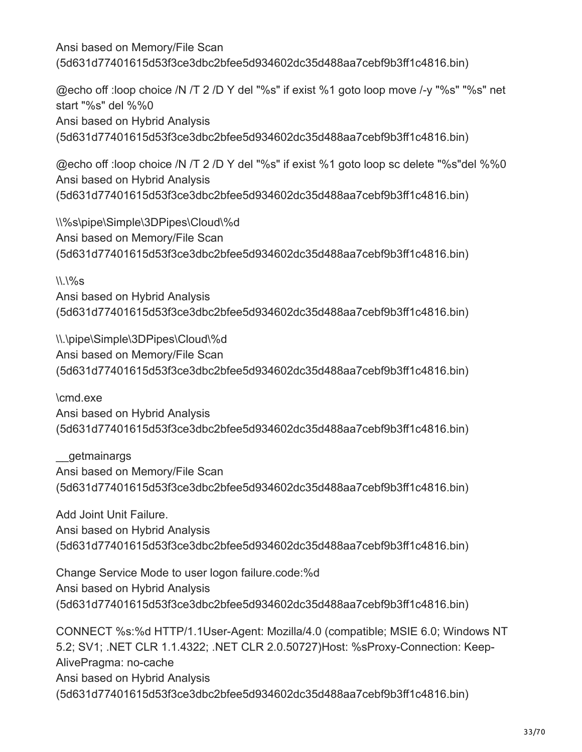@echo off :loop choice /N /T 2 /D Y del "%s" if exist %1 goto loop move /-y "%s" "%s" net start "%s" del %%0 Ansi based on Hybrid Analysis (5d631d77401615d53f3ce3dbc2bfee5d934602dc35d488aa7cebf9b3ff1c4816.bin)

@echo off :loop choice /N /T 2 /D Y del "%s" if exist %1 goto loop sc delete "%s"del %%0 Ansi based on Hybrid Analysis (5d631d77401615d53f3ce3dbc2bfee5d934602dc35d488aa7cebf9b3ff1c4816.bin)

\\%s\pipe\Simple\3DPipes\Cloud\%d Ansi based on Memory/File Scan (5d631d77401615d53f3ce3dbc2bfee5d934602dc35d488aa7cebf9b3ff1c4816.bin)

 $\binom{1}{2}$ 

Ansi based on Hybrid Analysis (5d631d77401615d53f3ce3dbc2bfee5d934602dc35d488aa7cebf9b3ff1c4816.bin)

\\.\pipe\Simple\3DPipes\Cloud\%d Ansi based on Memory/File Scan (5d631d77401615d53f3ce3dbc2bfee5d934602dc35d488aa7cebf9b3ff1c4816.bin)

\cmd.exe Ansi based on Hybrid Analysis (5d631d77401615d53f3ce3dbc2bfee5d934602dc35d488aa7cebf9b3ff1c4816.bin)

\_\_getmainargs Ansi based on Memory/File Scan (5d631d77401615d53f3ce3dbc2bfee5d934602dc35d488aa7cebf9b3ff1c4816.bin)

Add Joint Unit Failure. Ansi based on Hybrid Analysis (5d631d77401615d53f3ce3dbc2bfee5d934602dc35d488aa7cebf9b3ff1c4816.bin)

Change Service Mode to user logon failure.code:%d Ansi based on Hybrid Analysis (5d631d77401615d53f3ce3dbc2bfee5d934602dc35d488aa7cebf9b3ff1c4816.bin)

CONNECT %s:%d HTTP/1.1User-Agent: Mozilla/4.0 (compatible; MSIE 6.0; Windows NT 5.2; SV1; .NET CLR 1.1.4322; .NET CLR 2.0.50727)Host: %sProxy-Connection: Keep-AlivePragma: no-cache Ansi based on Hybrid Analysis (5d631d77401615d53f3ce3dbc2bfee5d934602dc35d488aa7cebf9b3ff1c4816.bin)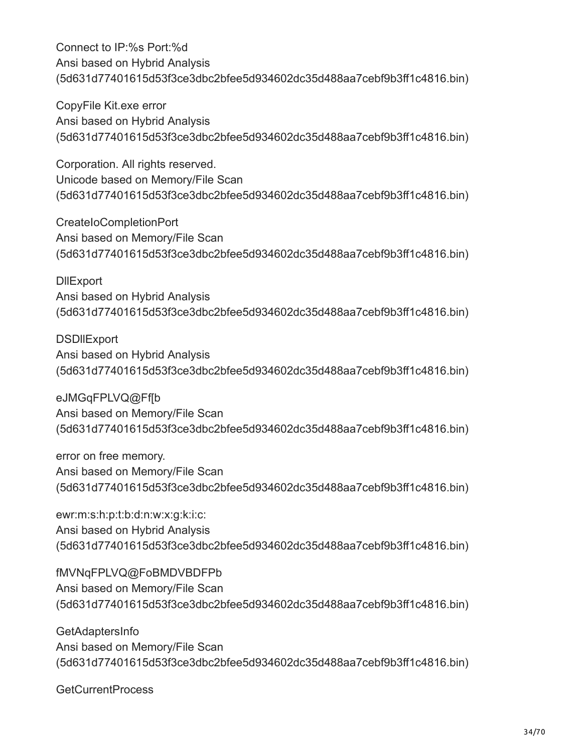Connect to IP:%s Port:%d Ansi based on Hybrid Analysis (5d631d77401615d53f3ce3dbc2bfee5d934602dc35d488aa7cebf9b3ff1c4816.bin)

CopyFile Kit.exe error Ansi based on Hybrid Analysis (5d631d77401615d53f3ce3dbc2bfee5d934602dc35d488aa7cebf9b3ff1c4816.bin)

Corporation. All rights reserved. Unicode based on Memory/File Scan (5d631d77401615d53f3ce3dbc2bfee5d934602dc35d488aa7cebf9b3ff1c4816.bin)

CreateIoCompletionPort Ansi based on Memory/File Scan (5d631d77401615d53f3ce3dbc2bfee5d934602dc35d488aa7cebf9b3ff1c4816.bin)

**DIIExport** Ansi based on Hybrid Analysis (5d631d77401615d53f3ce3dbc2bfee5d934602dc35d488aa7cebf9b3ff1c4816.bin)

**DSDIIExport** Ansi based on Hybrid Analysis (5d631d77401615d53f3ce3dbc2bfee5d934602dc35d488aa7cebf9b3ff1c4816.bin)

eJMGqFPLVQ@Ff[b Ansi based on Memory/File Scan (5d631d77401615d53f3ce3dbc2bfee5d934602dc35d488aa7cebf9b3ff1c4816.bin)

error on free memory. Ansi based on Memory/File Scan (5d631d77401615d53f3ce3dbc2bfee5d934602dc35d488aa7cebf9b3ff1c4816.bin)

ewr:m:s:h:p:t:b:d:n:w:x:g:k:i:c: Ansi based on Hybrid Analysis (5d631d77401615d53f3ce3dbc2bfee5d934602dc35d488aa7cebf9b3ff1c4816.bin)

fMVNqFPLVQ@FoBMDVBDFPb Ansi based on Memory/File Scan (5d631d77401615d53f3ce3dbc2bfee5d934602dc35d488aa7cebf9b3ff1c4816.bin)

GetAdaptersInfo Ansi based on Memory/File Scan (5d631d77401615d53f3ce3dbc2bfee5d934602dc35d488aa7cebf9b3ff1c4816.bin)

GetCurrentProcess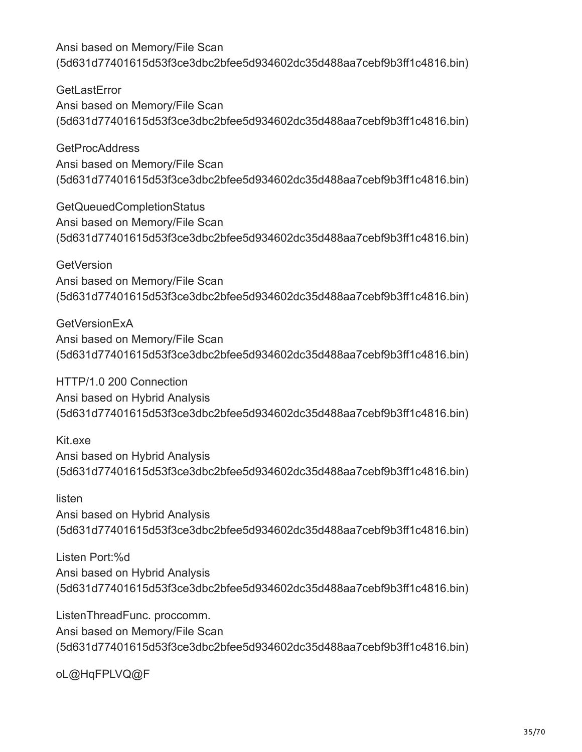**GetLastError** Ansi based on Memory/File Scan (5d631d77401615d53f3ce3dbc2bfee5d934602dc35d488aa7cebf9b3ff1c4816.bin)

**GetProcAddress** Ansi based on Memory/File Scan (5d631d77401615d53f3ce3dbc2bfee5d934602dc35d488aa7cebf9b3ff1c4816.bin)

GetQueuedCompletionStatus Ansi based on Memory/File Scan (5d631d77401615d53f3ce3dbc2bfee5d934602dc35d488aa7cebf9b3ff1c4816.bin)

**GetVersion** Ansi based on Memory/File Scan (5d631d77401615d53f3ce3dbc2bfee5d934602dc35d488aa7cebf9b3ff1c4816.bin)

**GetVersionExA** Ansi based on Memory/File Scan (5d631d77401615d53f3ce3dbc2bfee5d934602dc35d488aa7cebf9b3ff1c4816.bin)

HTTP/1.0 200 Connection Ansi based on Hybrid Analysis (5d631d77401615d53f3ce3dbc2bfee5d934602dc35d488aa7cebf9b3ff1c4816.bin)

Kit.exe Ansi based on Hybrid Analysis (5d631d77401615d53f3ce3dbc2bfee5d934602dc35d488aa7cebf9b3ff1c4816.bin)

listen Ansi based on Hybrid Analysis (5d631d77401615d53f3ce3dbc2bfee5d934602dc35d488aa7cebf9b3ff1c4816.bin)

Listen Port:%d Ansi based on Hybrid Analysis (5d631d77401615d53f3ce3dbc2bfee5d934602dc35d488aa7cebf9b3ff1c4816.bin)

ListenThreadFunc. proccomm. Ansi based on Memory/File Scan (5d631d77401615d53f3ce3dbc2bfee5d934602dc35d488aa7cebf9b3ff1c4816.bin)

oL@HqFPLVQ@F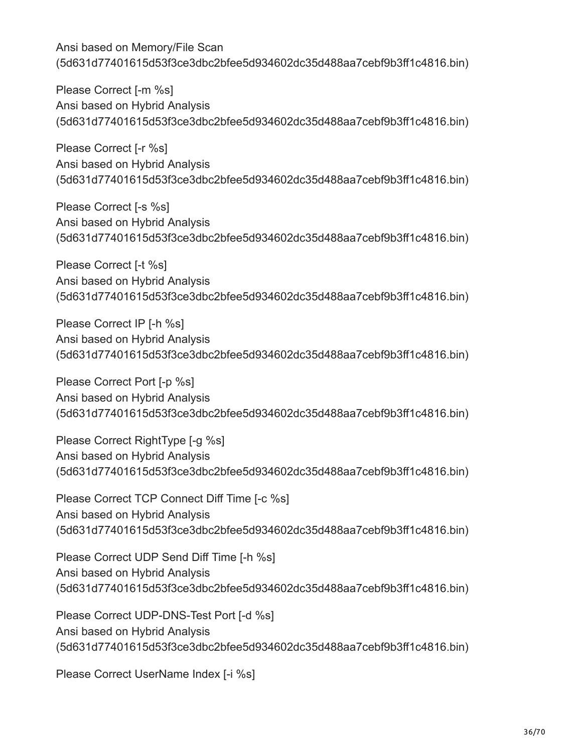Please Correct [-m %s] Ansi based on Hybrid Analysis (5d631d77401615d53f3ce3dbc2bfee5d934602dc35d488aa7cebf9b3ff1c4816.bin)

Please Correct [-r %s] Ansi based on Hybrid Analysis (5d631d77401615d53f3ce3dbc2bfee5d934602dc35d488aa7cebf9b3ff1c4816.bin)

Please Correct [-s %s] Ansi based on Hybrid Analysis (5d631d77401615d53f3ce3dbc2bfee5d934602dc35d488aa7cebf9b3ff1c4816.bin)

Please Correct [-t %s] Ansi based on Hybrid Analysis (5d631d77401615d53f3ce3dbc2bfee5d934602dc35d488aa7cebf9b3ff1c4816.bin)

Please Correct IP [-h %s] Ansi based on Hybrid Analysis (5d631d77401615d53f3ce3dbc2bfee5d934602dc35d488aa7cebf9b3ff1c4816.bin)

Please Correct Port [-p %s] Ansi based on Hybrid Analysis (5d631d77401615d53f3ce3dbc2bfee5d934602dc35d488aa7cebf9b3ff1c4816.bin)

Please Correct RightType [-g %s] Ansi based on Hybrid Analysis (5d631d77401615d53f3ce3dbc2bfee5d934602dc35d488aa7cebf9b3ff1c4816.bin)

Please Correct TCP Connect Diff Time [-c %s] Ansi based on Hybrid Analysis (5d631d77401615d53f3ce3dbc2bfee5d934602dc35d488aa7cebf9b3ff1c4816.bin)

Please Correct UDP Send Diff Time [-h %s] Ansi based on Hybrid Analysis (5d631d77401615d53f3ce3dbc2bfee5d934602dc35d488aa7cebf9b3ff1c4816.bin)

Please Correct UDP-DNS-Test Port [-d %s] Ansi based on Hybrid Analysis (5d631d77401615d53f3ce3dbc2bfee5d934602dc35d488aa7cebf9b3ff1c4816.bin)

Please Correct UserName Index [-i %s]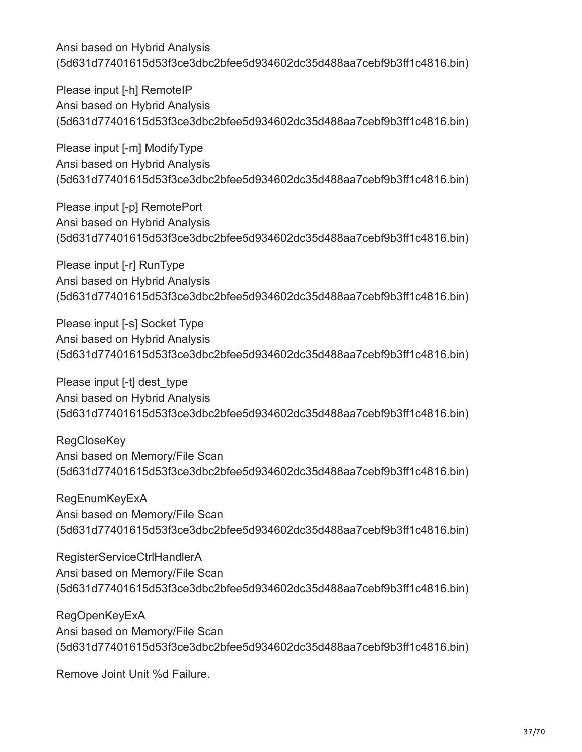Please input [-h] RemoteIP Ansi based on Hybrid Analysis (5d631d77401615d53f3ce3dbc2bfee5d934602dc35d488aa7cebf9b3ff1c4816.bin)

Please input [-m] ModifyType Ansi based on Hybrid Analysis (5d631d77401615d53f3ce3dbc2bfee5d934602dc35d488aa7cebf9b3ff1c4816.bin)

Please input [-p] RemotePort Ansi based on Hybrid Analysis (5d631d77401615d53f3ce3dbc2bfee5d934602dc35d488aa7cebf9b3ff1c4816.bin)

Please input [-r] RunType Ansi based on Hybrid Analysis (5d631d77401615d53f3ce3dbc2bfee5d934602dc35d488aa7cebf9b3ff1c4816.bin)

Please input [-s] Socket Type Ansi based on Hybrid Analysis (5d631d77401615d53f3ce3dbc2bfee5d934602dc35d488aa7cebf9b3ff1c4816.bin)

Please input [-t] dest type Ansi based on Hybrid Analysis (5d631d77401615d53f3ce3dbc2bfee5d934602dc35d488aa7cebf9b3ff1c4816.bin)

**RegCloseKey** Ansi based on Memory/File Scan (5d631d77401615d53f3ce3dbc2bfee5d934602dc35d488aa7cebf9b3ff1c4816.bin)

**RegEnumKeyExA** Ansi based on Memory/File Scan (5d631d77401615d53f3ce3dbc2bfee5d934602dc35d488aa7cebf9b3ff1c4816.bin)

RegisterServiceCtrlHandlerA Ansi based on Memory/File Scan (5d631d77401615d53f3ce3dbc2bfee5d934602dc35d488aa7cebf9b3ff1c4816.bin)

RegOpenKeyExA Ansi based on Memory/File Scan (5d631d77401615d53f3ce3dbc2bfee5d934602dc35d488aa7cebf9b3ff1c4816.bin)

Remove Joint Unit %d Failure.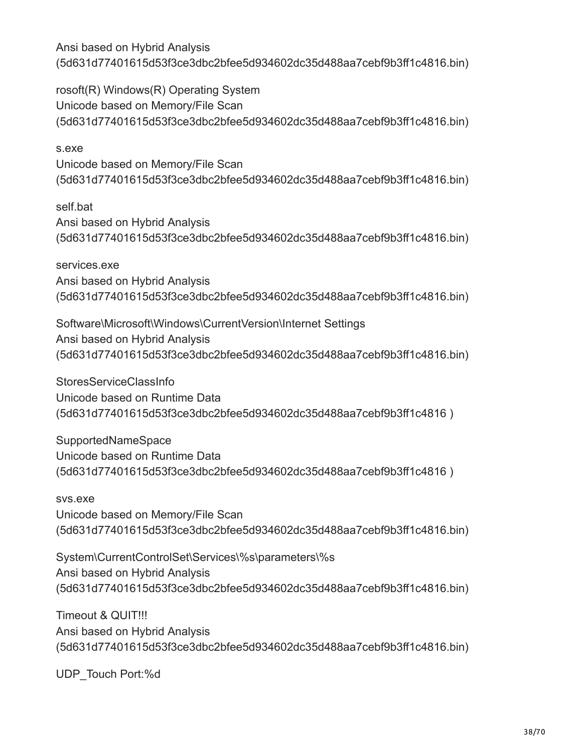rosoft(R) Windows(R) Operating System Unicode based on Memory/File Scan (5d631d77401615d53f3ce3dbc2bfee5d934602dc35d488aa7cebf9b3ff1c4816.bin)

s.exe Unicode based on Memory/File Scan (5d631d77401615d53f3ce3dbc2bfee5d934602dc35d488aa7cebf9b3ff1c4816.bin)

self.bat Ansi based on Hybrid Analysis (5d631d77401615d53f3ce3dbc2bfee5d934602dc35d488aa7cebf9b3ff1c4816.bin)

services.exe Ansi based on Hybrid Analysis (5d631d77401615d53f3ce3dbc2bfee5d934602dc35d488aa7cebf9b3ff1c4816.bin)

Software\Microsoft\Windows\CurrentVersion\Internet Settings Ansi based on Hybrid Analysis (5d631d77401615d53f3ce3dbc2bfee5d934602dc35d488aa7cebf9b3ff1c4816.bin)

StoresServiceClassInfo Unicode based on Runtime Data (5d631d77401615d53f3ce3dbc2bfee5d934602dc35d488aa7cebf9b3ff1c4816 )

**SupportedNameSpace** Unicode based on Runtime Data (5d631d77401615d53f3ce3dbc2bfee5d934602dc35d488aa7cebf9b3ff1c4816 )

svs.exe Unicode based on Memory/File Scan (5d631d77401615d53f3ce3dbc2bfee5d934602dc35d488aa7cebf9b3ff1c4816.bin)

System\CurrentControlSet\Services\%s\parameters\%s Ansi based on Hybrid Analysis (5d631d77401615d53f3ce3dbc2bfee5d934602dc35d488aa7cebf9b3ff1c4816.bin)

Timeout & QUIT!!! Ansi based on Hybrid Analysis (5d631d77401615d53f3ce3dbc2bfee5d934602dc35d488aa7cebf9b3ff1c4816.bin)

UDP\_Touch Port:%d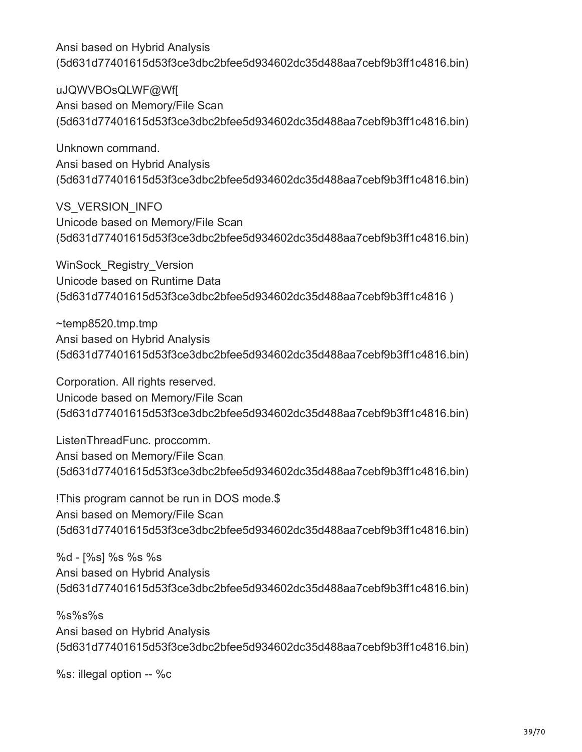uJQWVBOsQLWF@Wf[ Ansi based on Memory/File Scan (5d631d77401615d53f3ce3dbc2bfee5d934602dc35d488aa7cebf9b3ff1c4816.bin)

Unknown command. Ansi based on Hybrid Analysis (5d631d77401615d53f3ce3dbc2bfee5d934602dc35d488aa7cebf9b3ff1c4816.bin)

VS\_VERSION\_INFO Unicode based on Memory/File Scan (5d631d77401615d53f3ce3dbc2bfee5d934602dc35d488aa7cebf9b3ff1c4816.bin)

WinSock\_Registry\_Version Unicode based on Runtime Data (5d631d77401615d53f3ce3dbc2bfee5d934602dc35d488aa7cebf9b3ff1c4816 )

~temp8520.tmp.tmp Ansi based on Hybrid Analysis (5d631d77401615d53f3ce3dbc2bfee5d934602dc35d488aa7cebf9b3ff1c4816.bin)

Corporation. All rights reserved. Unicode based on Memory/File Scan (5d631d77401615d53f3ce3dbc2bfee5d934602dc35d488aa7cebf9b3ff1c4816.bin)

ListenThreadFunc. proccomm. Ansi based on Memory/File Scan (5d631d77401615d53f3ce3dbc2bfee5d934602dc35d488aa7cebf9b3ff1c4816.bin)

!This program cannot be run in DOS mode.\$ Ansi based on Memory/File Scan (5d631d77401615d53f3ce3dbc2bfee5d934602dc35d488aa7cebf9b3ff1c4816.bin)

%d - [%s] %s %s %s Ansi based on Hybrid Analysis (5d631d77401615d53f3ce3dbc2bfee5d934602dc35d488aa7cebf9b3ff1c4816.bin)

%s%s%s Ansi based on Hybrid Analysis (5d631d77401615d53f3ce3dbc2bfee5d934602dc35d488aa7cebf9b3ff1c4816.bin)

%s: illegal option -- %c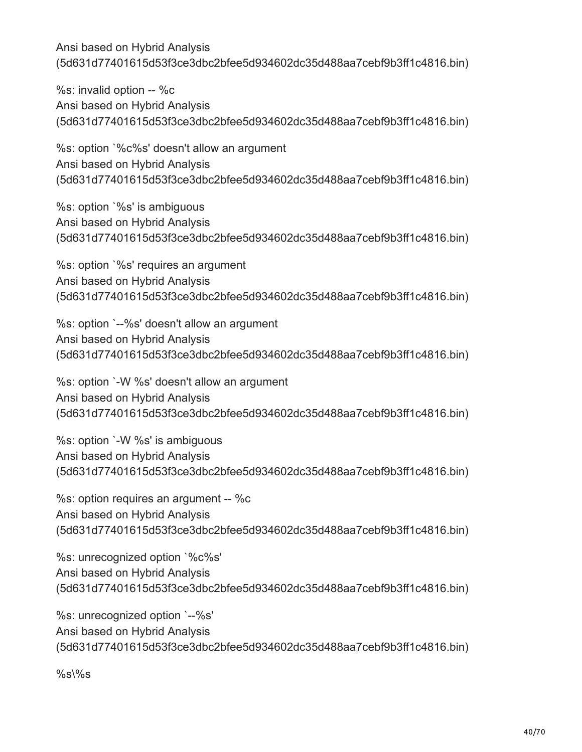%s: invalid option -- %c Ansi based on Hybrid Analysis (5d631d77401615d53f3ce3dbc2bfee5d934602dc35d488aa7cebf9b3ff1c4816.bin)

%s: option `%c%s' doesn't allow an argument Ansi based on Hybrid Analysis (5d631d77401615d53f3ce3dbc2bfee5d934602dc35d488aa7cebf9b3ff1c4816.bin)

%s: option `%s' is ambiguous Ansi based on Hybrid Analysis (5d631d77401615d53f3ce3dbc2bfee5d934602dc35d488aa7cebf9b3ff1c4816.bin)

%s: option `%s' requires an argument Ansi based on Hybrid Analysis (5d631d77401615d53f3ce3dbc2bfee5d934602dc35d488aa7cebf9b3ff1c4816.bin)

%s: option `--%s' doesn't allow an argument Ansi based on Hybrid Analysis (5d631d77401615d53f3ce3dbc2bfee5d934602dc35d488aa7cebf9b3ff1c4816.bin)

%s: option `-W %s' doesn't allow an argument Ansi based on Hybrid Analysis (5d631d77401615d53f3ce3dbc2bfee5d934602dc35d488aa7cebf9b3ff1c4816.bin)

%s: option `-W %s' is ambiguous Ansi based on Hybrid Analysis (5d631d77401615d53f3ce3dbc2bfee5d934602dc35d488aa7cebf9b3ff1c4816.bin)

%s: option requires an argument -- %c Ansi based on Hybrid Analysis (5d631d77401615d53f3ce3dbc2bfee5d934602dc35d488aa7cebf9b3ff1c4816.bin)

%s: unrecognized option `%c%s' Ansi based on Hybrid Analysis (5d631d77401615d53f3ce3dbc2bfee5d934602dc35d488aa7cebf9b3ff1c4816.bin)

%s: unrecognized option `--%s' Ansi based on Hybrid Analysis (5d631d77401615d53f3ce3dbc2bfee5d934602dc35d488aa7cebf9b3ff1c4816.bin)

 $%s\%s$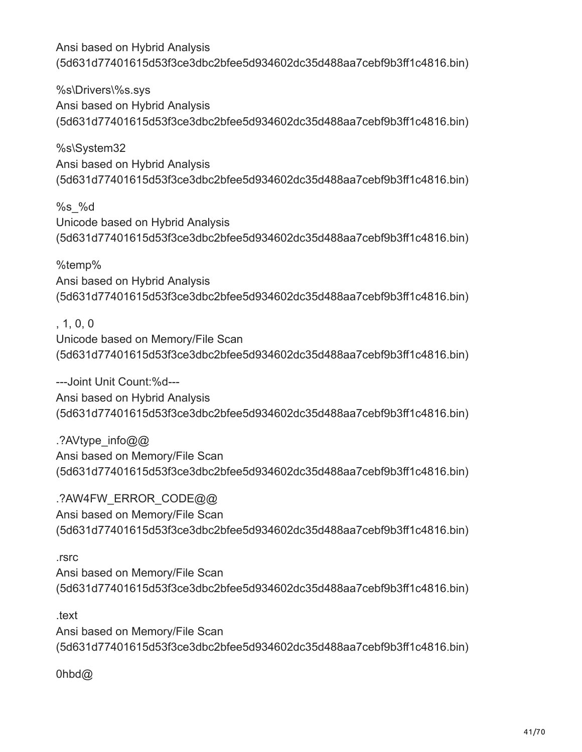%s\Drivers\%s.sys Ansi based on Hybrid Analysis (5d631d77401615d53f3ce3dbc2bfee5d934602dc35d488aa7cebf9b3ff1c4816.bin)

%s\System32 Ansi based on Hybrid Analysis (5d631d77401615d53f3ce3dbc2bfee5d934602dc35d488aa7cebf9b3ff1c4816.bin)

%s\_%d Unicode based on Hybrid Analysis (5d631d77401615d53f3ce3dbc2bfee5d934602dc35d488aa7cebf9b3ff1c4816.bin)

%temp% Ansi based on Hybrid Analysis (5d631d77401615d53f3ce3dbc2bfee5d934602dc35d488aa7cebf9b3ff1c4816.bin)

# , 1, 0, 0

Unicode based on Memory/File Scan (5d631d77401615d53f3ce3dbc2bfee5d934602dc35d488aa7cebf9b3ff1c4816.bin)

---Joint Unit Count:%d--- Ansi based on Hybrid Analysis (5d631d77401615d53f3ce3dbc2bfee5d934602dc35d488aa7cebf9b3ff1c4816.bin)

.?AVtype\_info@@ Ansi based on Memory/File Scan (5d631d77401615d53f3ce3dbc2bfee5d934602dc35d488aa7cebf9b3ff1c4816.bin)

.?AW4FW\_ERROR\_CODE@@ Ansi based on Memory/File Scan (5d631d77401615d53f3ce3dbc2bfee5d934602dc35d488aa7cebf9b3ff1c4816.bin)

#### .rsrc

Ansi based on Memory/File Scan (5d631d77401615d53f3ce3dbc2bfee5d934602dc35d488aa7cebf9b3ff1c4816.bin)

.text

Ansi based on Memory/File Scan (5d631d77401615d53f3ce3dbc2bfee5d934602dc35d488aa7cebf9b3ff1c4816.bin)

0hbd@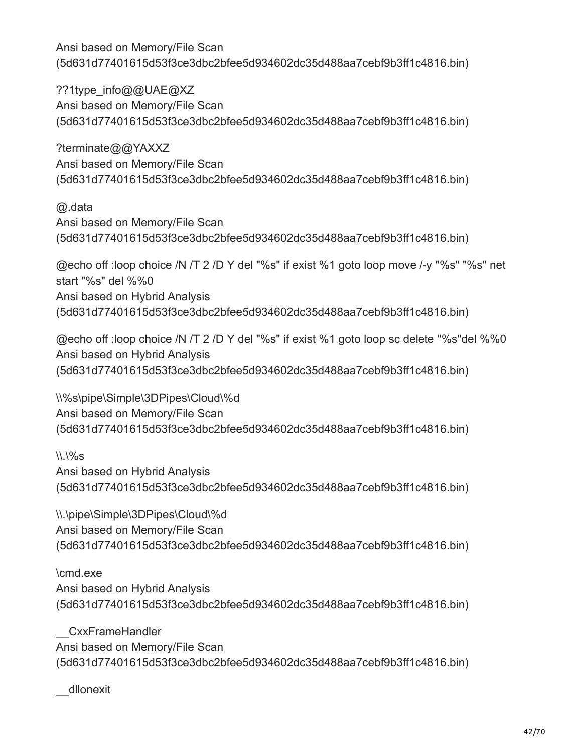??1type\_info@@UAE@XZ Ansi based on Memory/File Scan (5d631d77401615d53f3ce3dbc2bfee5d934602dc35d488aa7cebf9b3ff1c4816.bin)

?terminate@@YAXXZ Ansi based on Memory/File Scan (5d631d77401615d53f3ce3dbc2bfee5d934602dc35d488aa7cebf9b3ff1c4816.bin)

@.data Ansi based on Memory/File Scan (5d631d77401615d53f3ce3dbc2bfee5d934602dc35d488aa7cebf9b3ff1c4816.bin)

@echo off :loop choice /N /T 2 /D Y del "%s" if exist %1 goto loop move /-y "%s" "%s" net start "%s" del %%0 Ansi based on Hybrid Analysis (5d631d77401615d53f3ce3dbc2bfee5d934602dc35d488aa7cebf9b3ff1c4816.bin)

@echo off :loop choice /N /T 2 /D Y del "%s" if exist %1 goto loop sc delete "%s"del %%0 Ansi based on Hybrid Analysis (5d631d77401615d53f3ce3dbc2bfee5d934602dc35d488aa7cebf9b3ff1c4816.bin)

\\%s\pipe\Simple\3DPipes\Cloud\%d Ansi based on Memory/File Scan (5d631d77401615d53f3ce3dbc2bfee5d934602dc35d488aa7cebf9b3ff1c4816.bin)

 $\binom{11}{96}$ S Ansi based on Hybrid Analysis (5d631d77401615d53f3ce3dbc2bfee5d934602dc35d488aa7cebf9b3ff1c4816.bin)

\\.\pipe\Simple\3DPipes\Cloud\%d Ansi based on Memory/File Scan (5d631d77401615d53f3ce3dbc2bfee5d934602dc35d488aa7cebf9b3ff1c4816.bin)

\cmd.exe Ansi based on Hybrid Analysis (5d631d77401615d53f3ce3dbc2bfee5d934602dc35d488aa7cebf9b3ff1c4816.bin)

\_\_CxxFrameHandler Ansi based on Memory/File Scan (5d631d77401615d53f3ce3dbc2bfee5d934602dc35d488aa7cebf9b3ff1c4816.bin)

\_\_dllonexit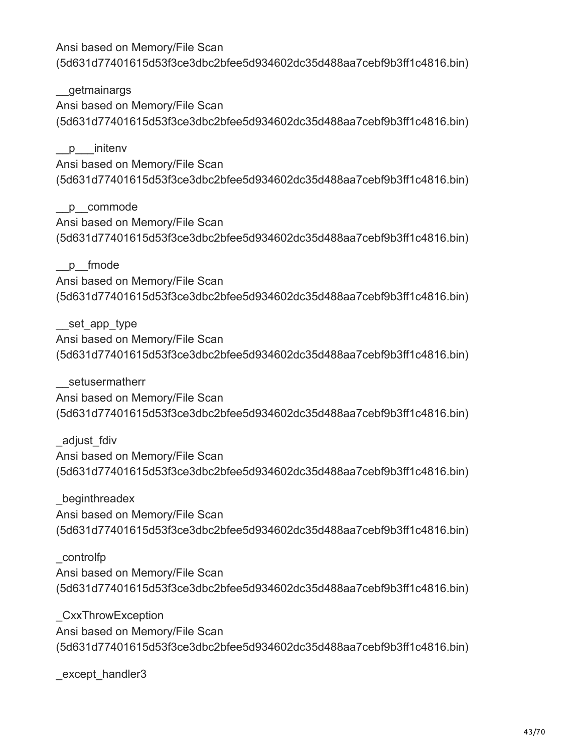\_\_getmainargs Ansi based on Memory/File Scan (5d631d77401615d53f3ce3dbc2bfee5d934602dc35d488aa7cebf9b3ff1c4816.bin)

p initenv Ansi based on Memory/File Scan (5d631d77401615d53f3ce3dbc2bfee5d934602dc35d488aa7cebf9b3ff1c4816.bin)

\_\_p\_\_commode Ansi based on Memory/File Scan (5d631d77401615d53f3ce3dbc2bfee5d934602dc35d488aa7cebf9b3ff1c4816.bin)

\_\_p\_\_fmode Ansi based on Memory/File Scan (5d631d77401615d53f3ce3dbc2bfee5d934602dc35d488aa7cebf9b3ff1c4816.bin)

set app type Ansi based on Memory/File Scan (5d631d77401615d53f3ce3dbc2bfee5d934602dc35d488aa7cebf9b3ff1c4816.bin)

setusermatherr Ansi based on Memory/File Scan (5d631d77401615d53f3ce3dbc2bfee5d934602dc35d488aa7cebf9b3ff1c4816.bin)

\_adjust\_fdiv Ansi based on Memory/File Scan (5d631d77401615d53f3ce3dbc2bfee5d934602dc35d488aa7cebf9b3ff1c4816.bin)

\_beginthreadex Ansi based on Memory/File Scan (5d631d77401615d53f3ce3dbc2bfee5d934602dc35d488aa7cebf9b3ff1c4816.bin)

\_controlfp Ansi based on Memory/File Scan (5d631d77401615d53f3ce3dbc2bfee5d934602dc35d488aa7cebf9b3ff1c4816.bin)

\_CxxThrowException Ansi based on Memory/File Scan (5d631d77401615d53f3ce3dbc2bfee5d934602dc35d488aa7cebf9b3ff1c4816.bin)

except handler3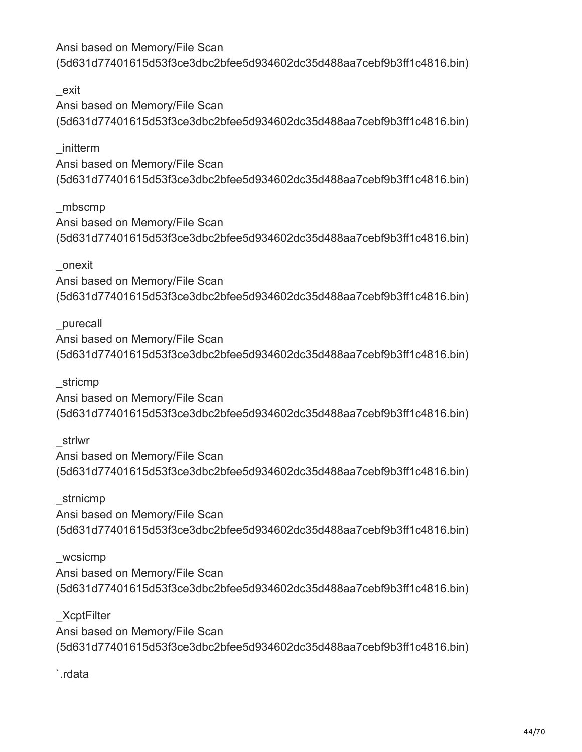\_exit Ansi based on Memory/File Scan (5d631d77401615d53f3ce3dbc2bfee5d934602dc35d488aa7cebf9b3ff1c4816.bin)

\_initterm Ansi based on Memory/File Scan (5d631d77401615d53f3ce3dbc2bfee5d934602dc35d488aa7cebf9b3ff1c4816.bin)

\_mbscmp Ansi based on Memory/File Scan (5d631d77401615d53f3ce3dbc2bfee5d934602dc35d488aa7cebf9b3ff1c4816.bin)

\_onexit Ansi based on Memory/File Scan (5d631d77401615d53f3ce3dbc2bfee5d934602dc35d488aa7cebf9b3ff1c4816.bin)

\_purecall Ansi based on Memory/File Scan (5d631d77401615d53f3ce3dbc2bfee5d934602dc35d488aa7cebf9b3ff1c4816.bin)

\_stricmp Ansi based on Memory/File Scan (5d631d77401615d53f3ce3dbc2bfee5d934602dc35d488aa7cebf9b3ff1c4816.bin)

\_strlwr Ansi based on Memory/File Scan (5d631d77401615d53f3ce3dbc2bfee5d934602dc35d488aa7cebf9b3ff1c4816.bin)

\_strnicmp Ansi based on Memory/File Scan (5d631d77401615d53f3ce3dbc2bfee5d934602dc35d488aa7cebf9b3ff1c4816.bin)

wcsicmp Ansi based on Memory/File Scan (5d631d77401615d53f3ce3dbc2bfee5d934602dc35d488aa7cebf9b3ff1c4816.bin)

\_XcptFilter Ansi based on Memory/File Scan (5d631d77401615d53f3ce3dbc2bfee5d934602dc35d488aa7cebf9b3ff1c4816.bin)

`.rdata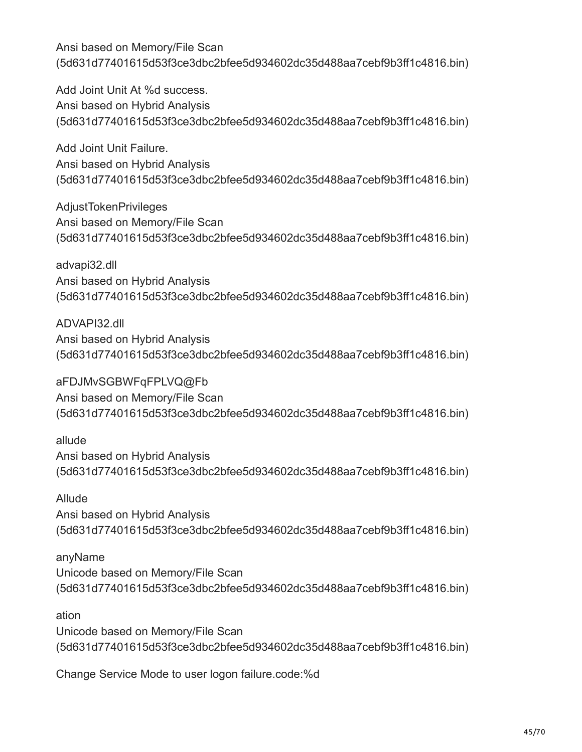Add Joint Unit At %d success. Ansi based on Hybrid Analysis (5d631d77401615d53f3ce3dbc2bfee5d934602dc35d488aa7cebf9b3ff1c4816.bin)

Add Joint Unit Failure. Ansi based on Hybrid Analysis (5d631d77401615d53f3ce3dbc2bfee5d934602dc35d488aa7cebf9b3ff1c4816.bin)

AdjustTokenPrivileges Ansi based on Memory/File Scan (5d631d77401615d53f3ce3dbc2bfee5d934602dc35d488aa7cebf9b3ff1c4816.bin)

advapi32.dll Ansi based on Hybrid Analysis (5d631d77401615d53f3ce3dbc2bfee5d934602dc35d488aa7cebf9b3ff1c4816.bin)

ADVAPI32.dll Ansi based on Hybrid Analysis (5d631d77401615d53f3ce3dbc2bfee5d934602dc35d488aa7cebf9b3ff1c4816.bin)

aFDJMvSGBWFqFPLVQ@Fb Ansi based on Memory/File Scan (5d631d77401615d53f3ce3dbc2bfee5d934602dc35d488aa7cebf9b3ff1c4816.bin)

allude Ansi based on Hybrid Analysis (5d631d77401615d53f3ce3dbc2bfee5d934602dc35d488aa7cebf9b3ff1c4816.bin)

Allude Ansi based on Hybrid Analysis (5d631d77401615d53f3ce3dbc2bfee5d934602dc35d488aa7cebf9b3ff1c4816.bin)

anyName Unicode based on Memory/File Scan (5d631d77401615d53f3ce3dbc2bfee5d934602dc35d488aa7cebf9b3ff1c4816.bin)

ation Unicode based on Memory/File Scan (5d631d77401615d53f3ce3dbc2bfee5d934602dc35d488aa7cebf9b3ff1c4816.bin)

Change Service Mode to user logon failure.code:%d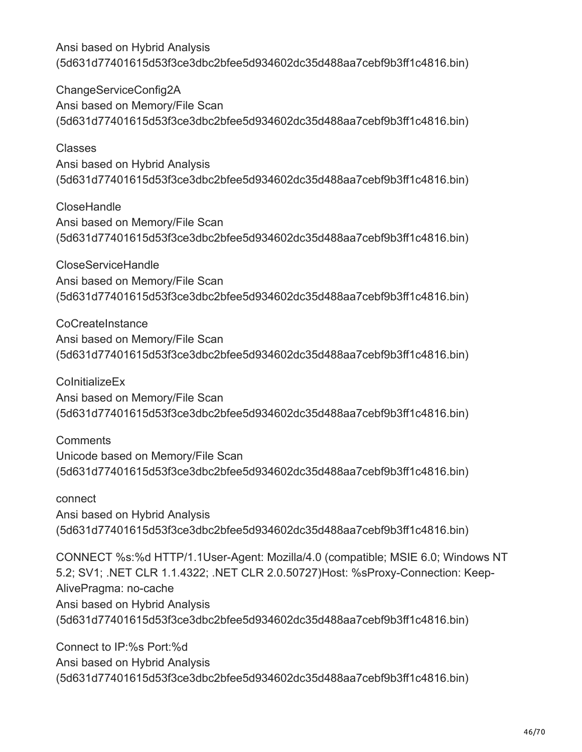ChangeServiceConfig2A Ansi based on Memory/File Scan (5d631d77401615d53f3ce3dbc2bfee5d934602dc35d488aa7cebf9b3ff1c4816.bin)

Classes Ansi based on Hybrid Analysis (5d631d77401615d53f3ce3dbc2bfee5d934602dc35d488aa7cebf9b3ff1c4816.bin)

CloseHandle Ansi based on Memory/File Scan (5d631d77401615d53f3ce3dbc2bfee5d934602dc35d488aa7cebf9b3ff1c4816.bin)

CloseServiceHandle Ansi based on Memory/File Scan (5d631d77401615d53f3ce3dbc2bfee5d934602dc35d488aa7cebf9b3ff1c4816.bin)

**CoCreateInstance** Ansi based on Memory/File Scan (5d631d77401615d53f3ce3dbc2bfee5d934602dc35d488aa7cebf9b3ff1c4816.bin)

**ColnitializeEx** Ansi based on Memory/File Scan (5d631d77401615d53f3ce3dbc2bfee5d934602dc35d488aa7cebf9b3ff1c4816.bin)

**Comments** Unicode based on Memory/File Scan (5d631d77401615d53f3ce3dbc2bfee5d934602dc35d488aa7cebf9b3ff1c4816.bin)

connect Ansi based on Hybrid Analysis (5d631d77401615d53f3ce3dbc2bfee5d934602dc35d488aa7cebf9b3ff1c4816.bin)

CONNECT %s:%d HTTP/1.1User-Agent: Mozilla/4.0 (compatible; MSIE 6.0; Windows NT 5.2; SV1; .NET CLR 1.1.4322; .NET CLR 2.0.50727)Host: %sProxy-Connection: Keep-AlivePragma: no-cache Ansi based on Hybrid Analysis (5d631d77401615d53f3ce3dbc2bfee5d934602dc35d488aa7cebf9b3ff1c4816.bin)

Connect to IP:%s Port:%d Ansi based on Hybrid Analysis (5d631d77401615d53f3ce3dbc2bfee5d934602dc35d488aa7cebf9b3ff1c4816.bin)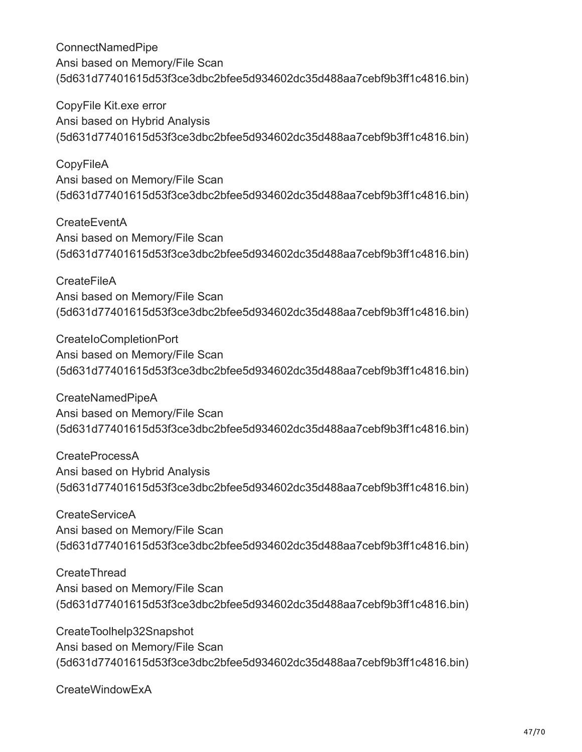CopyFile Kit.exe error Ansi based on Hybrid Analysis (5d631d77401615d53f3ce3dbc2bfee5d934602dc35d488aa7cebf9b3ff1c4816.bin)

**CopyFileA** Ansi based on Memory/File Scan (5d631d77401615d53f3ce3dbc2bfee5d934602dc35d488aa7cebf9b3ff1c4816.bin)

**CreateEventA** Ansi based on Memory/File Scan (5d631d77401615d53f3ce3dbc2bfee5d934602dc35d488aa7cebf9b3ff1c4816.bin)

**CreateFileA** Ansi based on Memory/File Scan (5d631d77401615d53f3ce3dbc2bfee5d934602dc35d488aa7cebf9b3ff1c4816.bin)

CreateIoCompletionPort Ansi based on Memory/File Scan (5d631d77401615d53f3ce3dbc2bfee5d934602dc35d488aa7cebf9b3ff1c4816.bin)

CreateNamedPipeA Ansi based on Memory/File Scan (5d631d77401615d53f3ce3dbc2bfee5d934602dc35d488aa7cebf9b3ff1c4816.bin)

CreateProcessA Ansi based on Hybrid Analysis (5d631d77401615d53f3ce3dbc2bfee5d934602dc35d488aa7cebf9b3ff1c4816.bin)

CreateServiceA Ansi based on Memory/File Scan (5d631d77401615d53f3ce3dbc2bfee5d934602dc35d488aa7cebf9b3ff1c4816.bin)

**CreateThread** Ansi based on Memory/File Scan (5d631d77401615d53f3ce3dbc2bfee5d934602dc35d488aa7cebf9b3ff1c4816.bin)

CreateToolhelp32Snapshot Ansi based on Memory/File Scan (5d631d77401615d53f3ce3dbc2bfee5d934602dc35d488aa7cebf9b3ff1c4816.bin)

CreateWindowExA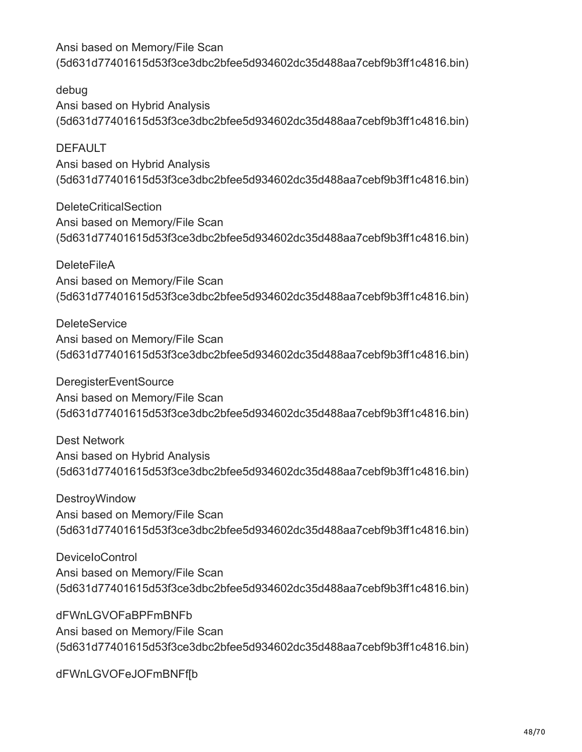debug Ansi based on Hybrid Analysis (5d631d77401615d53f3ce3dbc2bfee5d934602dc35d488aa7cebf9b3ff1c4816.bin)

DEFAULT Ansi based on Hybrid Analysis (5d631d77401615d53f3ce3dbc2bfee5d934602dc35d488aa7cebf9b3ff1c4816.bin)

DeleteCriticalSection Ansi based on Memory/File Scan (5d631d77401615d53f3ce3dbc2bfee5d934602dc35d488aa7cebf9b3ff1c4816.bin)

**DeleteFileA** Ansi based on Memory/File Scan (5d631d77401615d53f3ce3dbc2bfee5d934602dc35d488aa7cebf9b3ff1c4816.bin)

**DeleteService** Ansi based on Memory/File Scan (5d631d77401615d53f3ce3dbc2bfee5d934602dc35d488aa7cebf9b3ff1c4816.bin)

DeregisterEventSource Ansi based on Memory/File Scan (5d631d77401615d53f3ce3dbc2bfee5d934602dc35d488aa7cebf9b3ff1c4816.bin)

Dest Network Ansi based on Hybrid Analysis (5d631d77401615d53f3ce3dbc2bfee5d934602dc35d488aa7cebf9b3ff1c4816.bin)

DestroyWindow Ansi based on Memory/File Scan (5d631d77401615d53f3ce3dbc2bfee5d934602dc35d488aa7cebf9b3ff1c4816.bin)

DeviceIoControl Ansi based on Memory/File Scan (5d631d77401615d53f3ce3dbc2bfee5d934602dc35d488aa7cebf9b3ff1c4816.bin)

dFWnLGVOFaBPFmBNFb Ansi based on Memory/File Scan (5d631d77401615d53f3ce3dbc2bfee5d934602dc35d488aa7cebf9b3ff1c4816.bin)

dFWnLGVOFeJOFmBNFf[b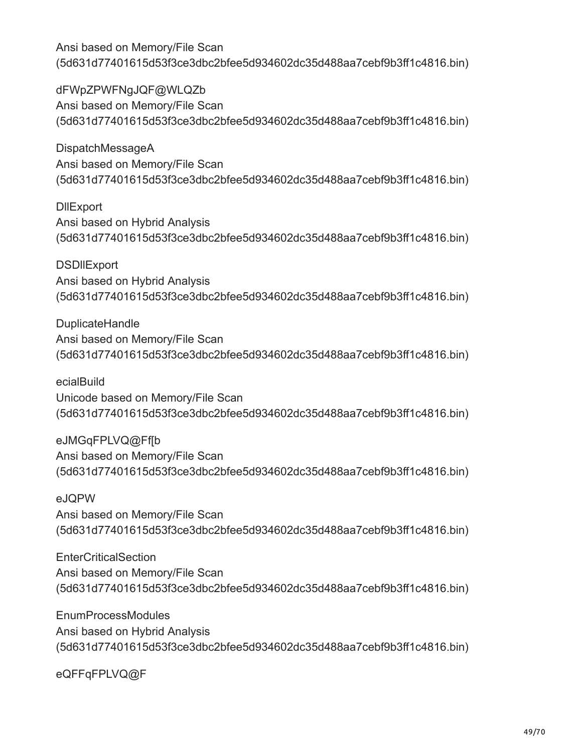dFWpZPWFNgJQF@WLQZb Ansi based on Memory/File Scan (5d631d77401615d53f3ce3dbc2bfee5d934602dc35d488aa7cebf9b3ff1c4816.bin)

DispatchMessageA Ansi based on Memory/File Scan (5d631d77401615d53f3ce3dbc2bfee5d934602dc35d488aa7cebf9b3ff1c4816.bin)

**DIIExport** Ansi based on Hybrid Analysis (5d631d77401615d53f3ce3dbc2bfee5d934602dc35d488aa7cebf9b3ff1c4816.bin)

**DSDIIExport** Ansi based on Hybrid Analysis (5d631d77401615d53f3ce3dbc2bfee5d934602dc35d488aa7cebf9b3ff1c4816.bin)

DuplicateHandle Ansi based on Memory/File Scan (5d631d77401615d53f3ce3dbc2bfee5d934602dc35d488aa7cebf9b3ff1c4816.bin)

ecialBuild Unicode based on Memory/File Scan (5d631d77401615d53f3ce3dbc2bfee5d934602dc35d488aa7cebf9b3ff1c4816.bin)

eJMGqFPLVQ@Ff[b Ansi based on Memory/File Scan (5d631d77401615d53f3ce3dbc2bfee5d934602dc35d488aa7cebf9b3ff1c4816.bin)

eJQPW Ansi based on Memory/File Scan (5d631d77401615d53f3ce3dbc2bfee5d934602dc35d488aa7cebf9b3ff1c4816.bin)

**EnterCriticalSection** Ansi based on Memory/File Scan (5d631d77401615d53f3ce3dbc2bfee5d934602dc35d488aa7cebf9b3ff1c4816.bin)

EnumProcessModules Ansi based on Hybrid Analysis (5d631d77401615d53f3ce3dbc2bfee5d934602dc35d488aa7cebf9b3ff1c4816.bin)

eQFFqFPLVQ@F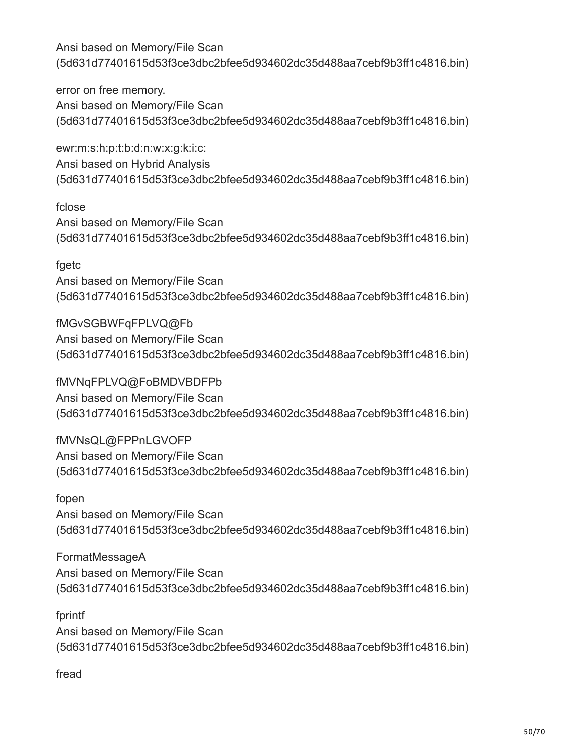error on free memory. Ansi based on Memory/File Scan (5d631d77401615d53f3ce3dbc2bfee5d934602dc35d488aa7cebf9b3ff1c4816.bin)

ewr:m:s:h:p:t:b:d:n:w:x:g:k:i:c: Ansi based on Hybrid Analysis (5d631d77401615d53f3ce3dbc2bfee5d934602dc35d488aa7cebf9b3ff1c4816.bin)

fclose Ansi based on Memory/File Scan (5d631d77401615d53f3ce3dbc2bfee5d934602dc35d488aa7cebf9b3ff1c4816.bin)

fgetc Ansi based on Memory/File Scan (5d631d77401615d53f3ce3dbc2bfee5d934602dc35d488aa7cebf9b3ff1c4816.bin)

fMGvSGBWFqFPLVQ@Fb Ansi based on Memory/File Scan (5d631d77401615d53f3ce3dbc2bfee5d934602dc35d488aa7cebf9b3ff1c4816.bin)

fMVNqFPLVQ@FoBMDVBDFPb Ansi based on Memory/File Scan (5d631d77401615d53f3ce3dbc2bfee5d934602dc35d488aa7cebf9b3ff1c4816.bin)

fMVNsQL@FPPnLGVOFP Ansi based on Memory/File Scan (5d631d77401615d53f3ce3dbc2bfee5d934602dc35d488aa7cebf9b3ff1c4816.bin)

fopen Ansi based on Memory/File Scan (5d631d77401615d53f3ce3dbc2bfee5d934602dc35d488aa7cebf9b3ff1c4816.bin)

FormatMessageA Ansi based on Memory/File Scan (5d631d77401615d53f3ce3dbc2bfee5d934602dc35d488aa7cebf9b3ff1c4816.bin)

fprintf Ansi based on Memory/File Scan (5d631d77401615d53f3ce3dbc2bfee5d934602dc35d488aa7cebf9b3ff1c4816.bin)

fread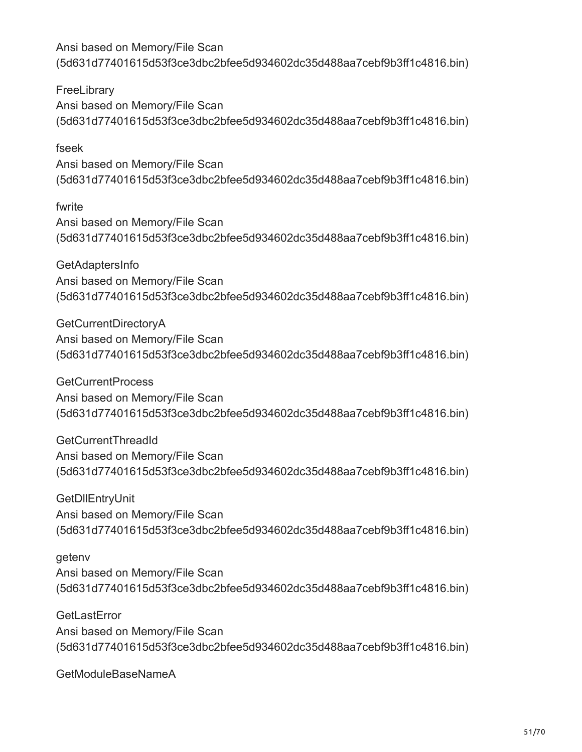**FreeLibrary** Ansi based on Memory/File Scan (5d631d77401615d53f3ce3dbc2bfee5d934602dc35d488aa7cebf9b3ff1c4816.bin)

## fseek

Ansi based on Memory/File Scan (5d631d77401615d53f3ce3dbc2bfee5d934602dc35d488aa7cebf9b3ff1c4816.bin)

## fwrite

Ansi based on Memory/File Scan (5d631d77401615d53f3ce3dbc2bfee5d934602dc35d488aa7cebf9b3ff1c4816.bin)

GetAdaptersInfo Ansi based on Memory/File Scan (5d631d77401615d53f3ce3dbc2bfee5d934602dc35d488aa7cebf9b3ff1c4816.bin)

GetCurrentDirectoryA Ansi based on Memory/File Scan (5d631d77401615d53f3ce3dbc2bfee5d934602dc35d488aa7cebf9b3ff1c4816.bin)

GetCurrentProcess Ansi based on Memory/File Scan (5d631d77401615d53f3ce3dbc2bfee5d934602dc35d488aa7cebf9b3ff1c4816.bin)

GetCurrentThreadId Ansi based on Memory/File Scan (5d631d77401615d53f3ce3dbc2bfee5d934602dc35d488aa7cebf9b3ff1c4816.bin)

GetDllEntryUnit Ansi based on Memory/File Scan (5d631d77401615d53f3ce3dbc2bfee5d934602dc35d488aa7cebf9b3ff1c4816.bin)

#### getenv

Ansi based on Memory/File Scan (5d631d77401615d53f3ce3dbc2bfee5d934602dc35d488aa7cebf9b3ff1c4816.bin)

**GetLastError** Ansi based on Memory/File Scan (5d631d77401615d53f3ce3dbc2bfee5d934602dc35d488aa7cebf9b3ff1c4816.bin)

GetModuleBaseNameA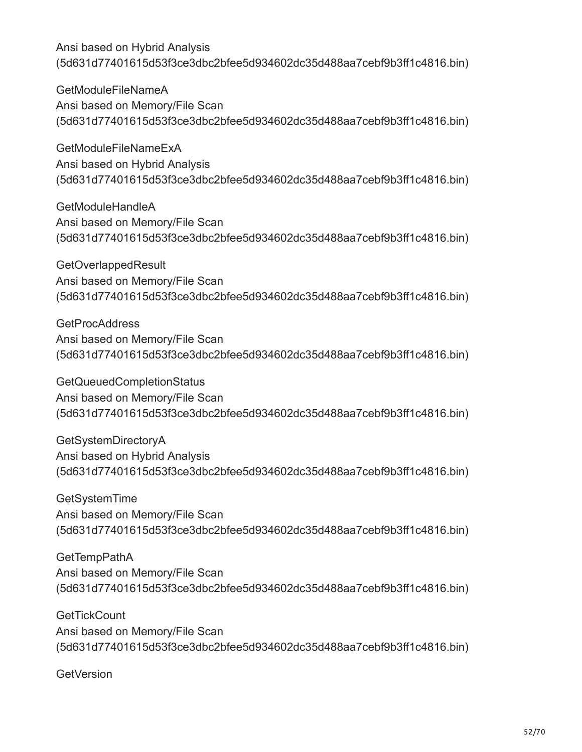GetModuleFileNameA Ansi based on Memory/File Scan (5d631d77401615d53f3ce3dbc2bfee5d934602dc35d488aa7cebf9b3ff1c4816.bin)

GetModuleFileNameExA Ansi based on Hybrid Analysis (5d631d77401615d53f3ce3dbc2bfee5d934602dc35d488aa7cebf9b3ff1c4816.bin)

GetModuleHandleA Ansi based on Memory/File Scan (5d631d77401615d53f3ce3dbc2bfee5d934602dc35d488aa7cebf9b3ff1c4816.bin)

GetOverlappedResult Ansi based on Memory/File Scan (5d631d77401615d53f3ce3dbc2bfee5d934602dc35d488aa7cebf9b3ff1c4816.bin)

**GetProcAddress** Ansi based on Memory/File Scan (5d631d77401615d53f3ce3dbc2bfee5d934602dc35d488aa7cebf9b3ff1c4816.bin)

GetQueuedCompletionStatus Ansi based on Memory/File Scan (5d631d77401615d53f3ce3dbc2bfee5d934602dc35d488aa7cebf9b3ff1c4816.bin)

GetSystemDirectoryA Ansi based on Hybrid Analysis (5d631d77401615d53f3ce3dbc2bfee5d934602dc35d488aa7cebf9b3ff1c4816.bin)

GetSystemTime Ansi based on Memory/File Scan (5d631d77401615d53f3ce3dbc2bfee5d934602dc35d488aa7cebf9b3ff1c4816.bin)

**GetTempPathA** Ansi based on Memory/File Scan (5d631d77401615d53f3ce3dbc2bfee5d934602dc35d488aa7cebf9b3ff1c4816.bin)

**GetTickCount** Ansi based on Memory/File Scan (5d631d77401615d53f3ce3dbc2bfee5d934602dc35d488aa7cebf9b3ff1c4816.bin)

**GetVersion**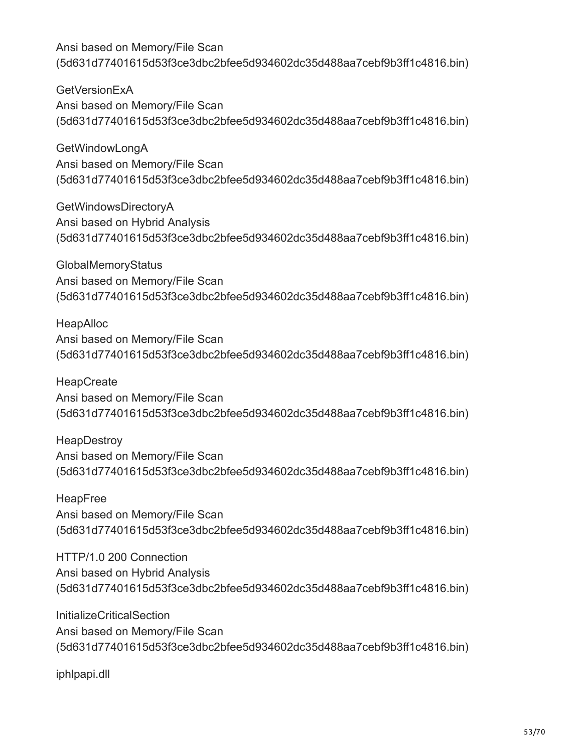**GetVersionExA** Ansi based on Memory/File Scan (5d631d77401615d53f3ce3dbc2bfee5d934602dc35d488aa7cebf9b3ff1c4816.bin)

GetWindowLongA Ansi based on Memory/File Scan (5d631d77401615d53f3ce3dbc2bfee5d934602dc35d488aa7cebf9b3ff1c4816.bin)

GetWindowsDirectoryA Ansi based on Hybrid Analysis (5d631d77401615d53f3ce3dbc2bfee5d934602dc35d488aa7cebf9b3ff1c4816.bin)

**GlobalMemoryStatus** Ansi based on Memory/File Scan (5d631d77401615d53f3ce3dbc2bfee5d934602dc35d488aa7cebf9b3ff1c4816.bin)

HeapAlloc Ansi based on Memory/File Scan (5d631d77401615d53f3ce3dbc2bfee5d934602dc35d488aa7cebf9b3ff1c4816.bin)

**HeapCreate** Ansi based on Memory/File Scan (5d631d77401615d53f3ce3dbc2bfee5d934602dc35d488aa7cebf9b3ff1c4816.bin)

**HeapDestroy** Ansi based on Memory/File Scan (5d631d77401615d53f3ce3dbc2bfee5d934602dc35d488aa7cebf9b3ff1c4816.bin)

HeapFree Ansi based on Memory/File Scan (5d631d77401615d53f3ce3dbc2bfee5d934602dc35d488aa7cebf9b3ff1c4816.bin)

HTTP/1.0 200 Connection Ansi based on Hybrid Analysis (5d631d77401615d53f3ce3dbc2bfee5d934602dc35d488aa7cebf9b3ff1c4816.bin)

InitializeCriticalSection Ansi based on Memory/File Scan (5d631d77401615d53f3ce3dbc2bfee5d934602dc35d488aa7cebf9b3ff1c4816.bin)

iphlpapi.dll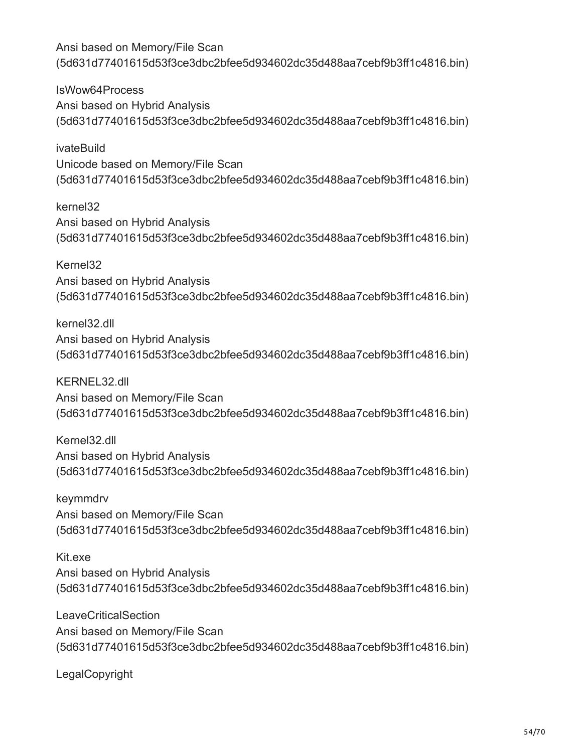IsWow64Process Ansi based on Hybrid Analysis (5d631d77401615d53f3ce3dbc2bfee5d934602dc35d488aa7cebf9b3ff1c4816.bin)

ivateBuild Unicode based on Memory/File Scan (5d631d77401615d53f3ce3dbc2bfee5d934602dc35d488aa7cebf9b3ff1c4816.bin)

kernel32 Ansi based on Hybrid Analysis (5d631d77401615d53f3ce3dbc2bfee5d934602dc35d488aa7cebf9b3ff1c4816.bin)

Kernel32 Ansi based on Hybrid Analysis (5d631d77401615d53f3ce3dbc2bfee5d934602dc35d488aa7cebf9b3ff1c4816.bin)

kernel32.dll Ansi based on Hybrid Analysis (5d631d77401615d53f3ce3dbc2bfee5d934602dc35d488aa7cebf9b3ff1c4816.bin)

KERNEL32.dll Ansi based on Memory/File Scan (5d631d77401615d53f3ce3dbc2bfee5d934602dc35d488aa7cebf9b3ff1c4816.bin)

Kernel32.dll Ansi based on Hybrid Analysis (5d631d77401615d53f3ce3dbc2bfee5d934602dc35d488aa7cebf9b3ff1c4816.bin)

keymmdrv Ansi based on Memory/File Scan (5d631d77401615d53f3ce3dbc2bfee5d934602dc35d488aa7cebf9b3ff1c4816.bin)

Kit.exe Ansi based on Hybrid Analysis (5d631d77401615d53f3ce3dbc2bfee5d934602dc35d488aa7cebf9b3ff1c4816.bin)

**LeaveCriticalSection** Ansi based on Memory/File Scan (5d631d77401615d53f3ce3dbc2bfee5d934602dc35d488aa7cebf9b3ff1c4816.bin)

LegalCopyright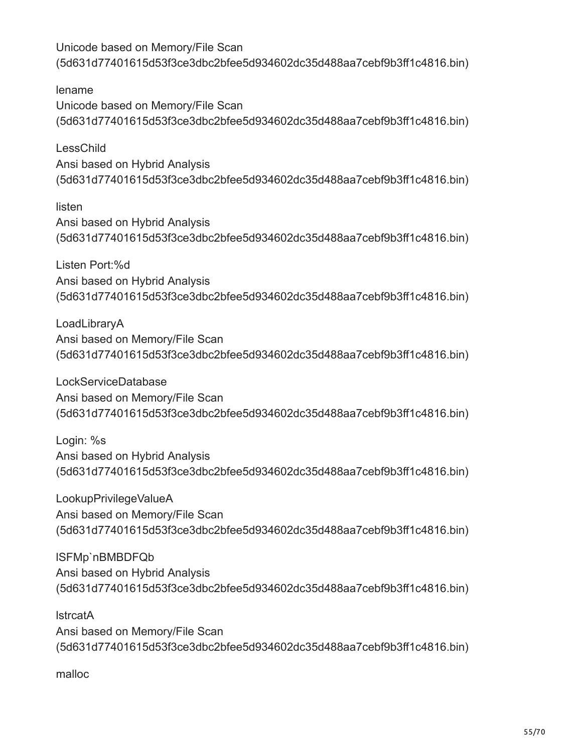lename Unicode based on Memory/File Scan (5d631d77401615d53f3ce3dbc2bfee5d934602dc35d488aa7cebf9b3ff1c4816.bin)

LessChild Ansi based on Hybrid Analysis (5d631d77401615d53f3ce3dbc2bfee5d934602dc35d488aa7cebf9b3ff1c4816.bin)

listen Ansi based on Hybrid Analysis (5d631d77401615d53f3ce3dbc2bfee5d934602dc35d488aa7cebf9b3ff1c4816.bin)

Listen Port:%d Ansi based on Hybrid Analysis (5d631d77401615d53f3ce3dbc2bfee5d934602dc35d488aa7cebf9b3ff1c4816.bin)

LoadLibraryA Ansi based on Memory/File Scan (5d631d77401615d53f3ce3dbc2bfee5d934602dc35d488aa7cebf9b3ff1c4816.bin)

LockServiceDatabase Ansi based on Memory/File Scan (5d631d77401615d53f3ce3dbc2bfee5d934602dc35d488aa7cebf9b3ff1c4816.bin)

Login: %s Ansi based on Hybrid Analysis (5d631d77401615d53f3ce3dbc2bfee5d934602dc35d488aa7cebf9b3ff1c4816.bin)

LookupPrivilegeValueA Ansi based on Memory/File Scan (5d631d77401615d53f3ce3dbc2bfee5d934602dc35d488aa7cebf9b3ff1c4816.bin)

lSFMp`nBMBDFQb Ansi based on Hybrid Analysis (5d631d77401615d53f3ce3dbc2bfee5d934602dc35d488aa7cebf9b3ff1c4816.bin)

lstrcatA Ansi based on Memory/File Scan (5d631d77401615d53f3ce3dbc2bfee5d934602dc35d488aa7cebf9b3ff1c4816.bin)

malloc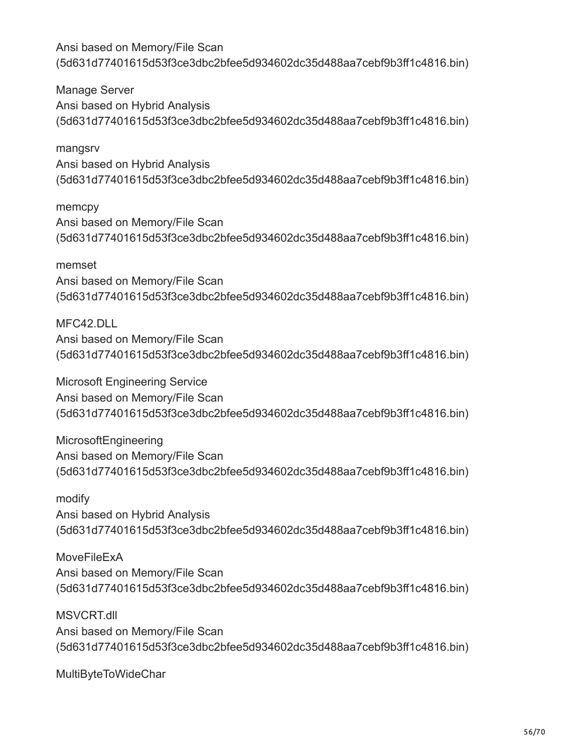Manage Server Ansi based on Hybrid Analysis (5d631d77401615d53f3ce3dbc2bfee5d934602dc35d488aa7cebf9b3ff1c4816.bin)

mangsrv Ansi based on Hybrid Analysis (5d631d77401615d53f3ce3dbc2bfee5d934602dc35d488aa7cebf9b3ff1c4816.bin)

memcpy Ansi based on Memory/File Scan (5d631d77401615d53f3ce3dbc2bfee5d934602dc35d488aa7cebf9b3ff1c4816.bin)

memset Ansi based on Memory/File Scan (5d631d77401615d53f3ce3dbc2bfee5d934602dc35d488aa7cebf9b3ff1c4816.bin)

MFC42.DLL Ansi based on Memory/File Scan (5d631d77401615d53f3ce3dbc2bfee5d934602dc35d488aa7cebf9b3ff1c4816.bin)

Microsoft Engineering Service Ansi based on Memory/File Scan (5d631d77401615d53f3ce3dbc2bfee5d934602dc35d488aa7cebf9b3ff1c4816.bin)

MicrosoftEngineering Ansi based on Memory/File Scan (5d631d77401615d53f3ce3dbc2bfee5d934602dc35d488aa7cebf9b3ff1c4816.bin)

modify Ansi based on Hybrid Analysis (5d631d77401615d53f3ce3dbc2bfee5d934602dc35d488aa7cebf9b3ff1c4816.bin)

**MoveFileExA** Ansi based on Memory/File Scan (5d631d77401615d53f3ce3dbc2bfee5d934602dc35d488aa7cebf9b3ff1c4816.bin)

MSVCRT.dll Ansi based on Memory/File Scan (5d631d77401615d53f3ce3dbc2bfee5d934602dc35d488aa7cebf9b3ff1c4816.bin)

MultiByteToWideChar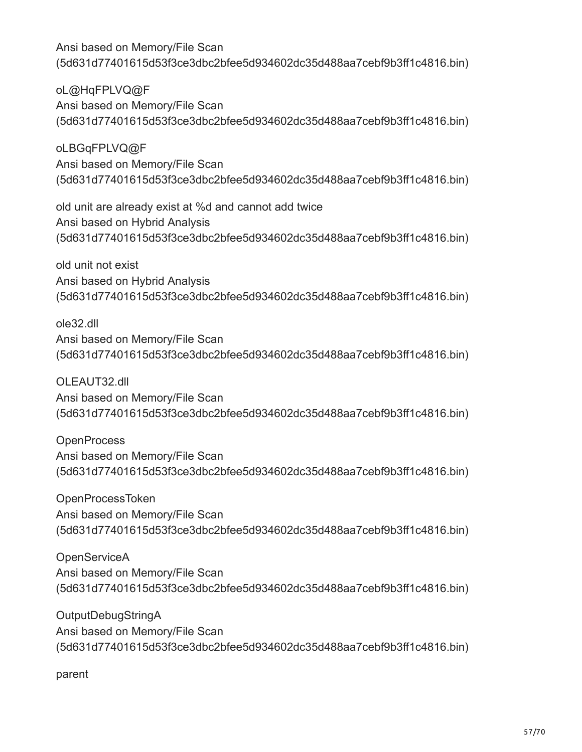oL@HqFPLVQ@F Ansi based on Memory/File Scan (5d631d77401615d53f3ce3dbc2bfee5d934602dc35d488aa7cebf9b3ff1c4816.bin)

oLBGqFPLVQ@F Ansi based on Memory/File Scan (5d631d77401615d53f3ce3dbc2bfee5d934602dc35d488aa7cebf9b3ff1c4816.bin)

old unit are already exist at %d and cannot add twice Ansi based on Hybrid Analysis (5d631d77401615d53f3ce3dbc2bfee5d934602dc35d488aa7cebf9b3ff1c4816.bin)

old unit not exist Ansi based on Hybrid Analysis (5d631d77401615d53f3ce3dbc2bfee5d934602dc35d488aa7cebf9b3ff1c4816.bin)

ole32.dll Ansi based on Memory/File Scan (5d631d77401615d53f3ce3dbc2bfee5d934602dc35d488aa7cebf9b3ff1c4816.bin)

OLEAUT32.dll Ansi based on Memory/File Scan (5d631d77401615d53f3ce3dbc2bfee5d934602dc35d488aa7cebf9b3ff1c4816.bin)

**OpenProcess** Ansi based on Memory/File Scan (5d631d77401615d53f3ce3dbc2bfee5d934602dc35d488aa7cebf9b3ff1c4816.bin)

OpenProcessToken Ansi based on Memory/File Scan (5d631d77401615d53f3ce3dbc2bfee5d934602dc35d488aa7cebf9b3ff1c4816.bin)

**OpenServiceA** Ansi based on Memory/File Scan (5d631d77401615d53f3ce3dbc2bfee5d934602dc35d488aa7cebf9b3ff1c4816.bin)

OutputDebugStringA Ansi based on Memory/File Scan (5d631d77401615d53f3ce3dbc2bfee5d934602dc35d488aa7cebf9b3ff1c4816.bin)

parent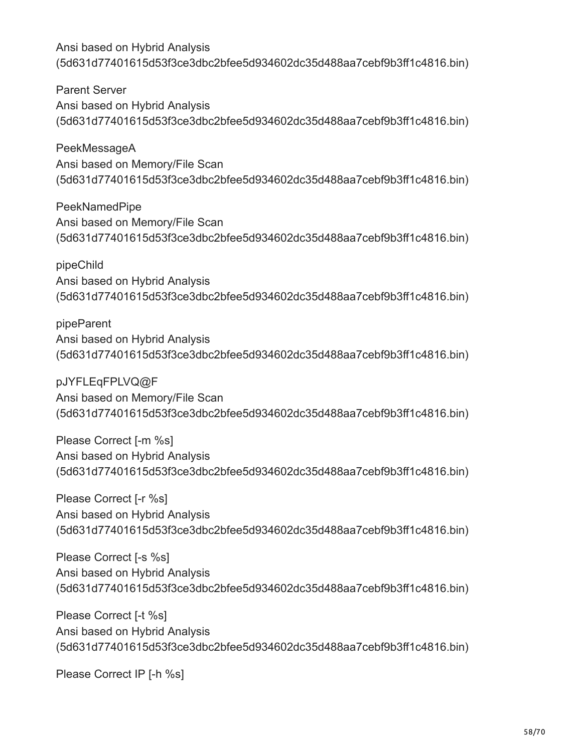Parent Server Ansi based on Hybrid Analysis (5d631d77401615d53f3ce3dbc2bfee5d934602dc35d488aa7cebf9b3ff1c4816.bin)

PeekMessageA Ansi based on Memory/File Scan (5d631d77401615d53f3ce3dbc2bfee5d934602dc35d488aa7cebf9b3ff1c4816.bin)

PeekNamedPipe Ansi based on Memory/File Scan (5d631d77401615d53f3ce3dbc2bfee5d934602dc35d488aa7cebf9b3ff1c4816.bin)

pipeChild Ansi based on Hybrid Analysis (5d631d77401615d53f3ce3dbc2bfee5d934602dc35d488aa7cebf9b3ff1c4816.bin)

pipeParent Ansi based on Hybrid Analysis (5d631d77401615d53f3ce3dbc2bfee5d934602dc35d488aa7cebf9b3ff1c4816.bin)

pJYFLEqFPLVQ@F Ansi based on Memory/File Scan (5d631d77401615d53f3ce3dbc2bfee5d934602dc35d488aa7cebf9b3ff1c4816.bin)

Please Correct [-m %s] Ansi based on Hybrid Analysis (5d631d77401615d53f3ce3dbc2bfee5d934602dc35d488aa7cebf9b3ff1c4816.bin)

Please Correct [-r %s] Ansi based on Hybrid Analysis (5d631d77401615d53f3ce3dbc2bfee5d934602dc35d488aa7cebf9b3ff1c4816.bin)

Please Correct [-s %s] Ansi based on Hybrid Analysis (5d631d77401615d53f3ce3dbc2bfee5d934602dc35d488aa7cebf9b3ff1c4816.bin)

Please Correct [-t %s] Ansi based on Hybrid Analysis (5d631d77401615d53f3ce3dbc2bfee5d934602dc35d488aa7cebf9b3ff1c4816.bin)

Please Correct IP [-h %s]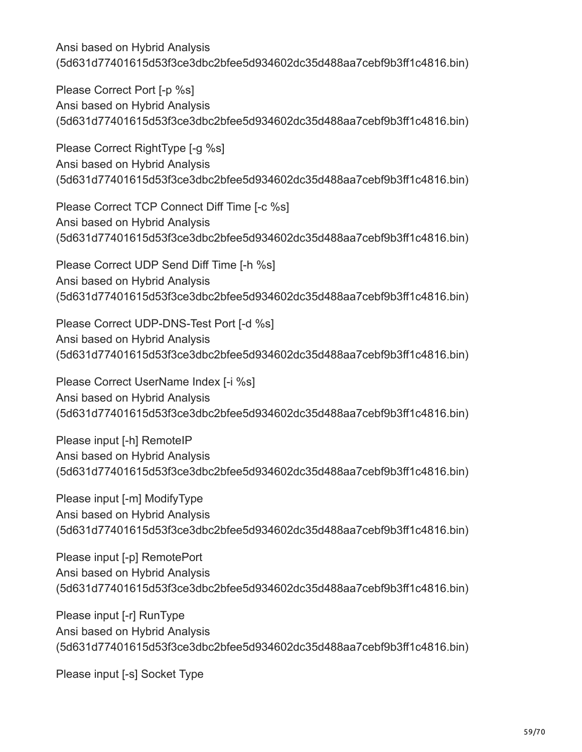Please Correct Port [-p %s] Ansi based on Hybrid Analysis (5d631d77401615d53f3ce3dbc2bfee5d934602dc35d488aa7cebf9b3ff1c4816.bin)

Please Correct RightType [-g %s] Ansi based on Hybrid Analysis (5d631d77401615d53f3ce3dbc2bfee5d934602dc35d488aa7cebf9b3ff1c4816.bin)

Please Correct TCP Connect Diff Time [-c %s] Ansi based on Hybrid Analysis (5d631d77401615d53f3ce3dbc2bfee5d934602dc35d488aa7cebf9b3ff1c4816.bin)

Please Correct UDP Send Diff Time [-h %s] Ansi based on Hybrid Analysis (5d631d77401615d53f3ce3dbc2bfee5d934602dc35d488aa7cebf9b3ff1c4816.bin)

Please Correct UDP-DNS-Test Port [-d %s] Ansi based on Hybrid Analysis (5d631d77401615d53f3ce3dbc2bfee5d934602dc35d488aa7cebf9b3ff1c4816.bin)

Please Correct UserName Index [-i %s] Ansi based on Hybrid Analysis (5d631d77401615d53f3ce3dbc2bfee5d934602dc35d488aa7cebf9b3ff1c4816.bin)

Please input [-h] RemoteIP Ansi based on Hybrid Analysis (5d631d77401615d53f3ce3dbc2bfee5d934602dc35d488aa7cebf9b3ff1c4816.bin)

Please input [-m] ModifyType Ansi based on Hybrid Analysis (5d631d77401615d53f3ce3dbc2bfee5d934602dc35d488aa7cebf9b3ff1c4816.bin)

Please input [-p] RemotePort Ansi based on Hybrid Analysis (5d631d77401615d53f3ce3dbc2bfee5d934602dc35d488aa7cebf9b3ff1c4816.bin)

Please input [-r] RunType Ansi based on Hybrid Analysis (5d631d77401615d53f3ce3dbc2bfee5d934602dc35d488aa7cebf9b3ff1c4816.bin)

Please input [-s] Socket Type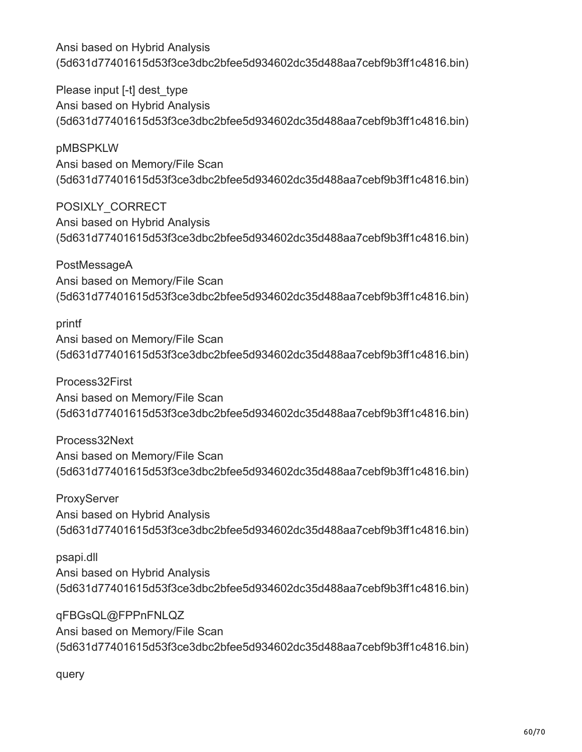Please input [-t] dest type Ansi based on Hybrid Analysis (5d631d77401615d53f3ce3dbc2bfee5d934602dc35d488aa7cebf9b3ff1c4816.bin)

pMBSPKLW Ansi based on Memory/File Scan (5d631d77401615d53f3ce3dbc2bfee5d934602dc35d488aa7cebf9b3ff1c4816.bin)

POSIXLY\_CORRECT Ansi based on Hybrid Analysis (5d631d77401615d53f3ce3dbc2bfee5d934602dc35d488aa7cebf9b3ff1c4816.bin)

PostMessageA Ansi based on Memory/File Scan (5d631d77401615d53f3ce3dbc2bfee5d934602dc35d488aa7cebf9b3ff1c4816.bin)

printf

Ansi based on Memory/File Scan (5d631d77401615d53f3ce3dbc2bfee5d934602dc35d488aa7cebf9b3ff1c4816.bin)

Process32First Ansi based on Memory/File Scan (5d631d77401615d53f3ce3dbc2bfee5d934602dc35d488aa7cebf9b3ff1c4816.bin)

Process32Next Ansi based on Memory/File Scan (5d631d77401615d53f3ce3dbc2bfee5d934602dc35d488aa7cebf9b3ff1c4816.bin)

**ProxyServer** Ansi based on Hybrid Analysis (5d631d77401615d53f3ce3dbc2bfee5d934602dc35d488aa7cebf9b3ff1c4816.bin)

psapi.dll Ansi based on Hybrid Analysis (5d631d77401615d53f3ce3dbc2bfee5d934602dc35d488aa7cebf9b3ff1c4816.bin)

qFBGsQL@FPPnFNLQZ Ansi based on Memory/File Scan (5d631d77401615d53f3ce3dbc2bfee5d934602dc35d488aa7cebf9b3ff1c4816.bin)

query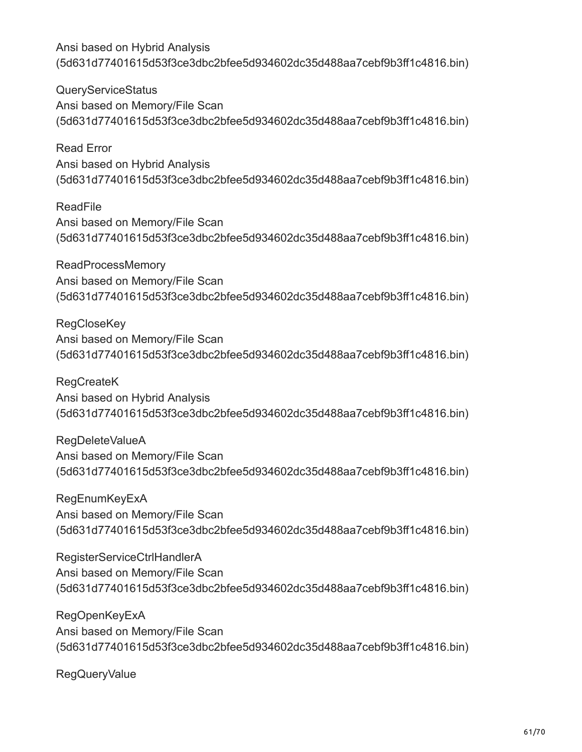QueryServiceStatus Ansi based on Memory/File Scan (5d631d77401615d53f3ce3dbc2bfee5d934602dc35d488aa7cebf9b3ff1c4816.bin)

Read Error Ansi based on Hybrid Analysis (5d631d77401615d53f3ce3dbc2bfee5d934602dc35d488aa7cebf9b3ff1c4816.bin)

ReadFile Ansi based on Memory/File Scan (5d631d77401615d53f3ce3dbc2bfee5d934602dc35d488aa7cebf9b3ff1c4816.bin)

ReadProcessMemory Ansi based on Memory/File Scan (5d631d77401615d53f3ce3dbc2bfee5d934602dc35d488aa7cebf9b3ff1c4816.bin)

**RegCloseKey** Ansi based on Memory/File Scan (5d631d77401615d53f3ce3dbc2bfee5d934602dc35d488aa7cebf9b3ff1c4816.bin)

RegCreateK Ansi based on Hybrid Analysis (5d631d77401615d53f3ce3dbc2bfee5d934602dc35d488aa7cebf9b3ff1c4816.bin)

RegDeleteValueA Ansi based on Memory/File Scan (5d631d77401615d53f3ce3dbc2bfee5d934602dc35d488aa7cebf9b3ff1c4816.bin)

**RegEnumKeyExA** Ansi based on Memory/File Scan (5d631d77401615d53f3ce3dbc2bfee5d934602dc35d488aa7cebf9b3ff1c4816.bin)

RegisterServiceCtrlHandlerA Ansi based on Memory/File Scan (5d631d77401615d53f3ce3dbc2bfee5d934602dc35d488aa7cebf9b3ff1c4816.bin)

RegOpenKeyExA Ansi based on Memory/File Scan (5d631d77401615d53f3ce3dbc2bfee5d934602dc35d488aa7cebf9b3ff1c4816.bin)

RegQueryValue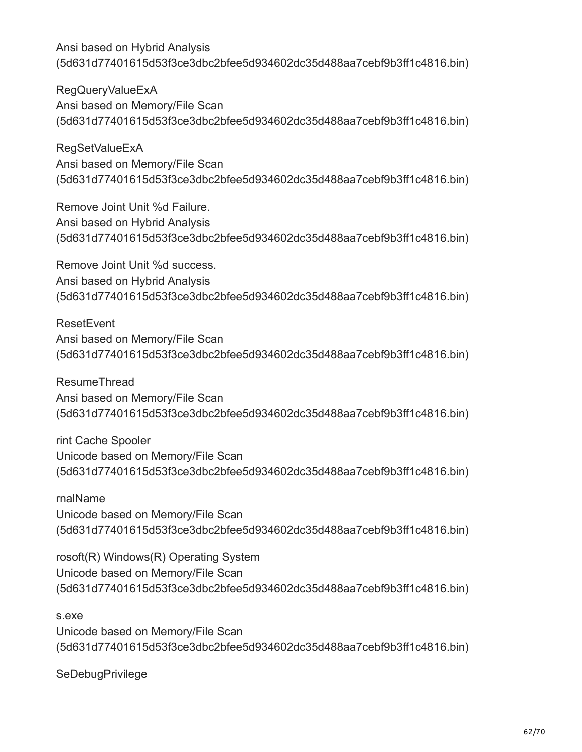RegQueryValueExA Ansi based on Memory/File Scan (5d631d77401615d53f3ce3dbc2bfee5d934602dc35d488aa7cebf9b3ff1c4816.bin)

RegSetValueExA Ansi based on Memory/File Scan (5d631d77401615d53f3ce3dbc2bfee5d934602dc35d488aa7cebf9b3ff1c4816.bin)

Remove Joint Unit %d Failure. Ansi based on Hybrid Analysis (5d631d77401615d53f3ce3dbc2bfee5d934602dc35d488aa7cebf9b3ff1c4816.bin)

Remove Joint Unit %d success. Ansi based on Hybrid Analysis (5d631d77401615d53f3ce3dbc2bfee5d934602dc35d488aa7cebf9b3ff1c4816.bin)

**ResetEvent** Ansi based on Memory/File Scan (5d631d77401615d53f3ce3dbc2bfee5d934602dc35d488aa7cebf9b3ff1c4816.bin)

ResumeThread Ansi based on Memory/File Scan (5d631d77401615d53f3ce3dbc2bfee5d934602dc35d488aa7cebf9b3ff1c4816.bin)

rint Cache Spooler Unicode based on Memory/File Scan (5d631d77401615d53f3ce3dbc2bfee5d934602dc35d488aa7cebf9b3ff1c4816.bin)

rnalName Unicode based on Memory/File Scan (5d631d77401615d53f3ce3dbc2bfee5d934602dc35d488aa7cebf9b3ff1c4816.bin)

rosoft(R) Windows(R) Operating System Unicode based on Memory/File Scan (5d631d77401615d53f3ce3dbc2bfee5d934602dc35d488aa7cebf9b3ff1c4816.bin)

s.exe Unicode based on Memory/File Scan (5d631d77401615d53f3ce3dbc2bfee5d934602dc35d488aa7cebf9b3ff1c4816.bin)

**SeDebugPrivilege**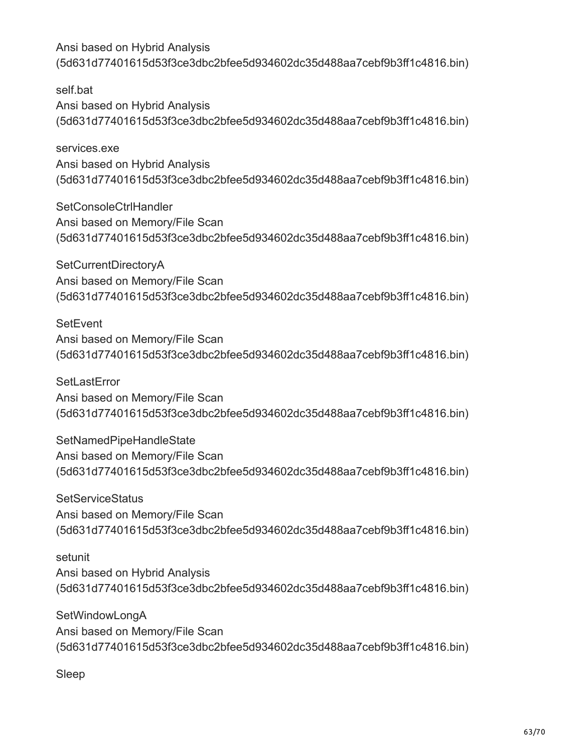self.bat Ansi based on Hybrid Analysis (5d631d77401615d53f3ce3dbc2bfee5d934602dc35d488aa7cebf9b3ff1c4816.bin)

services.exe Ansi based on Hybrid Analysis (5d631d77401615d53f3ce3dbc2bfee5d934602dc35d488aa7cebf9b3ff1c4816.bin)

SetConsoleCtrlHandler Ansi based on Memory/File Scan (5d631d77401615d53f3ce3dbc2bfee5d934602dc35d488aa7cebf9b3ff1c4816.bin)

SetCurrentDirectoryA Ansi based on Memory/File Scan (5d631d77401615d53f3ce3dbc2bfee5d934602dc35d488aa7cebf9b3ff1c4816.bin)

**SetEvent** Ansi based on Memory/File Scan (5d631d77401615d53f3ce3dbc2bfee5d934602dc35d488aa7cebf9b3ff1c4816.bin)

**SetLastError** Ansi based on Memory/File Scan (5d631d77401615d53f3ce3dbc2bfee5d934602dc35d488aa7cebf9b3ff1c4816.bin)

SetNamedPipeHandleState Ansi based on Memory/File Scan (5d631d77401615d53f3ce3dbc2bfee5d934602dc35d488aa7cebf9b3ff1c4816.bin)

**SetServiceStatus** Ansi based on Memory/File Scan (5d631d77401615d53f3ce3dbc2bfee5d934602dc35d488aa7cebf9b3ff1c4816.bin)

setunit Ansi based on Hybrid Analysis (5d631d77401615d53f3ce3dbc2bfee5d934602dc35d488aa7cebf9b3ff1c4816.bin)

SetWindowLongA Ansi based on Memory/File Scan (5d631d77401615d53f3ce3dbc2bfee5d934602dc35d488aa7cebf9b3ff1c4816.bin)

Sleep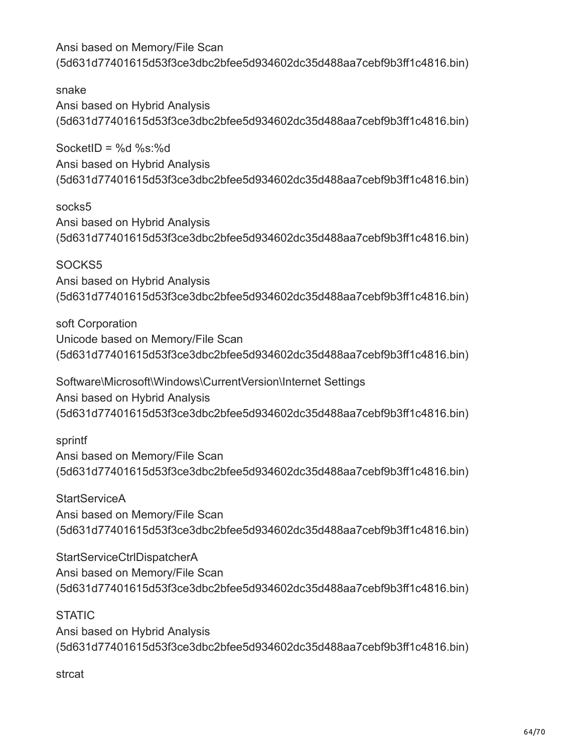snake Ansi based on Hybrid Analysis (5d631d77401615d53f3ce3dbc2bfee5d934602dc35d488aa7cebf9b3ff1c4816.bin)

SocketID =  $%d$  %s: $%d$ Ansi based on Hybrid Analysis (5d631d77401615d53f3ce3dbc2bfee5d934602dc35d488aa7cebf9b3ff1c4816.bin)

socks5 Ansi based on Hybrid Analysis (5d631d77401615d53f3ce3dbc2bfee5d934602dc35d488aa7cebf9b3ff1c4816.bin)

SOCKS5 Ansi based on Hybrid Analysis (5d631d77401615d53f3ce3dbc2bfee5d934602dc35d488aa7cebf9b3ff1c4816.bin)

soft Corporation Unicode based on Memory/File Scan (5d631d77401615d53f3ce3dbc2bfee5d934602dc35d488aa7cebf9b3ff1c4816.bin)

Software\Microsoft\Windows\CurrentVersion\Internet Settings Ansi based on Hybrid Analysis (5d631d77401615d53f3ce3dbc2bfee5d934602dc35d488aa7cebf9b3ff1c4816.bin)

sprintf Ansi based on Memory/File Scan (5d631d77401615d53f3ce3dbc2bfee5d934602dc35d488aa7cebf9b3ff1c4816.bin)

**StartServiceA** Ansi based on Memory/File Scan (5d631d77401615d53f3ce3dbc2bfee5d934602dc35d488aa7cebf9b3ff1c4816.bin)

StartServiceCtrlDispatcherA Ansi based on Memory/File Scan (5d631d77401615d53f3ce3dbc2bfee5d934602dc35d488aa7cebf9b3ff1c4816.bin)

**STATIC** Ansi based on Hybrid Analysis (5d631d77401615d53f3ce3dbc2bfee5d934602dc35d488aa7cebf9b3ff1c4816.bin)

strcat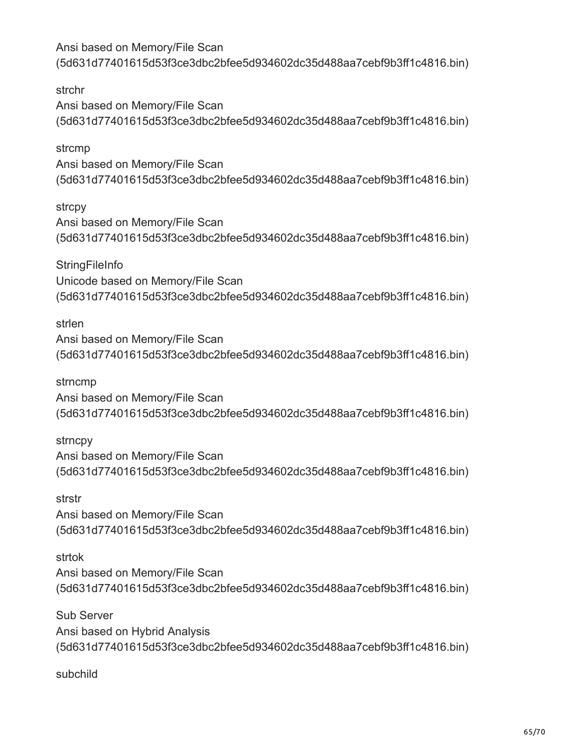strchr Ansi based on Memory/File Scan (5d631d77401615d53f3ce3dbc2bfee5d934602dc35d488aa7cebf9b3ff1c4816.bin)

strcmp Ansi based on Memory/File Scan (5d631d77401615d53f3ce3dbc2bfee5d934602dc35d488aa7cebf9b3ff1c4816.bin)

strcpy Ansi based on Memory/File Scan (5d631d77401615d53f3ce3dbc2bfee5d934602dc35d488aa7cebf9b3ff1c4816.bin)

**StringFileInfo** Unicode based on Memory/File Scan (5d631d77401615d53f3ce3dbc2bfee5d934602dc35d488aa7cebf9b3ff1c4816.bin)

strlen Ansi based on Memory/File Scan (5d631d77401615d53f3ce3dbc2bfee5d934602dc35d488aa7cebf9b3ff1c4816.bin)

strncmp Ansi based on Memory/File Scan (5d631d77401615d53f3ce3dbc2bfee5d934602dc35d488aa7cebf9b3ff1c4816.bin)

strncpy Ansi based on Memory/File Scan (5d631d77401615d53f3ce3dbc2bfee5d934602dc35d488aa7cebf9b3ff1c4816.bin)

strstr Ansi based on Memory/File Scan (5d631d77401615d53f3ce3dbc2bfee5d934602dc35d488aa7cebf9b3ff1c4816.bin)

strtok Ansi based on Memory/File Scan (5d631d77401615d53f3ce3dbc2bfee5d934602dc35d488aa7cebf9b3ff1c4816.bin)

Sub Server Ansi based on Hybrid Analysis (5d631d77401615d53f3ce3dbc2bfee5d934602dc35d488aa7cebf9b3ff1c4816.bin)

subchild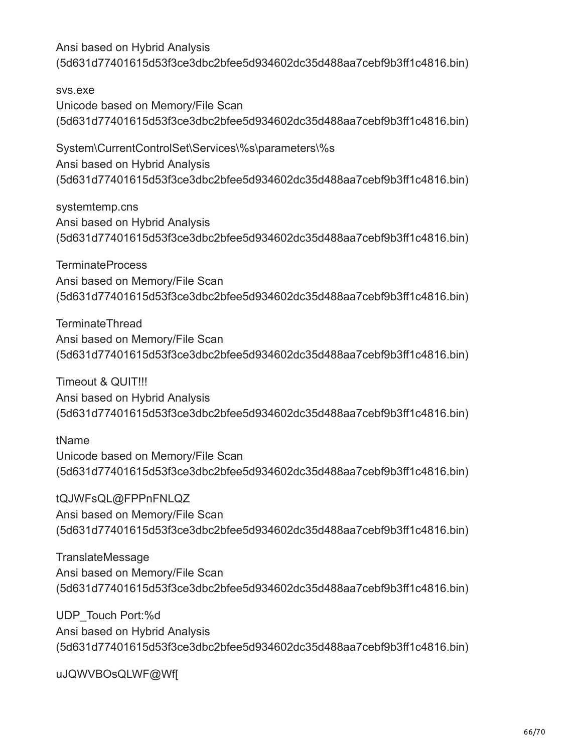svs.exe Unicode based on Memory/File Scan (5d631d77401615d53f3ce3dbc2bfee5d934602dc35d488aa7cebf9b3ff1c4816.bin)

System\CurrentControlSet\Services\%s\parameters\%s Ansi based on Hybrid Analysis (5d631d77401615d53f3ce3dbc2bfee5d934602dc35d488aa7cebf9b3ff1c4816.bin)

systemtemp.cns Ansi based on Hybrid Analysis (5d631d77401615d53f3ce3dbc2bfee5d934602dc35d488aa7cebf9b3ff1c4816.bin)

TerminateProcess Ansi based on Memory/File Scan (5d631d77401615d53f3ce3dbc2bfee5d934602dc35d488aa7cebf9b3ff1c4816.bin)

TerminateThread Ansi based on Memory/File Scan (5d631d77401615d53f3ce3dbc2bfee5d934602dc35d488aa7cebf9b3ff1c4816.bin)

Timeout & QUIT!!! Ansi based on Hybrid Analysis (5d631d77401615d53f3ce3dbc2bfee5d934602dc35d488aa7cebf9b3ff1c4816.bin)

tName Unicode based on Memory/File Scan (5d631d77401615d53f3ce3dbc2bfee5d934602dc35d488aa7cebf9b3ff1c4816.bin)

tQJWFsQL@FPPnFNLQZ Ansi based on Memory/File Scan (5d631d77401615d53f3ce3dbc2bfee5d934602dc35d488aa7cebf9b3ff1c4816.bin)

**TranslateMessage** Ansi based on Memory/File Scan (5d631d77401615d53f3ce3dbc2bfee5d934602dc35d488aa7cebf9b3ff1c4816.bin)

UDP\_Touch Port:%d Ansi based on Hybrid Analysis (5d631d77401615d53f3ce3dbc2bfee5d934602dc35d488aa7cebf9b3ff1c4816.bin)

uJQWVBOsQLWF@Wf[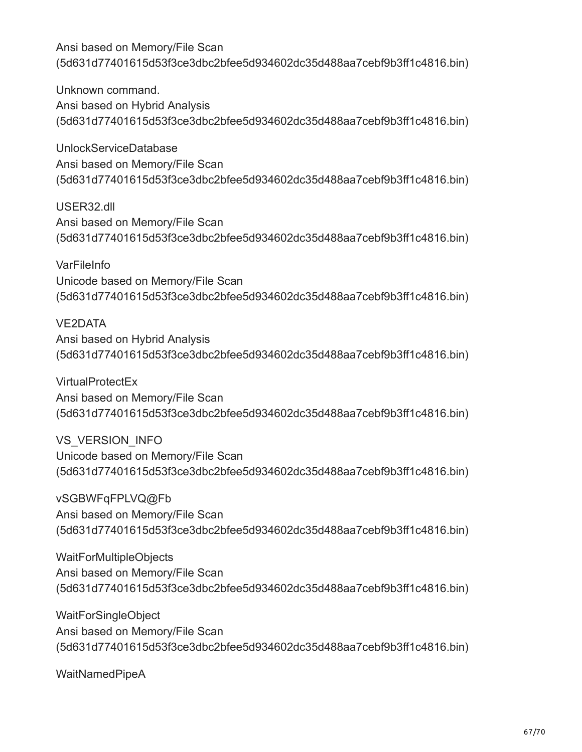Unknown command. Ansi based on Hybrid Analysis (5d631d77401615d53f3ce3dbc2bfee5d934602dc35d488aa7cebf9b3ff1c4816.bin)

UnlockServiceDatabase Ansi based on Memory/File Scan (5d631d77401615d53f3ce3dbc2bfee5d934602dc35d488aa7cebf9b3ff1c4816.bin)

USER32.dll Ansi based on Memory/File Scan (5d631d77401615d53f3ce3dbc2bfee5d934602dc35d488aa7cebf9b3ff1c4816.bin)

**VarFileInfo** Unicode based on Memory/File Scan (5d631d77401615d53f3ce3dbc2bfee5d934602dc35d488aa7cebf9b3ff1c4816.bin)

VE2DATA Ansi based on Hybrid Analysis (5d631d77401615d53f3ce3dbc2bfee5d934602dc35d488aa7cebf9b3ff1c4816.bin)

**VirtualProtectEx** Ansi based on Memory/File Scan (5d631d77401615d53f3ce3dbc2bfee5d934602dc35d488aa7cebf9b3ff1c4816.bin)

VS\_VERSION\_INFO Unicode based on Memory/File Scan (5d631d77401615d53f3ce3dbc2bfee5d934602dc35d488aa7cebf9b3ff1c4816.bin)

vSGBWFqFPLVQ@Fb Ansi based on Memory/File Scan (5d631d77401615d53f3ce3dbc2bfee5d934602dc35d488aa7cebf9b3ff1c4816.bin)

WaitForMultipleObjects Ansi based on Memory/File Scan (5d631d77401615d53f3ce3dbc2bfee5d934602dc35d488aa7cebf9b3ff1c4816.bin)

WaitForSingleObject Ansi based on Memory/File Scan (5d631d77401615d53f3ce3dbc2bfee5d934602dc35d488aa7cebf9b3ff1c4816.bin)

WaitNamedPipeA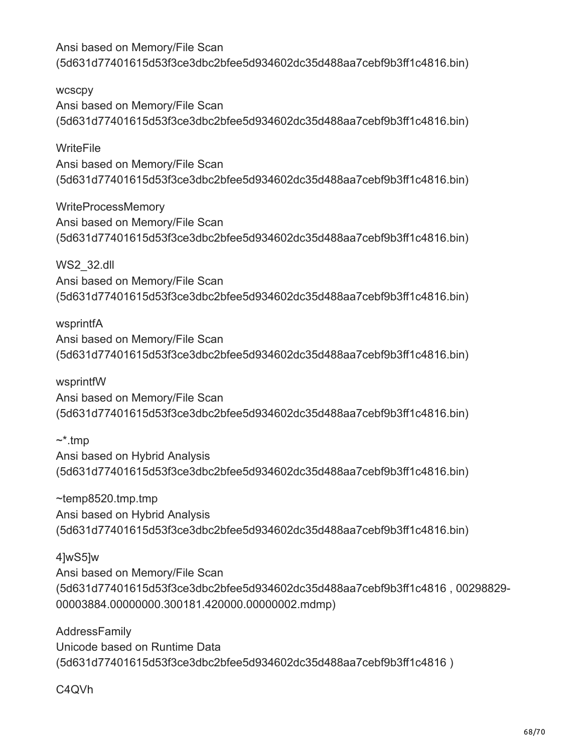wcscpy Ansi based on Memory/File Scan (5d631d77401615d53f3ce3dbc2bfee5d934602dc35d488aa7cebf9b3ff1c4816.bin)

**WriteFile** Ansi based on Memory/File Scan (5d631d77401615d53f3ce3dbc2bfee5d934602dc35d488aa7cebf9b3ff1c4816.bin)

WriteProcessMemory Ansi based on Memory/File Scan (5d631d77401615d53f3ce3dbc2bfee5d934602dc35d488aa7cebf9b3ff1c4816.bin)

WS2\_32.dll Ansi based on Memory/File Scan (5d631d77401615d53f3ce3dbc2bfee5d934602dc35d488aa7cebf9b3ff1c4816.bin)

wsprintfA Ansi based on Memory/File Scan (5d631d77401615d53f3ce3dbc2bfee5d934602dc35d488aa7cebf9b3ff1c4816.bin)

wsprintfW Ansi based on Memory/File Scan (5d631d77401615d53f3ce3dbc2bfee5d934602dc35d488aa7cebf9b3ff1c4816.bin)

 $\sim^*$ tmp Ansi based on Hybrid Analysis (5d631d77401615d53f3ce3dbc2bfee5d934602dc35d488aa7cebf9b3ff1c4816.bin)

~temp8520.tmp.tmp Ansi based on Hybrid Analysis (5d631d77401615d53f3ce3dbc2bfee5d934602dc35d488aa7cebf9b3ff1c4816.bin)

4]wS5]w Ansi based on Memory/File Scan (5d631d77401615d53f3ce3dbc2bfee5d934602dc35d488aa7cebf9b3ff1c4816 , 00298829- 00003884.00000000.300181.420000.00000002.mdmp)

AddressFamily Unicode based on Runtime Data (5d631d77401615d53f3ce3dbc2bfee5d934602dc35d488aa7cebf9b3ff1c4816 )

C4QVh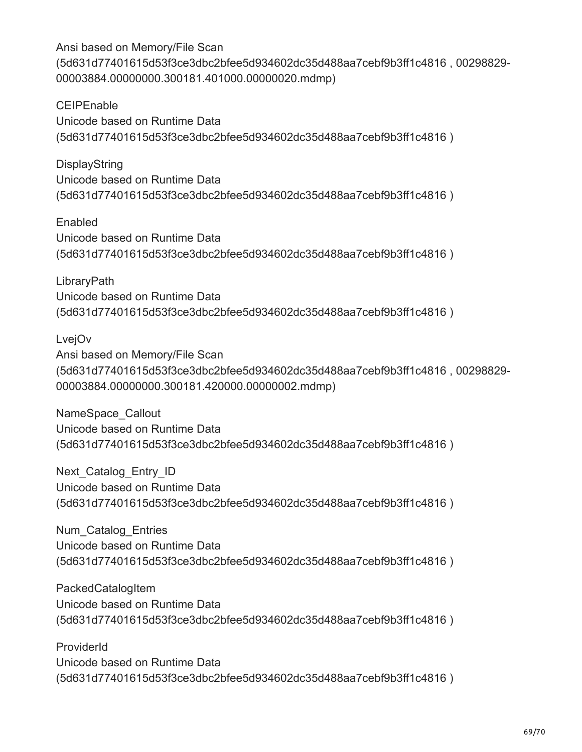Ansi based on Memory/File Scan (5d631d77401615d53f3ce3dbc2bfee5d934602dc35d488aa7cebf9b3ff1c4816 , 00298829- 00003884.00000000.300181.401000.00000020.mdmp)

**CEIPEnable** Unicode based on Runtime Data (5d631d77401615d53f3ce3dbc2bfee5d934602dc35d488aa7cebf9b3ff1c4816 )

DisplayString Unicode based on Runtime Data (5d631d77401615d53f3ce3dbc2bfee5d934602dc35d488aa7cebf9b3ff1c4816 )

Enabled Unicode based on Runtime Data (5d631d77401615d53f3ce3dbc2bfee5d934602dc35d488aa7cebf9b3ff1c4816 )

**LibraryPath** Unicode based on Runtime Data (5d631d77401615d53f3ce3dbc2bfee5d934602dc35d488aa7cebf9b3ff1c4816 )

LvejOv

Ansi based on Memory/File Scan (5d631d77401615d53f3ce3dbc2bfee5d934602dc35d488aa7cebf9b3ff1c4816 , 00298829- 00003884.00000000.300181.420000.00000002.mdmp)

NameSpace\_Callout Unicode based on Runtime Data (5d631d77401615d53f3ce3dbc2bfee5d934602dc35d488aa7cebf9b3ff1c4816 )

Next Catalog Entry ID Unicode based on Runtime Data (5d631d77401615d53f3ce3dbc2bfee5d934602dc35d488aa7cebf9b3ff1c4816 )

Num\_Catalog\_Entries Unicode based on Runtime Data (5d631d77401615d53f3ce3dbc2bfee5d934602dc35d488aa7cebf9b3ff1c4816 )

**PackedCatalogItem** Unicode based on Runtime Data (5d631d77401615d53f3ce3dbc2bfee5d934602dc35d488aa7cebf9b3ff1c4816 )

ProviderId Unicode based on Runtime Data (5d631d77401615d53f3ce3dbc2bfee5d934602dc35d488aa7cebf9b3ff1c4816 )